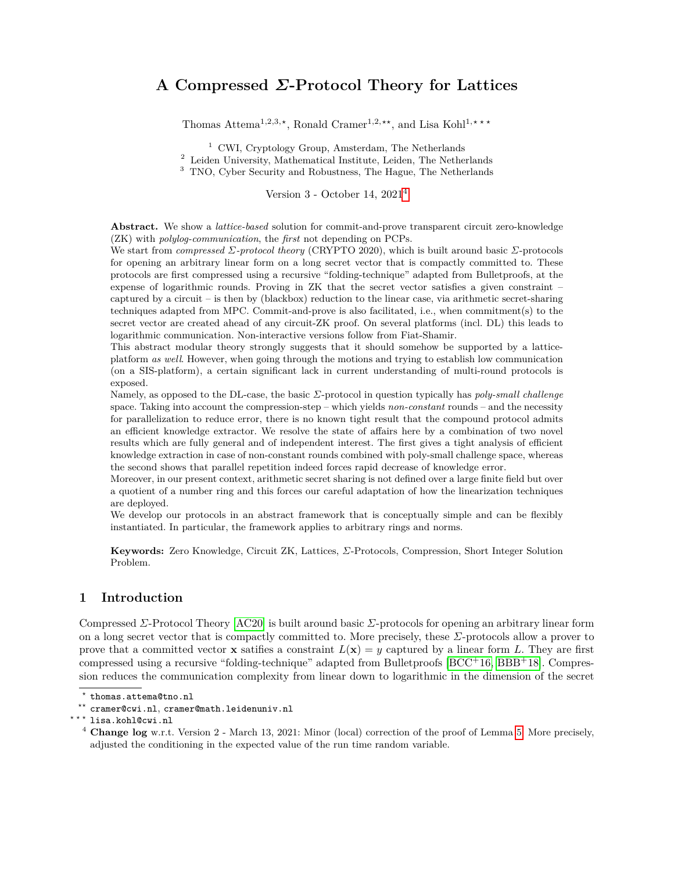# **A Compressed** *Σ***-Protocol Theory for Lattices**

Thomas Attema<sup>1,2,3,\*</sup>, Ronald Cramer<sup>1,2,\*\*</sup>, and Lisa Kohl<sup>1,\*\*\*</sup>

<sup>1</sup> CWI, Cryptology Group, Amsterdam, The Netherlands

 $2$  Leiden University, Mathematical Institute, Leiden, The Netherlands

<sup>3</sup> TNO, Cyber Security and Robustness, The Hague, The Netherlands

Version 3 - October 14, 2021[4](#page-0-0)

**Abstract.** We show a *lattice-based* solution for commit-and-prove transparent circuit zero-knowledge (ZK) with *polylog-communication*, the *first* not depending on PCPs.

We start from *compressed Σ-protocol theory* (CRYPTO 2020), which is built around basic *Σ*-protocols for opening an arbitrary linear form on a long secret vector that is compactly committed to. These protocols are first compressed using a recursive "folding-technique" adapted from Bulletproofs, at the expense of logarithmic rounds. Proving in ZK that the secret vector satisfies a given constraint – captured by a circuit – is then by (blackbox) reduction to the linear case, via arithmetic secret-sharing techniques adapted from MPC. Commit-and-prove is also facilitated, i.e., when commitment(s) to the secret vector are created ahead of any circuit-ZK proof. On several platforms (incl. DL) this leads to logarithmic communication. Non-interactive versions follow from Fiat-Shamir.

This abstract modular theory strongly suggests that it should somehow be supported by a latticeplatform *as well*. However, when going through the motions and trying to establish low communication (on a SIS-platform), a certain significant lack in current understanding of multi-round protocols is exposed.

Namely, as opposed to the DL-case, the basic *Σ*-protocol in question typically has *poly-small challenge* space. Taking into account the compression-step – which yields *non-constant* rounds – and the necessity for parallelization to reduce error, there is no known tight result that the compound protocol admits an efficient knowledge extractor. We resolve the state of affairs here by a combination of two novel results which are fully general and of independent interest. The first gives a tight analysis of efficient knowledge extraction in case of non-constant rounds combined with poly-small challenge space, whereas the second shows that parallel repetition indeed forces rapid decrease of knowledge error.

Moreover, in our present context, arithmetic secret sharing is not defined over a large finite field but over a quotient of a number ring and this forces our careful adaptation of how the linearization techniques are deployed.

We develop our protocols in an abstract framework that is conceptually simple and can be flexibly instantiated. In particular, the framework applies to arbitrary rings and norms.

**Keywords:** Zero Knowledge, Circuit ZK, Lattices, *Σ*-Protocols, Compression, Short Integer Solution Problem.

# **1 Introduction**

Compressed *Σ*-Protocol Theory [\[AC20\]](#page-33-0) is built around basic *Σ*-protocols for opening an arbitrary linear form on a long secret vector that is compactly committed to. More precisely, these *Σ*-protocols allow a prover to prove that a committed vector **x** satifies a constraint  $L(\mathbf{x}) = y$  captured by a linear form L. They are first compressed using a recursive "folding-technique" adapted from Bulletproofs [\[BCC](#page-33-1)<sup>+</sup>16, [BBB](#page-33-2)<sup>+</sup>18]. Compression reduces the communication complexity from linear down to logarithmic in the dimension of the secret

*<sup>⋆</sup>* thomas.attema@tno.nl

*<sup>⋆⋆</sup>* cramer@cwi.nl, cramer@math.leidenuniv.nl

*<sup>⋆ ⋆ ⋆</sup>* lisa.kohl@cwi.nl

<span id="page-0-0"></span><sup>4</sup> **Change log** w.r.t. Version 2 - March 13, 2021: Minor (local) correction of the proof of Lemma [5.](#page-11-0) More precisely, adjusted the conditioning in the expected value of the run time random variable.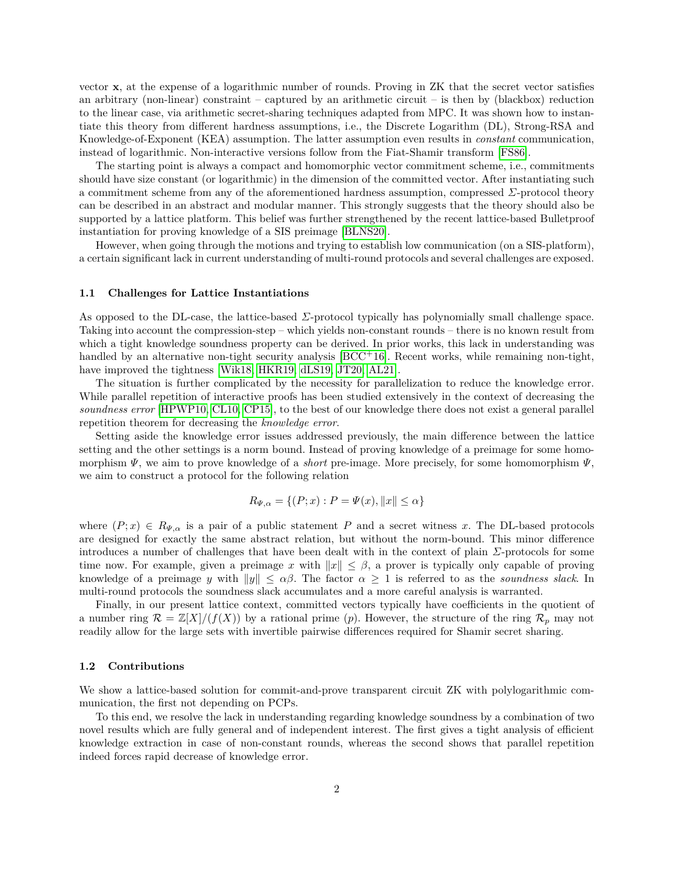vector **x**, at the expense of a logarithmic number of rounds. Proving in ZK that the secret vector satisfies an arbitrary (non-linear) constraint – captured by an arithmetic circuit – is then by (blackbox) reduction to the linear case, via arithmetic secret-sharing techniques adapted from MPC. It was shown how to instantiate this theory from different hardness assumptions, i.e., the Discrete Logarithm (DL), Strong-RSA and Knowledge-of-Exponent (KEA) assumption. The latter assumption even results in *constant* communication, instead of logarithmic. Non-interactive versions follow from the Fiat-Shamir transform [\[FS86\]](#page-34-0).

The starting point is always a compact and homomorphic vector commitment scheme, i.e., commitments should have size constant (or logarithmic) in the dimension of the committed vector. After instantiating such a commitment scheme from any of the aforementioned hardness assumption, compressed *Σ*-protocol theory can be described in an abstract and modular manner. This strongly suggests that the theory should also be supported by a lattice platform. This belief was further strengthened by the recent lattice-based Bulletproof instantiation for proving knowledge of a SIS preimage [\[BLNS20\]](#page-33-3).

However, when going through the motions and trying to establish low communication (on a SIS-platform), a certain significant lack in current understanding of multi-round protocols and several challenges are exposed.

#### **1.1 Challenges for Lattice Instantiations**

As opposed to the DL-case, the lattice-based *Σ*-protocol typically has polynomially small challenge space. Taking into account the compression-step – which yields non-constant rounds – there is no known result from which a tight knowledge soundness property can be derived. In prior works, this lack in understanding was handled by an alternative non-tight security analysis  $[BCC<sup>+</sup>16]$  $[BCC<sup>+</sup>16]$ . Recent works, while remaining non-tight. have improved the tightness [\[Wik18,](#page-35-0) [HKR19,](#page-34-1) [dLS19,](#page-34-2) [JT20,](#page-34-3) [AL21\]](#page-33-4).

The situation is further complicated by the necessity for parallelization to reduce the knowledge error. While parallel repetition of interactive proofs has been studied extensively in the context of decreasing the *soundness error* [\[HPWP10,](#page-34-4) [CL10,](#page-33-5) [CP15\]](#page-33-6), to the best of our knowledge there does not exist a general parallel repetition theorem for decreasing the *knowledge error*.

Setting aside the knowledge error issues addressed previously, the main difference between the lattice setting and the other settings is a norm bound. Instead of proving knowledge of a preimage for some homomorphism *Ψ*, we aim to prove knowledge of a *short* pre-image. More precisely, for some homomorphism *Ψ*, we aim to construct a protocol for the following relation

$$
R_{\Psi,\alpha} = \{(P; x) : P = \Psi(x), ||x|| \le \alpha\}
$$

where  $(P; x) \in R_{\Psi,\alpha}$  is a pair of a public statement P and a secret witness x. The DL-based protocols are designed for exactly the same abstract relation, but without the norm-bound. This minor difference introduces a number of challenges that have been dealt with in the context of plain *Σ*-protocols for some time now. For example, given a preimage x with  $||x|| \leq \beta$ , a prover is typically only capable of proving knowledge of a preimage *y* with  $||y|| \le \alpha\beta$ . The factor  $\alpha \ge 1$  is referred to as the *soundness slack*. In multi-round protocols the soundness slack accumulates and a more careful analysis is warranted.

Finally, in our present lattice context, committed vectors typically have coefficients in the quotient of a number ring  $\mathcal{R} = \mathbb{Z}[X]/(f(X))$  by a rational prime (*p*). However, the structure of the ring  $\mathcal{R}_p$  may not readily allow for the large sets with invertible pairwise differences required for Shamir secret sharing.

### **1.2 Contributions**

We show a lattice-based solution for commit-and-prove transparent circuit ZK with polylogarithmic communication, the first not depending on PCPs.

To this end, we resolve the lack in understanding regarding knowledge soundness by a combination of two novel results which are fully general and of independent interest. The first gives a tight analysis of efficient knowledge extraction in case of non-constant rounds, whereas the second shows that parallel repetition indeed forces rapid decrease of knowledge error.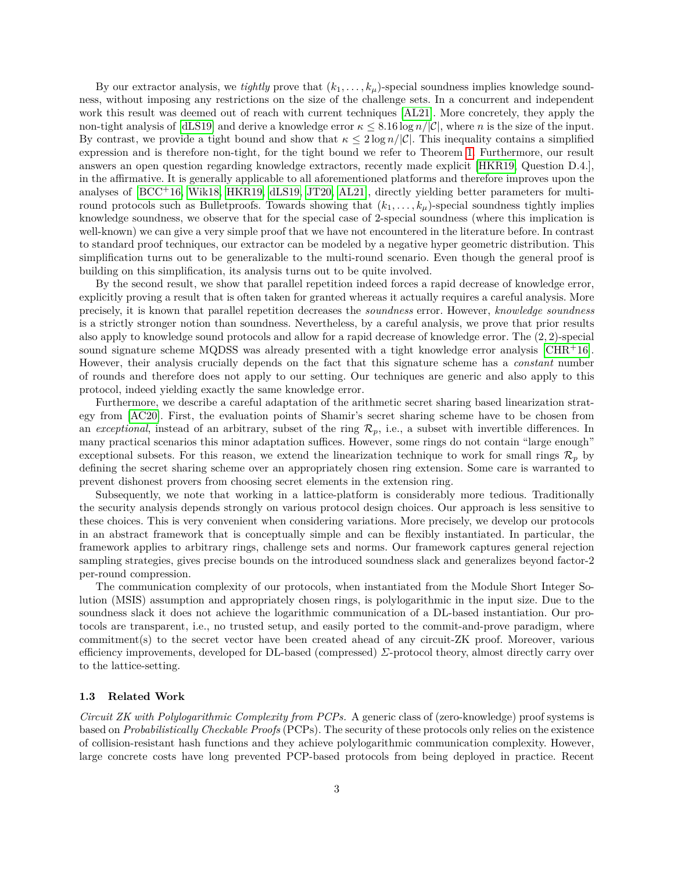By our extractor analysis, we *tightly* prove that  $(k_1, \ldots, k_\mu)$ -special soundness implies knowledge soundness, without imposing any restrictions on the size of the challenge sets. In a concurrent and independent work this result was deemed out of reach with current techniques [\[AL21\]](#page-33-4). More concretely, they apply the non-tight analysis of  $dLST9$  and derive a knowledge error  $\kappa \leq 8.16 \log n / |\mathcal{C}|$ , where *n* is the size of the input. By contrast, we provide a tight bound and show that  $\kappa \leq 2 \log n / |\mathcal{C}|$ . This inequality contains a simplified expression and is therefore non-tight, for the tight bound we refer to Theorem [1.](#page-8-0) Furthermore, our result answers an open question regarding knowledge extractors, recently made explicit [\[HKR19,](#page-34-1) Question D.4.], in the affirmative. It is generally applicable to all aforementioned platforms and therefore improves upon the analyses of [\[BCC](#page-33-1)<sup>+</sup>16, [Wik18,](#page-35-0) [HKR19,](#page-34-1) [dLS19,](#page-34-2) [JT20,](#page-34-3) [AL21\]](#page-33-4), directly yielding better parameters for multiround protocols such as Bulletproofs. Towards showing that  $(k_1, \ldots, k_\mu)$ -special soundness tightly implies knowledge soundness, we observe that for the special case of 2-special soundness (where this implication is well-known) we can give a very simple proof that we have not encountered in the literature before. In contrast to standard proof techniques, our extractor can be modeled by a negative hyper geometric distribution. This simplification turns out to be generalizable to the multi-round scenario. Even though the general proof is building on this simplification, its analysis turns out to be quite involved.

By the second result, we show that parallel repetition indeed forces a rapid decrease of knowledge error, explicitly proving a result that is often taken for granted whereas it actually requires a careful analysis. More precisely, it is known that parallel repetition decreases the *soundness* error. However, *knowledge soundness* is a strictly stronger notion than soundness. Nevertheless, by a careful analysis, we prove that prior results also apply to knowledge sound protocols and allow for a rapid decrease of knowledge error. The (2*,* 2)-special sound signature scheme MQDSS was already presented with a tight knowledge error analysis [\[CHR](#page-33-7)+16]. However, their analysis crucially depends on the fact that this signature scheme has a *constant* number of rounds and therefore does not apply to our setting. Our techniques are generic and also apply to this protocol, indeed yielding exactly the same knowledge error.

Furthermore, we describe a careful adaptation of the arithmetic secret sharing based linearization strategy from [\[AC20\]](#page-33-0). First, the evaluation points of Shamir's secret sharing scheme have to be chosen from an *exceptional*, instead of an arbitrary, subset of the ring  $\mathcal{R}_p$ , i.e., a subset with invertible differences. In many practical scenarios this minor adaptation suffices. However, some rings do not contain "large enough" exceptional subsets. For this reason, we extend the linearization technique to work for small rings  $\mathcal{R}_p$  by defining the secret sharing scheme over an appropriately chosen ring extension. Some care is warranted to prevent dishonest provers from choosing secret elements in the extension ring.

Subsequently, we note that working in a lattice-platform is considerably more tedious. Traditionally the security analysis depends strongly on various protocol design choices. Our approach is less sensitive to these choices. This is very convenient when considering variations. More precisely, we develop our protocols in an abstract framework that is conceptually simple and can be flexibly instantiated. In particular, the framework applies to arbitrary rings, challenge sets and norms. Our framework captures general rejection sampling strategies, gives precise bounds on the introduced soundness slack and generalizes beyond factor-2 per-round compression.

The communication complexity of our protocols, when instantiated from the Module Short Integer Solution (MSIS) assumption and appropriately chosen rings, is polylogarithmic in the input size. Due to the soundness slack it does not achieve the logarithmic communication of a DL-based instantiation. Our protocols are transparent, i.e., no trusted setup, and easily ported to the commit-and-prove paradigm, where commitment(s) to the secret vector have been created ahead of any circuit-ZK proof. Moreover, various efficiency improvements, developed for DL-based (compressed) *Σ*-protocol theory, almost directly carry over to the lattice-setting.

### **1.3 Related Work**

*Circuit ZK with Polylogarithmic Complexity from PCPs.* A generic class of (zero-knowledge) proof systems is based on *Probabilistically Checkable Proofs* (PCPs). The security of these protocols only relies on the existence of collision-resistant hash functions and they achieve polylogarithmic communication complexity. However, large concrete costs have long prevented PCP-based protocols from being deployed in practice. Recent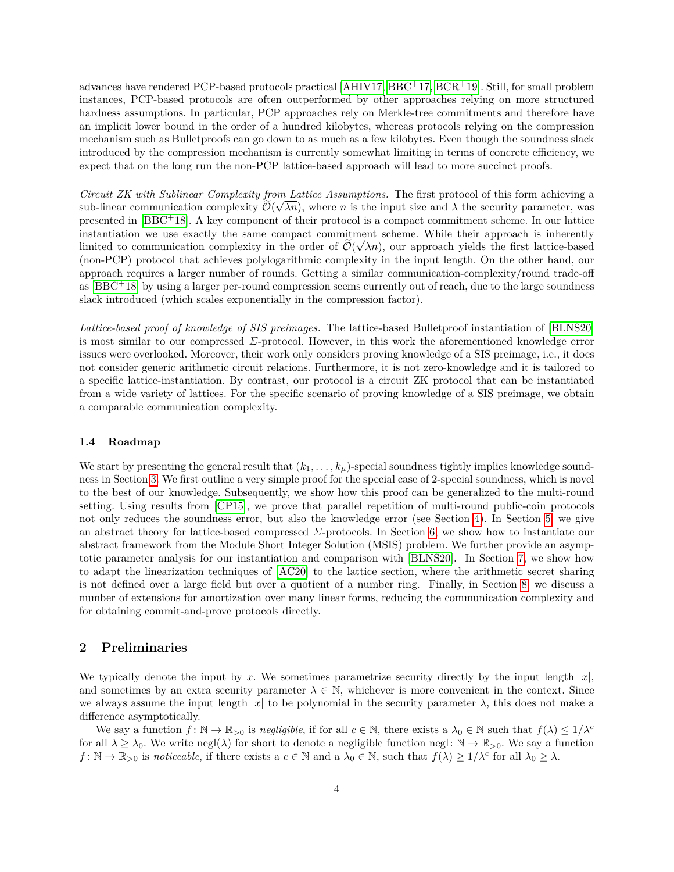advances have rendered PCP-based protocols practical [\[AHIV17,](#page-33-8) [BBC](#page-33-9)<sup>+</sup>17, [BCR](#page-33-10)<sup>+</sup>19]. Still, for small problem instances, PCP-based protocols are often outperformed by other approaches relying on more structured hardness assumptions. In particular, PCP approaches rely on Merkle-tree commitments and therefore have an implicit lower bound in the order of a hundred kilobytes, whereas protocols relying on the compression mechanism such as Bulletproofs can go down to as much as a few kilobytes. Even though the soundness slack introduced by the compression mechanism is currently somewhat limiting in terms of concrete efficiency, we expect that on the long run the non-PCP lattice-based approach will lead to more succinct proofs.

*Circuit ZK with Sublinear Complexity from Lattice Assumptions.* The first protocol of this form achieving a sub-linear communication complexity  $\mathcal{O}(\sqrt{\lambda n})$ , where *n* is the input size and  $\lambda$  the security parameter, was presented in  $[BBC + 18]$  $[BBC + 18]$ . A key component of their protocol is a compact commitment scheme. In our lattice instantiation we use exactly the same compact commitment scheme. While their approach is inherently limited to communication complexity in the order of  $\mathcal{O}(\sqrt{\lambda n})$ , our approach yields the first lattice-based (non-PCP) protocol that achieves polylogarithmic complexity in the input length. On the other hand, our approach requires a larger number of rounds. Getting a similar communication-complexity/round trade-off as [\[BBC](#page-33-11)<sup>+</sup>18] by using a larger per-round compression seems currently out of reach, due to the large soundness slack introduced (which scales exponentially in the compression factor).

*Lattice-based proof of knowledge of SIS preimages.* The lattice-based Bulletproof instantiation of [\[BLNS20\]](#page-33-3) is most similar to our compressed *Σ*-protocol. However, in this work the aforementioned knowledge error issues were overlooked. Moreover, their work only considers proving knowledge of a SIS preimage, i.e., it does not consider generic arithmetic circuit relations. Furthermore, it is not zero-knowledge and it is tailored to a specific lattice-instantiation. By contrast, our protocol is a circuit ZK protocol that can be instantiated from a wide variety of lattices. For the specific scenario of proving knowledge of a SIS preimage, we obtain a comparable communication complexity.

### **1.4 Roadmap**

We start by presenting the general result that  $(k_1, \ldots, k_\mu)$ -special soundness tightly implies knowledge soundness in Section [3.](#page-8-1) We first outline a very simple proof for the special case of 2-special soundness, which is novel to the best of our knowledge. Subsequently, we show how this proof can be generalized to the multi-round setting. Using results from [\[CP15\]](#page-33-6), we prove that parallel repetition of multi-round public-coin protocols not only reduces the soundness error, but also the knowledge error (see Section [4\)](#page-15-0). In Section [5,](#page-17-0) we give an abstract theory for lattice-based compressed *Σ*-protocols. In Section [6,](#page-26-0) we show how to instantiate our abstract framework from the Module Short Integer Solution (MSIS) problem. We further provide an asymptotic parameter analysis for our instantiation and comparison with [\[BLNS20\]](#page-33-3). In Section [7,](#page-29-0) we show how to adapt the linearization techniques of [\[AC20\]](#page-33-0) to the lattice section, where the arithmetic secret sharing is not defined over a large field but over a quotient of a number ring. Finally, in Section [8,](#page-31-0) we discuss a number of extensions for amortization over many linear forms, reducing the communication complexity and for obtaining commit-and-prove protocols directly.

# <span id="page-3-0"></span>**2 Preliminaries**

We typically denote the input by x. We sometimes parametrize security directly by the input length  $|x|$ , and sometimes by an extra security parameter  $\lambda \in \mathbb{N}$ , whichever is more convenient in the context. Since we always assume the input length |*x*| to be polynomial in the security parameter  $\lambda$ , this does not make a difference asymptotically.

We say a function  $f: \mathbb{N} \to \mathbb{R}_{>0}$  is *negligible*, if for all  $c \in \mathbb{N}$ , there exists a  $\lambda_0 \in \mathbb{N}$  such that  $f(\lambda) \leq 1/\lambda^c$ for all  $\lambda \geq \lambda_0$ . We write negl( $\lambda$ ) for short to denote a negligible function negl:  $\mathbb{N} \to \mathbb{R}_{>0}$ . We say a function  $f: \mathbb{N} \to \mathbb{R}_{>0}$  is *noticeable*, if there exists a  $c \in \mathbb{N}$  and a  $\lambda_0 \in \mathbb{N}$ , such that  $f(\lambda) \geq 1/\lambda^c$  for all  $\lambda_0 \geq \lambda$ .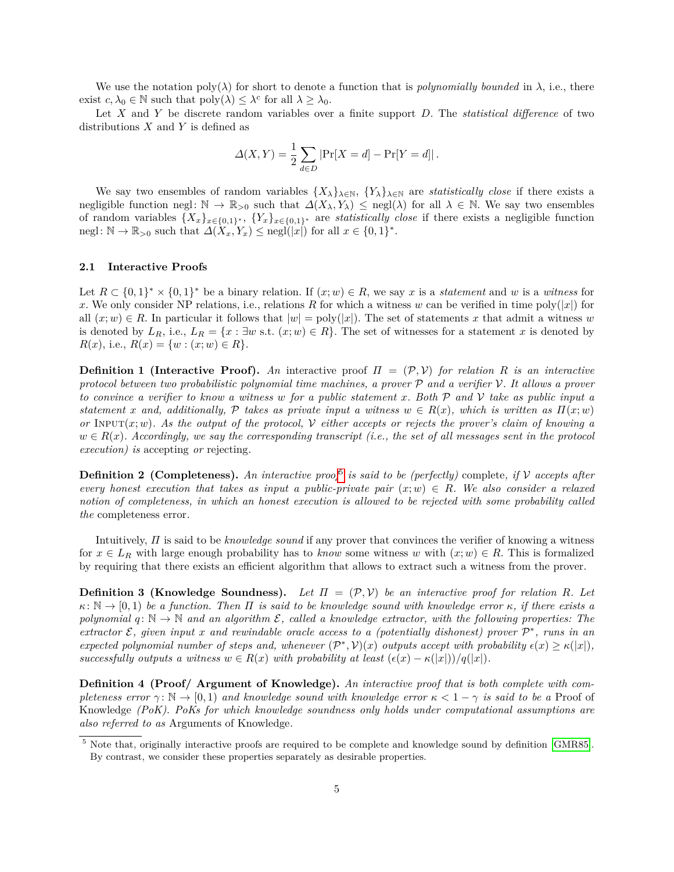We use the notation  $\text{poly}(\lambda)$  for short to denote a function that is *polynomially bounded* in  $\lambda$ , i.e., there exist  $c, \lambda_0 \in \mathbb{N}$  such that  $\text{poly}(\lambda) \leq \lambda^c$  for all  $\lambda \geq \lambda_0$ .

Let *X* and *Y* be discrete random variables over a finite support *D*. The *statistical difference* of two distributions *X* and *Y* is defined as

$$
\Delta(X, Y) = \frac{1}{2} \sum_{d \in D} |\Pr[X = d] - \Pr[Y = d]|.
$$

We say two ensembles of random variables  $\{X_{\lambda}\}_{\lambda\in\mathbb{N}}$ ,  $\{Y_{\lambda}\}_{\lambda\in\mathbb{N}}$  are *statistically close* if there exists a negligible function negl:  $\mathbb{N} \to \mathbb{R}_{>0}$  such that  $\Delta(X_\lambda, Y_\lambda) \leq \text{negl}(\lambda)$  for all  $\lambda \in \mathbb{N}$ . We say two ensembles of random variables  $\{X_x\}_{x \in \{0,1\}^*}$ ,  $\{Y_x\}_{x \in \{0,1\}^*}$  are *statistically close* if there exists a negligible function negl:  $\mathbb{N} \to \mathbb{R}_{>0}$  such that  $\Delta(X_x, Y_x) \le \text{negl}(|x|)$  for all  $x \in \{0, 1\}^*$ .

### **2.1 Interactive Proofs**

Let  $R \subset \{0,1\}^* \times \{0,1\}^*$  be a binary relation. If  $(x; w) \in R$ , we say x is a *statement* and w is a witness for x. We only consider NP relations, i.e., relations R for which a witness w can be verified in time poly $(|x|)$  for all  $(x; w) \in R$ . In particular it follows that  $|w| = \text{poly}(|x|)$ . The set of statements x that admit a witness w is denoted by  $L_R$ , i.e.,  $L_R = \{x : \exists w \text{ s.t. } (x; w) \in R\}$ . The set of witnesses for a statement *x* is denoted by *R*(*x*), i.e.,  $R(x) = \{w : (x; w) \in R\}.$ 

**Definition 1 (Interactive Proof).** An interactive proof  $\Pi = (\mathcal{P}, \mathcal{V})$  for relation R is an interactive *protocol between two probabilistic polynomial time machines, a prover* P *and a verifier* V*. It allows a prover to convince a verifier to know a witness w for a public statement x. Both* P *and* V *take as public input a statement x* and, additionally,  $P$  *takes as private input a witness*  $w \in R(x)$ *, which is written as*  $\Pi(x; w)$ *or* INPUT $(x; w)$ *. As the output of the protocol,*  $\mathcal V$  *either accepts or rejects the prover's claim of knowing a*  $w \in R(x)$ . Accordingly, we say the corresponding transcript (i.e., the set of all messages sent in the protocol *execution) is* accepting *or* rejecting*.*

**Definition 2 (Completeness).** An interactive proof is said to be (perfectly) complete, if V accepts after *every honest execution that takes as input a public-private pair*  $(x; w) \in R$ *. We also consider a relaxed notion of completeness, in which an honest execution is allowed to be rejected with some probability called the* completeness error*.*

Intuitively, *Π* is said to be *knowledge sound* if any prover that convinces the verifier of knowing a witness for  $x \in L_R$  with large enough probability has to *know* some witness w with  $(x; w) \in R$ . This is formalized by requiring that there exists an efficient algorithm that allows to extract such a witness from the prover.

<span id="page-4-1"></span>**Definition 3 (Knowledge Soundness).** Let  $\Pi = (\mathcal{P}, \mathcal{V})$  be an interactive proof for relation R. Let  $\kappa: \mathbb{N} \to [0, 1]$  *be a function. Then Π is said to be knowledge sound with knowledge error*  $\kappa$ *, if there exists a polynomial*  $q: \mathbb{N} \to \mathbb{N}$  *and an algorithm*  $\mathcal{E}$ , called a knowledge extractor, with the following properties: The  $extraction \mathcal{E}$ , given input *x* and rewindable oracle access to a (potentially dishonest) prover  $\mathcal{P}^*$ , runs in an *expected polynomial number of steps and, whenever*  $(\mathcal{P}^*, \mathcal{V})(x)$  *<i>outputs accept with probability*  $\epsilon(x) \geq \kappa(|x|)$ *, successfully outputs a witness*  $w \in R(x)$  *with probability at least*  $(\epsilon(x) - \kappa(|x|))/q(|x|)$ *.* 

**Definition 4 (Proof/ Argument of Knowledge).** *An interactive proof that is both complete with completeness error*  $\gamma : \mathbb{N} \to [0,1)$  *and knowledge sound with knowledge error*  $\kappa < 1 - \gamma$  *is said to be a* Proof of Knowledge *(PoK). PoKs for which knowledge soundness only holds under computational assumptions are also referred to as* Arguments of Knowledge*.*

<span id="page-4-0"></span><sup>5</sup> Note that, originally interactive proofs are required to be complete and knowledge sound by definition [\[GMR85\]](#page-34-5). By contrast, we consider these properties separately as desirable properties.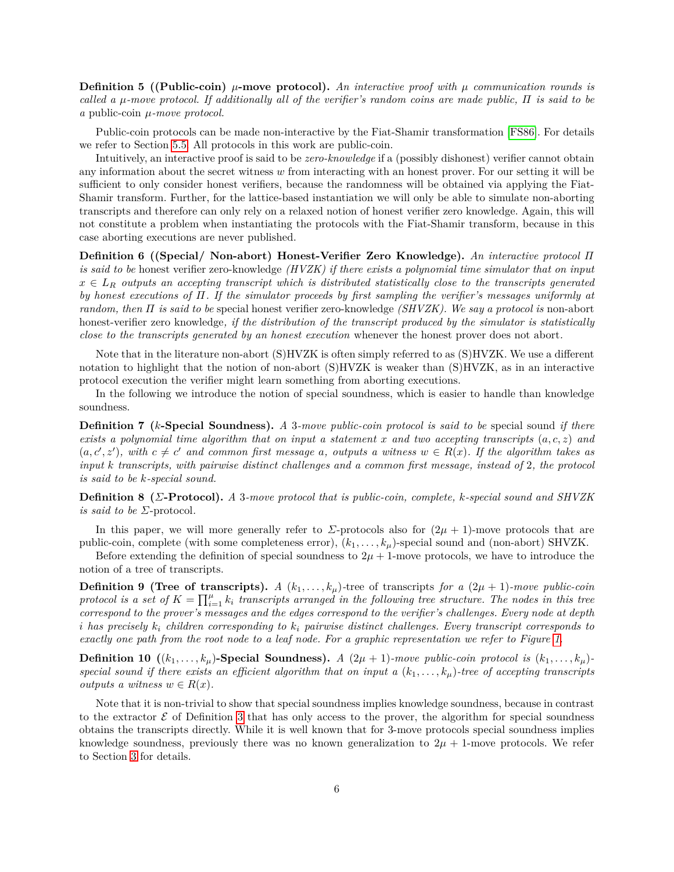**Definition 5 ((Public-coin)** *µ***-move protocol).** *An interactive proof with µ communication rounds is called a µ-move protocol. If additionally all of the verifier's random coins are made public, Π is said to be a* public-coin *µ-move protocol.*

Public-coin protocols can be made non-interactive by the Fiat-Shamir transformation [\[FS86\]](#page-34-0). For details we refer to Section [5.5.](#page-25-0) All protocols in this work are public-coin.

Intuitively, an interactive proof is said to be *zero-knowledge* if a (possibly dishonest) verifier cannot obtain any information about the secret witness *w* from interacting with an honest prover. For our setting it will be sufficient to only consider honest verifiers, because the randomness will be obtained via applying the Fiat-Shamir transform. Further, for the lattice-based instantiation we will only be able to simulate non-aborting transcripts and therefore can only rely on a relaxed notion of honest verifier zero knowledge. Again, this will not constitute a problem when instantiating the protocols with the Fiat-Shamir transform, because in this case aborting executions are never published.

**Definition 6 ((Special/ Non-abort) Honest-Verifier Zero Knowledge).** *An interactive protocol Π is said to be* honest verifier zero-knowledge *(HVZK) if there exists a polynomial time simulator that on input*  $x \in L_R$  *outputs an accepting transcript which is distributed statistically close to the transcripts generated by honest executions of Π. If the simulator proceeds by first sampling the verifier's messages uniformly at random, then Π is said to be* special honest verifier zero-knowledge *(SHVZK). We say a protocol is* non-abort honest-verifier zero knowledge*, if the distribution of the transcript produced by the simulator is statistically close to the transcripts generated by an honest execution* whenever the honest prover does not abort*.*

Note that in the literature non-abort (S)HVZK is often simply referred to as (S)HVZK. We use a different notation to highlight that the notion of non-abort (S)HVZK is weaker than (S)HVZK, as in an interactive protocol execution the verifier might learn something from aborting executions.

In the following we introduce the notion of special soundness, which is easier to handle than knowledge soundness.

**Definition 7 (***k***-Special Soundness).** *A* 3*-move public-coin protocol is said to be* special sound *if there exists a polynomial time algorithm that on input a statement x and two accepting transcripts* (*a, c, z*) *and*  $(a, c', z')$ , with  $c \neq c'$  and common first message a, outputs a witness  $w \in R(x)$ . If the algorithm takes as *input k transcripts, with pairwise distinct challenges and a common first message, instead of* 2*, the protocol is said to be k-special sound.*

**Definition 8 (***Σ***-Protocol).** *A* 3*-move protocol that is public-coin, complete, k-special sound and SHVZK is said to be Σ*-protocol*.*

In this paper, we will more generally refer to *Σ*-protocols also for  $(2\mu + 1)$ -move protocols that are public-coin, complete (with some completeness error), (*k*1*, . . . , kµ*)-special sound and (non-abort) SHVZK.

Before extending the definition of special soundness to  $2\mu + 1$ -move protocols, we have to introduce the notion of a tree of transcripts.

**Definition 9 (Tree of transcripts).** *A*  $(k_1, \ldots, k_\mu)$ -tree of transcripts *for a*  $(2\mu + 1)$ *-move public-coin* protocol is a set of  $K = \prod_{i=1}^{\mu} k_i$  transcripts arranged in the following tree structure. The nodes in this tree *correspond to the prover's messages and the edges correspond to the verifier's challenges. Every node at depth i has precisely k<sup>i</sup> children corresponding to k<sup>i</sup> pairwise distinct challenges. Every transcript corresponds to exactly one path from the root node to a leaf node. For a graphic representation we refer to Figure [1.](#page-6-0)*

**Definition 10**  $((k_1, \ldots, k_\mu)$ **-Special Soundness).** *A*  $(2\mu + 1)$ *-move public-coin protocol is*  $(k_1, \ldots, k_\mu)$ *special sound if there exists an efficient algorithm that on input a*  $(k_1, \ldots, k_\mu)$ *-tree of accepting transcripts outputs a witness*  $w \in R(x)$ *.* 

Note that it is non-trivial to show that special soundness implies knowledge soundness, because in contrast to the extractor  $\mathcal E$  of Definition [3](#page-4-1) that has only access to the prover, the algorithm for special soundness obtains the transcripts directly. While it is well known that for 3-move protocols special soundness implies knowledge soundness, previously there was no known generalization to  $2\mu + 1$ -move protocols. We refer to Section [3](#page-8-1) for details.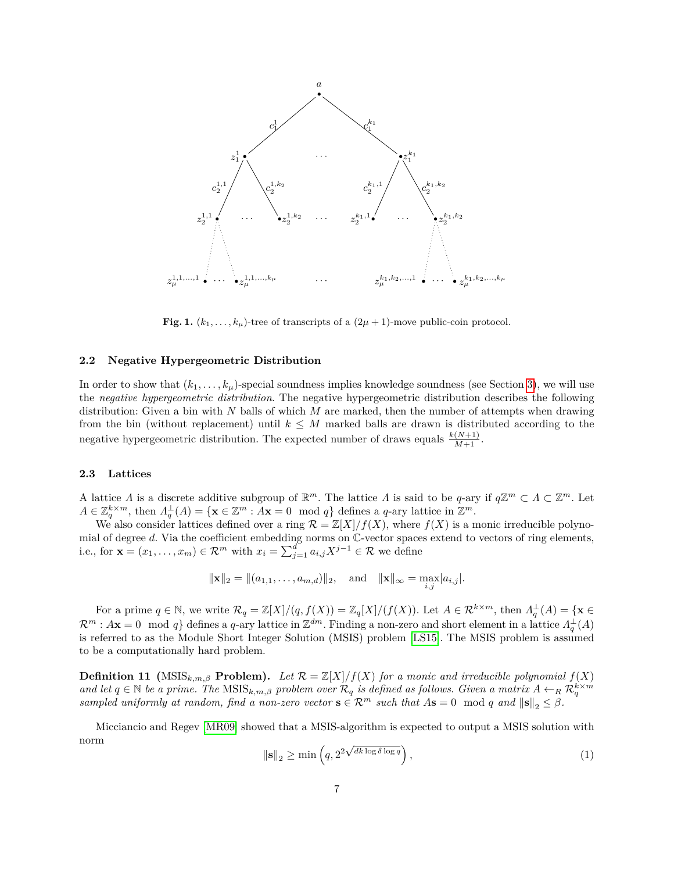

<span id="page-6-0"></span>**Fig. 1.**  $(k_1, \ldots, k_\mu)$ -tree of transcripts of a  $(2\mu + 1)$ -move public-coin protocol.

# <span id="page-6-2"></span>**2.2 Negative Hypergeometric Distribution**

In order to show that  $(k_1, \ldots, k_\mu)$ -special soundness implies knowledge soundness (see Section [3\)](#page-8-1), we will use the *negative hypergeometric distribution*. The negative hypergeometric distribution describes the following distribution: Given a bin with *N* balls of which *M* are marked, then the number of attempts when drawing from the bin (without replacement) until  $k \leq M$  marked balls are drawn is distributed according to the negative hypergeometric distribution. The expected number of draws equals  $\frac{k(N+1)}{M+1}$ .

#### **2.3 Lattices**

A lattice *Λ* is a discrete additive subgroup of  $\mathbb{R}^m$ . The lattice *Λ* is said to be *q*-ary if  $q\mathbb{Z}^m \subset \Lambda \subset \mathbb{Z}^m$ . Let  $A \in \mathbb{Z}_q^{k \times m}$ , then  $\Lambda_q^{\perp}(A) = {\mathbf{x} \in \mathbb{Z}^m : A\mathbf{x} = 0 \mod q}$  defines a *q*-ary lattice in  $\mathbb{Z}^m$ .

We also consider lattices defined over a ring  $\mathcal{R} = \mathbb{Z}[X]/f(X)$ , where  $f(X)$  is a monic irreducible polynomial of degree *d*. Via the coefficient embedding norms on C-vector spaces extend to vectors of ring elements, i.e., for  $\mathbf{x} = (x_1, \ldots, x_m) \in \mathcal{R}^m$  with  $x_i = \sum_{j=1}^d a_{i,j} X^{j-1} \in \mathcal{R}$  we define

$$
\|\mathbf{x}\|_2 = \|(a_{1,1},\ldots,a_{m,d})\|_2
$$
, and  $\|\mathbf{x}\|_{\infty} = \max_{i,j} |a_{i,j}|$ .

For a prime  $q \in \mathbb{N}$ , we write  $\mathcal{R}_q = \mathbb{Z}[X]/(q, f(X)) = \mathbb{Z}_q[X]/(f(X))$ . Let  $A \in \mathcal{R}^{k \times m}$ , then  $\Lambda_q^{\perp}(A) = \{ \mathbf{x} \in \mathbb{N} \}$  $\mathcal{R}^m$ :  $A$ **x** = 0 mod *q*} defines a *q*-ary lattice in  $\mathbb{Z}^{dm}$ . Finding a non-zero and short element in a lattice  $\Lambda_q^{\perp}(A)$ is referred to as the Module Short Integer Solution (MSIS) problem [\[LS15\]](#page-34-6). The MSIS problem is assumed to be a computationally hard problem.

**Definition 11** ( $MSIS_{k,m,\beta}$  **Problem).** *Let*  $\mathcal{R} = \mathbb{Z}[X]/f(X)$  *for a monic and irreducible polynomial*  $f(X)$ *and let*  $q \in \mathbb{N}$  *be a prime. The*  $MSSs_{k,m,\beta}$  *problem over*  $\mathcal{R}_q$  *is defined as follows. Given a matrix*  $A \leftarrow_R \mathcal{R}_q^{k \times m}$ *sampled uniformly at random, find a non-zero vector*  $\mathbf{s} \in \mathcal{R}^m$  *such that*  $A\mathbf{s} = 0 \mod q$  *and*  $\|\mathbf{s}\|_2 \leq \beta$ .

Micciancio and Regev [\[MR09\]](#page-35-1) showed that a MSIS-algorithm is expected to output a MSIS solution with norm √

<span id="page-6-1"></span>
$$
\|\mathbf{s}\|_2 \ge \min\left(q, 2^{2\sqrt{dk\log\delta\log q}}\right),\tag{1}
$$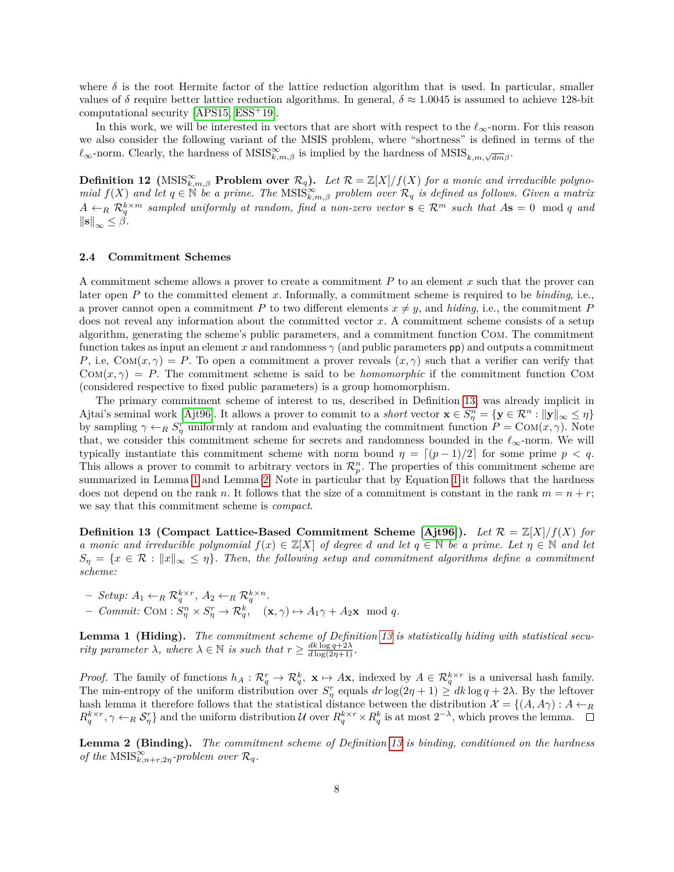where  $\delta$  is the root Hermite factor of the lattice reduction algorithm that is used. In particular, smaller values of  $\delta$  require better lattice reduction algorithms. In general,  $\delta \approx 1.0045$  is assumed to achieve 128-bit computational security [\[APS15,](#page-33-12) [ESS](#page-34-7)<sup>+</sup>19].

In this work, we will be interested in vectors that are short with respect to the *ℓ*∞-norm. For this reason we also consider the following variant of the MSIS problem, where "shortness" is defined in terms of the  $\ell_{\infty}$ -norm. Clearly, the hardness of  $\text{MSIS}_{k,m,\beta}^{\infty}$  is implied by the hardness of  $\text{MSIS}_{k,m,\sqrt{dm}\beta}$ .

**Definition 12**  $(MSIS_{k,m,\beta}^{\infty}$  **Problem over**  $\mathcal{R}_q$ ). Let  $\mathcal{R} = \mathbb{Z}[X]/f(X)$  for a monic and irreducible polyno*mial*  $f(X)$  and let  $q \in \mathbb{N}$  be a prime. The  $\text{MSIS}_{k,m,\beta}^{\infty}$  problem over  $\mathcal{R}_q$  is defined as follows. Given a matrix  $A \leftarrow_R \mathcal{R}_q^{k \times m}$  sampled uniformly at random, find a non-zero vector  $\mathbf{s} \in \mathcal{R}^m$  such that  $A\mathbf{s} = 0 \mod q$  and ∥**s**∥<sup>∞</sup> ≤ *β.*

### **2.4 Commitment Schemes**

A commitment scheme allows a prover to create a commitment *P* to an element *x* such that the prover can later open *P* to the committed element *x*. Informally, a commitment scheme is required to be *binding*, i.e., a prover cannot open a commitment *P* to two different elements  $x \neq y$ , and *hiding*, i.e., the commitment *P* does not reveal any information about the committed vector x. A commitment scheme consists of a setup algorithm, generating the scheme's public parameters, and a commitment function Com. The commitment function takes as input an element *x* and randomness *γ* (and public parameters pp) and outputs a commitment *P*, i.e, COM( $x, \gamma$ ) = *P*. To open a commitment a prover reveals  $(x, \gamma)$  such that a verifier can verify that COM $(x, \gamma) = P$ . The commitment scheme is said to be *homomorphic* if the commitment function COM (considered respective to fixed public parameters) is a group homomorphism.

The primary commitment scheme of interest to us, described in Definition [13,](#page-7-0) was already implicit in Ajtai's seminal work [\[Ajt96\]](#page-33-13). It allows a prover to commit to a *short* vector  $\mathbf{x} \in S_{\eta}^{n} = {\mathbf{y} \in \mathcal{R}^{n} : ||\mathbf{y}||_{\infty} \leq \eta}$ by sampling  $\gamma \leftarrow_R S_{\eta}^r$  uniformly at random and evaluating the commitment function  $P = \text{Com}(x, \gamma)$ . Note that, we consider this commitment scheme for secrets and randomness bounded in the *ℓ*∞-norm. We will typically instantiate this commitment scheme with norm bound  $\eta = \left\lfloor (p-1)/2 \right\rfloor$  for some prime  $p < q$ . This allows a prover to commit to arbitrary vectors in  $\mathcal{R}_p^n$ . The properties of this commitment scheme are summarized in Lemma [1](#page-7-1) and Lemma [2.](#page-7-2) Note in particular that by Equation [1](#page-6-1) it follows that the hardness does not depend on the rank *n*. It follows that the size of a commitment is constant in the rank  $m = n + r$ ; we say that this commitment scheme is *compact*.

<span id="page-7-0"></span>**Definition 13** (Compact Lattice-Based Commitment Scheme [\[Ajt96\]](#page-33-13)). Let  $\mathcal{R} = \mathbb{Z}[X]/f(X)$  for *a monic and irreducible polynomial*  $f(x) \in \mathbb{Z}[X]$  *of degree d and let*  $q \in \mathbb{N}$  *be a prime. Let*  $\eta \in \mathbb{N}$  *and let*  $S_{\eta} = \{x \in \mathcal{R} : ||x||_{\infty} \leq \eta\}$ *. Then, the following setup and commitment algorithms define a commitment scheme:*

 $-$  *Setup:*  $A_1 \leftarrow_R \mathcal{R}_q^{k \times r}$ ,  $A_2 \leftarrow_R \mathcal{R}_q^{k \times n}$ .  $-$  *Commit:* COM :  $S_n^n \times S_n^r \to \mathcal{R}_q^k$ ,  $(\mathbf{x}, \gamma) \mapsto A_1 \gamma + A_2 \mathbf{x} \mod q$ .

<span id="page-7-1"></span>**Lemma 1 (Hiding).** *The commitment scheme of Definition [13](#page-7-0) is statistically hiding with statistical security parameter*  $\lambda$ *, where*  $\lambda \in \mathbb{N}$  *is such that*  $r \geq \frac{dk \log q + 2\lambda}{d \log(2\eta + 1)}$ *.* 

*Proof.* The family of functions  $h_A: \mathcal{R}_q^r \to \mathcal{R}_q^k$ ,  $\mathbf{x} \mapsto A\mathbf{x}$ , indexed by  $A \in \mathcal{R}_q^{k \times r}$  is a universal hash family. The min-entropy of the uniform distribution over  $S^r_\eta$  equals  $dr \log(2\eta + 1) \geq dk \log q + 2\lambda$ . By the leftover hash lemma it therefore follows that the statistical distance between the distribution  $\mathcal{X} = \{(A, A\gamma) : A \leftarrow_R A\}$  $R_q^{k \times r}$ ,  $\gamma \leftarrow_R \mathcal{S}_\eta^r$  } and the uniform distribution U over  $R_q^{k \times r} \times R_q^k$  is at most  $2^{-\lambda}$ , which proves the lemma.

<span id="page-7-2"></span>**Lemma 2 (Binding).** *The commitment scheme of Definition [13](#page-7-0) is binding, conditioned on the hardness* of the  $\text{MSIS}_{k,n+r,2\eta}^{\infty}$ -problem over  $\mathcal{R}_q$ .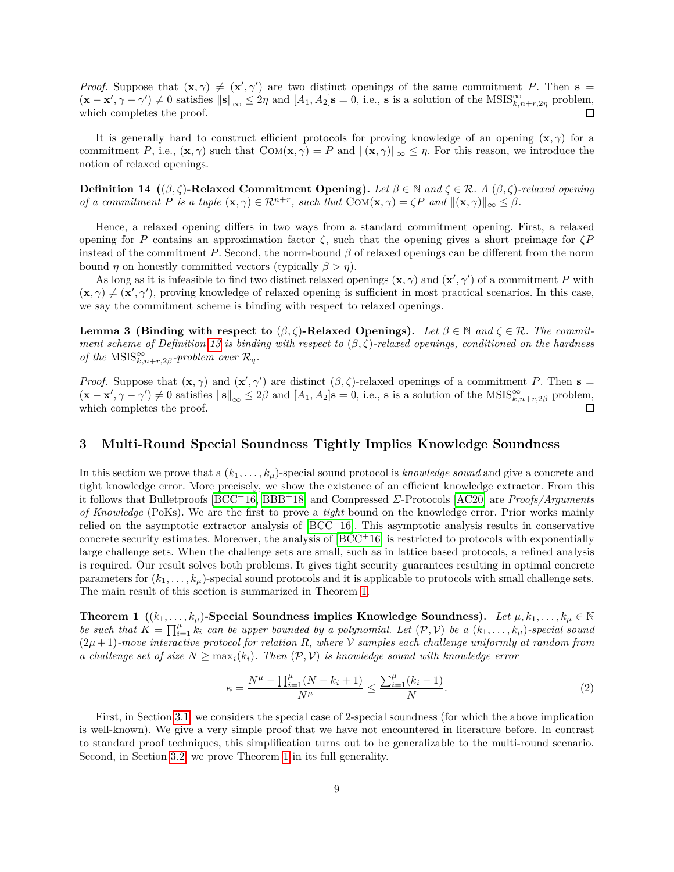*Proof.* Suppose that  $(\mathbf{x}, \gamma) \neq (\mathbf{x}', \gamma')$  are two distinct openings of the same commitment *P*. Then **s** =  $(\mathbf{x} - \mathbf{x}', \gamma - \gamma') \neq 0$  satisfies  $\|\mathbf{s}\|_{\infty} \leq 2\eta$  and  $[A_1, A_2] \mathbf{s} = 0$ , i.e., **s** is a solution of the MSIS $_{k,n+r,2\eta}^{\infty}$  problem, which completes the proof.  $\Box$ 

It is generally hard to construct efficient protocols for proving knowledge of an opening  $(\mathbf{x}, \gamma)$  for a commitment *P*, i.e.,  $(\mathbf{x}, \gamma)$  such that  $COM(\mathbf{x}, \gamma) = P$  and  $\|(\mathbf{x}, \gamma)\|_{\infty} \leq \eta$ . For this reason, we introduce the notion of relaxed openings.

**Definition 14**  $((\beta, \zeta)$ -Relaxed Commitment Opening). Let  $\beta \in \mathbb{N}$  and  $\zeta \in \mathcal{R}$ . A  $(\beta, \zeta)$ -relaxed opening *of a commitment P is a tuple*  $(\mathbf{x}, \gamma) \in \mathbb{R}^{n+r}$ , such that  $COM(\mathbf{x}, \gamma) = \zeta P$  and  $\|(\mathbf{x}, \gamma)\|_{\infty} \leq \beta$ .

Hence, a relaxed opening differs in two ways from a standard commitment opening. First, a relaxed opening for *P* contains an approximation factor *ζ*, such that the opening gives a short preimage for *ζP* instead of the commitment *P*. Second, the norm-bound  $\beta$  of relaxed openings can be different from the norm bound  $\eta$  on honestly committed vectors (typically  $\beta > \eta$ ).

As long as it is infeasible to find two distinct relaxed openings  $(\mathbf{x}, \gamma)$  and  $(\mathbf{x}', \gamma')$  of a commitment *P* with  $({\bf x}, \gamma) \neq ({\bf x}', \gamma')$ , proving knowledge of relaxed opening is sufficient in most practical scenarios. In this case, we say the commitment scheme is binding with respect to relaxed openings.

<span id="page-8-2"></span>**Lemma 3 (Binding with respect to**  $(\beta, \zeta)$ **-Relaxed Openings).** Let  $\beta \in \mathbb{N}$  and  $\zeta \in \mathcal{R}$ . The commit*ment scheme of Definition [13](#page-7-0) is binding with respect to* (*β, ζ*)*-relaxed openings, conditioned on the hardness of the*  $\text{MSIS}_{k,n+r,2\beta}^{\infty}$ *-problem over*  $\mathcal{R}_q$ *.* 

*Proof.* Suppose that  $(\mathbf{x}, \gamma)$  and  $(\mathbf{x}', \gamma')$  are distinct  $(\beta, \zeta)$ -relaxed openings of a commitment *P*. Then **s** =  $(\mathbf{x} - \mathbf{x}', \gamma - \gamma') \neq 0$  satisfies  $\|\mathbf{s}\|_{\infty} \leq 2\beta$  and  $[A_1, A_2] \mathbf{s} = 0$ , i.e., **s** is a solution of the MSIS $_{k,n+r,2\beta}^{\infty}$  problem, which completes the proof.  $\Box$ 

# <span id="page-8-1"></span>**3 Multi-Round Special Soundness Tightly Implies Knowledge Soundness**

In this section we prove that a  $(k_1, \ldots, k_\mu)$ -special sound protocol is *knowledge sound* and give a concrete and tight knowledge error. More precisely, we show the existence of an efficient knowledge extractor. From this it follows that Bulletproofs [\[BCC](#page-33-1)<sup>+</sup>16, [BBB](#page-33-2)<sup>+</sup>18] and Compressed *Σ*-Protocols [\[AC20\]](#page-33-0) are *Proofs/Arguments of Knowledge* (PoKs). We are the first to prove a *tight* bound on the knowledge error. Prior works mainly relied on the asymptotic extractor analysis of  $[BCC<sup>+</sup>16]$  $[BCC<sup>+</sup>16]$ . This asymptotic analysis results in conservative concrete security estimates. Moreover, the analysis of  $[BCC<sup>+</sup>16]$  $[BCC<sup>+</sup>16]$  is restricted to protocols with exponentially large challenge sets. When the challenge sets are small, such as in lattice based protocols, a refined analysis is required. Our result solves both problems. It gives tight security guarantees resulting in optimal concrete parameters for  $(k_1, \ldots, k_\mu)$ -special sound protocols and it is applicable to protocols with small challenge sets. The main result of this section is summarized in Theorem [1.](#page-8-0)

<span id="page-8-0"></span>**Theorem 1**  $((k_1, \ldots, k_\mu)$ **-Special Soundness implies Knowledge Soundness).** *Let*  $\mu, k_1, \ldots, k_\mu \in \mathbb{N}$ *be such that*  $K = \prod_{i=1}^{\mu} k_i$  *can be upper bounded by a polynomial. Let*  $(\mathcal{P}, \mathcal{V})$  *be a*  $(k_1, \ldots, k_{\mu})$ *-special sound*  $(2\mu+1)$ -move interactive protocol for relation R, where V samples each challenge uniformly at random from *a challenge set of size*  $N \ge \max_i(k_i)$ *. Then*  $(\mathcal{P}, \mathcal{V})$  *is knowledge sound with knowledge error* 

<span id="page-8-3"></span>
$$
\kappa = \frac{N^{\mu} - \prod_{i=1}^{\mu} (N - k_i + 1)}{N^{\mu}} \le \frac{\sum_{i=1}^{\mu} (k_i - 1)}{N}.
$$
\n(2)

First, in Section [3.1,](#page-9-0) we considers the special case of 2-special soundness (for which the above implication is well-known). We give a very simple proof that we have not encountered in literature before. In contrast to standard proof techniques, this simplification turns out to be generalizable to the multi-round scenario. Second, in Section [3.2,](#page-10-0) we prove Theorem [1](#page-8-0) in its full generality.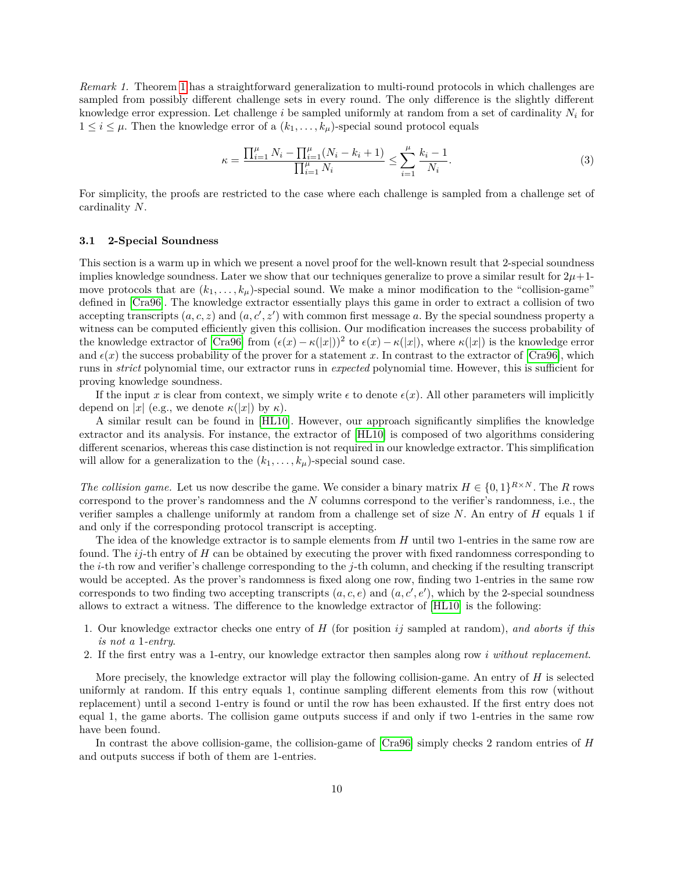*Remark [1](#page-8-0).* Theorem 1 has a straightforward generalization to multi-round protocols in which challenges are sampled from possibly different challenge sets in every round. The only difference is the slightly different knowledge error expression. Let challenge *i* be sampled uniformly at random from a set of cardinality *N<sup>i</sup>* for  $1 \leq i \leq \mu$ . Then the knowledge error of a  $(k_1, \ldots, k_{\mu})$ -special sound protocol equals

$$
\kappa = \frac{\prod_{i=1}^{\mu} N_i - \prod_{i=1}^{\mu} (N_i - k_i + 1)}{\prod_{i=1}^{\mu} N_i} \le \sum_{i=1}^{\mu} \frac{k_i - 1}{N_i}.
$$
\n(3)

For simplicity, the proofs are restricted to the case where each challenge is sampled from a challenge set of cardinality *N*.

### <span id="page-9-0"></span>**3.1 2-Special Soundness**

This section is a warm up in which we present a novel proof for the well-known result that 2-special soundness implies knowledge soundness. Later we show that our techniques generalize to prove a similar result for  $2\mu + 1$ move protocols that are  $(k_1, \ldots, k_\mu)$ -special sound. We make a minor modification to the "collision-game" defined in [\[Cra96\]](#page-34-8). The knowledge extractor essentially plays this game in order to extract a collision of two accepting transcripts  $(a, c, z)$  and  $(a, c', z')$  with common first message  $a$ . By the special soundness property a witness can be computed efficiently given this collision. Our modification increases the success probability of the knowledge extractor of [\[Cra96\]](#page-34-8) from  $(\epsilon(x) - \kappa(|x|))^2$  to  $\epsilon(x) - \kappa(|x|)$ , where  $\kappa(|x|)$  is the knowledge error and  $\epsilon(x)$  the success probability of the prover for a statement x. In contrast to the extractor of [\[Cra96\]](#page-34-8), which runs in *strict* polynomial time, our extractor runs in *expected* polynomial time. However, this is sufficient for proving knowledge soundness.

If the input *x* is clear from context, we simply write  $\epsilon$  to denote  $\epsilon(x)$ . All other parameters will implicitly depend on |*x*| (e.g., we denote  $\kappa(|x|)$  by  $\kappa$ ).

A similar result can be found in [\[HL10\]](#page-34-9). However, our approach significantly simplifies the knowledge extractor and its analysis. For instance, the extractor of [\[HL10\]](#page-34-9) is composed of two algorithms considering different scenarios, whereas this case distinction is not required in our knowledge extractor. This simplification will allow for a generalization to the  $(k_1, \ldots, k_\mu)$ -special sound case.

*The collision game.* Let us now describe the game. We consider a binary matrix  $H \in \{0,1\}^{R \times N}$ . The *R* rows correspond to the prover's randomness and the *N* columns correspond to the verifier's randomness, i.e., the verifier samples a challenge uniformly at random from a challenge set of size *N*. An entry of *H* equals 1 if and only if the corresponding protocol transcript is accepting.

The idea of the knowledge extractor is to sample elements from *H* until two 1-entries in the same row are found. The *ij*-th entry of *H* can be obtained by executing the prover with fixed randomness corresponding to the *i*-th row and verifier's challenge corresponding to the *j*-th column, and checking if the resulting transcript would be accepted. As the prover's randomness is fixed along one row, finding two 1-entries in the same row corresponds to two finding two accepting transcripts  $(a, c, e)$  and  $(a, c', e')$ , which by the 2-special soundness allows to extract a witness. The difference to the knowledge extractor of [\[HL10\]](#page-34-9) is the following:

- 1. Our knowledge extractor checks one entry of *H* (for position *ij* sampled at random), *and aborts if this is not a* 1*-entry*.
- 2. If the first entry was a 1-entry, our knowledge extractor then samples along row *i without replacement*.

More precisely, the knowledge extractor will play the following collision-game. An entry of *H* is selected uniformly at random. If this entry equals 1, continue sampling different elements from this row (without replacement) until a second 1-entry is found or until the row has been exhausted. If the first entry does not equal 1, the game aborts. The collision game outputs success if and only if two 1-entries in the same row have been found.

<span id="page-9-1"></span>In contrast the above collision-game, the collision-game of [\[Cra96\]](#page-34-8) simply checks 2 random entries of *H* and outputs success if both of them are 1-entries.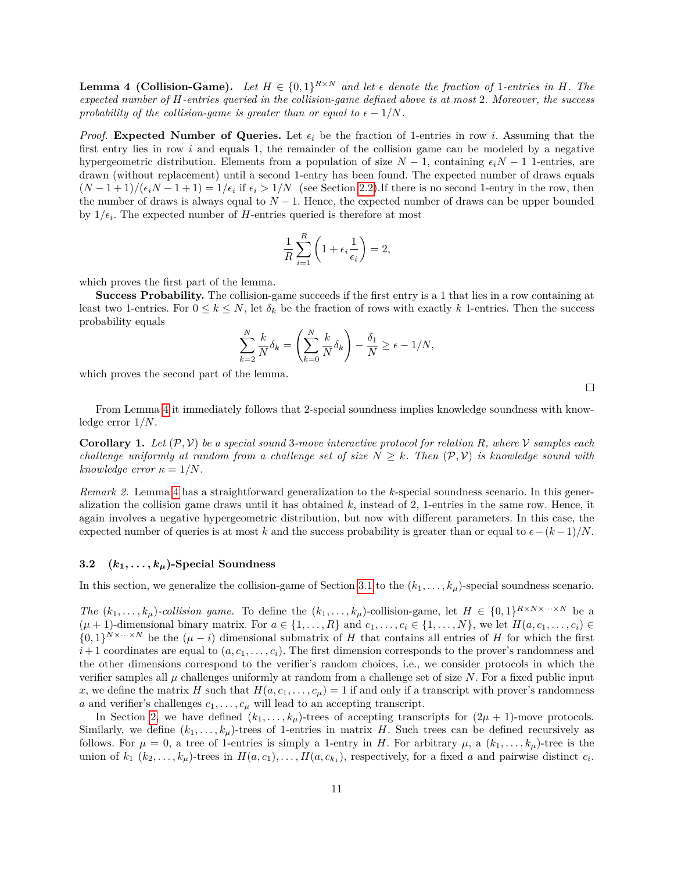**Lemma 4** (Collision-Game). Let  $H \in \{0,1\}^{R \times N}$  and let  $\epsilon$  denote the fraction of 1-entries in H. The *expected number of H-entries queried in the collision-game defined above is at most* 2*. Moreover, the success probability of the collision-game is greater than or equal to*  $\epsilon - 1/N$ .

*Proof.* **Expected Number of Queries.** Let  $\epsilon_i$  be the fraction of 1-entries in row *i*. Assuming that the first entry lies in row *i* and equals 1, the remainder of the collision game can be modeled by a negative hypergeometric distribution. Elements from a population of size  $N-1$ , containing  $\epsilon_i N-1$  1-entries, are drawn (without replacement) until a second 1-entry has been found. The expected number of draws equals  $(N-1+1)/(\epsilon_i N-1+1) = 1/\epsilon_i$  if  $\epsilon_i > 1/N$  (see Section [2.2\)](#page-6-2). If there is no second 1-entry in the row, then the number of draws is always equal to  $N-1$ . Hence, the expected number of draws can be upper bounded by  $1/\epsilon_i$ . The expected number of *H*-entries queried is therefore at most

$$
\frac{1}{R}\sum_{i=1}^{R} \left(1 + \epsilon_i \frac{1}{\epsilon_i}\right) = 2,
$$

which proves the first part of the lemma.

**Success Probability.** The collision-game succeeds if the first entry is a 1 that lies in a row containing at least two 1-entries. For  $0 \leq k \leq N$ , let  $\delta_k$  be the fraction of rows with exactly k 1-entries. Then the success probability equals

$$
\sum_{k=2}^{N} \frac{k}{N} \delta_k = \left( \sum_{k=0}^{N} \frac{k}{N} \delta_k \right) - \frac{\delta_1}{N} \ge \epsilon - 1/N,
$$

which proves the second part of the lemma.

From Lemma [4](#page-9-1) it immediately follows that 2-special soundness implies knowledge soundness with knowledge error 1*/N*.

**Corollary 1.** *Let* (P*,* V) *be a special sound* 3*-move interactive protocol for relation R, where* V *samples each challenge uniformly at random from a challenge set of size*  $N \geq k$ *. Then*  $(\mathcal{P}, \mathcal{V})$  *is knowledge sound with knowledge error*  $\kappa = 1/N$ *.* 

*Remark 2.* Lemma [4](#page-9-1) has a straightforward generalization to the *k*-special soundness scenario. In this generalization the collision game draws until it has obtained *k*, instead of 2, 1-entries in the same row. Hence, it again involves a negative hypergeometric distribution, but now with different parameters. In this case, the expected number of queries is at most *k* and the success probability is greater than or equal to  $\epsilon - (k-1)/N$ .

# <span id="page-10-0"></span>**3.2**  $(k_1, \ldots, k_\mu)$ -Special Soundness

In this section, we generalize the collision-game of Section [3.1](#page-9-0) to the  $(k_1, \ldots, k_\mu)$ -special soundness scenario.

*The*  $(k_1, \ldots, k_\mu)$ -collision game. To define the  $(k_1, \ldots, k_\mu)$ -collision-game, let  $H \in \{0,1\}^{R \times N \times \cdots \times N}$  be a  $(\mu + 1)$ -dimensional binary matrix. For  $a \in \{1, \ldots, R\}$  and  $c_1, \ldots, c_i \in \{1, \ldots, N\}$ , we let  $H(a, c_1, \ldots, c_i) \in$  $\{0,1\}^{N\times\cdots\times N}$  be the  $(\mu - i)$  dimensional submatrix of *H* that contains all entries of *H* for which the first  $i+1$  coordinates are equal to  $(a, c_1, \ldots, c_i)$ . The first dimension corresponds to the prover's randomness and the other dimensions correspond to the verifier's random choices, i.e., we consider protocols in which the verifier samples all  $\mu$  challenges uniformly at random from a challenge set of size  $N$ . For a fixed public input *x*, we define the matrix *H* such that  $H(a, c_1, \ldots, c_\mu) = 1$  if and only if a transcript with prover's randomness *a* and verifier's challenges  $c_1, \ldots, c_\mu$  will lead to an accepting transcript.

In Section [2,](#page-3-0) we have defined  $(k_1, \ldots, k_\mu)$ -trees of accepting transcripts for  $(2\mu + 1)$ -move protocols. Similarly, we define  $(k_1, \ldots, k_\mu)$ -trees of 1-entries in matrix *H*. Such trees can be defined recursively as follows. For  $\mu = 0$ , a tree of 1-entries is simply a 1-entry in *H*. For arbitrary  $\mu$ , a  $(k_1, \ldots, k_\mu)$ -tree is the union of  $k_1$   $(k_2, \ldots, k_\mu)$ -trees in  $H(a, c_1), \ldots, H(a, c_{k_1})$ , respectively, for a fixed *a* and pairwise distinct  $c_i$ .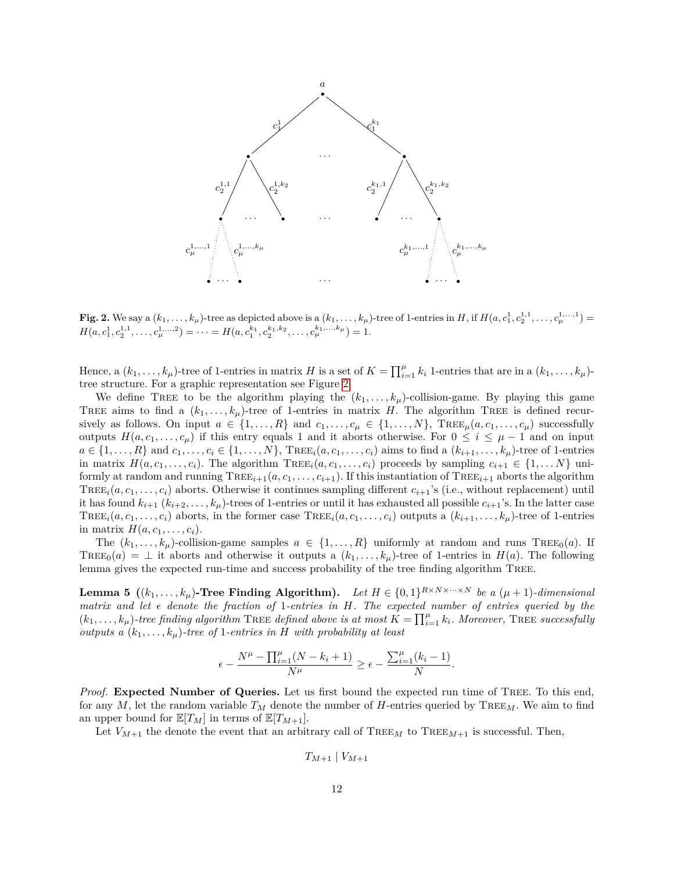

<span id="page-11-1"></span>Fig. 2. We say a  $(k_1,\ldots,k_\mu)$ -tree as depicted above is a  $(k_1,\ldots,k_\mu)$ -tree of 1-entries in H, if  $H(a,c_1^1,c_2^{1,1},\ldots,c_\mu^{1,\ldots,1})$  =  $H(a, c_1^1, c_2^{1,1}, \ldots, c_\mu^{1,\ldots,2}) = \cdots = H(a, c_1^{k_1}, c_2^{k_1, k_2}, \ldots, c_\mu^{k_1, \ldots, k_\mu}) = 1.$ 

Hence, a  $(k_1, \ldots, k_\mu)$ -tree of 1-entries in matrix *H* is a set of  $K = \prod_{i=1}^{\mu} k_i$  1-entries that are in a  $(k_1, \ldots, k_\mu)$ tree structure. For a graphic representation see Figure [2.](#page-11-1)

We define TREE to be the algorithm playing the  $(k_1, \ldots, k_\mu)$ -collision-game. By playing this game TREE aims to find a  $(k_1, \ldots, k_\mu)$ -tree of 1-entries in matrix *H*. The algorithm TREE is defined recursively as follows. On input  $a \in \{1, \ldots, R\}$  and  $c_1, \ldots, c_\mu \in \{1, \ldots, N\}$ , TREE<sub> $\mu$ </sub> $(a, c_1, \ldots, c_\mu)$  successfully outputs  $H(a, c_1, \ldots, c_\mu)$  if this entry equals 1 and it aborts otherwise. For  $0 \leq i \leq \mu - 1$  and on input  $a \in \{1, \ldots, R\}$  and  $c_1, \ldots, c_i \in \{1, \ldots, N\}$ , TREE<sub>i</sub> $(a, c_1, \ldots, c_i)$  aims to find a  $(k_{i+1}, \ldots, k_{\mu})$ -tree of 1-entries in matrix  $H(a, c_1, \ldots, c_i)$ . The algorithm TREE<sub>*i*</sub>( $a, c_1, \ldots, c_i$ ) proceeds by sampling  $c_{i+1} \in \{1, \ldots N\}$  uniformly at random and running  $\text{Tree}_{i+1}(a, c_1, \ldots, c_{i+1})$ . If this instantiation of  $\text{Tree}_{i+1}$  aborts the algorithm TREE<sub>i</sub> $(a, c_1, \ldots, c_i)$  aborts. Otherwise it continues sampling different  $c_{i+1}$ 's (i.e., without replacement) until it has found  $k_{i+1}$  ( $k_{i+2}, \ldots, k_{\mu}$ )-trees of 1-entries or until it has exhausted all possible  $c_{i+1}$ 's. In the latter case TREE<sub>i</sub>( $a, c_1, \ldots, c_i$ ) aborts, in the former case TREE<sub>i</sub>( $a, c_1, \ldots, c_i$ ) outputs a ( $k_{i+1}, \ldots, k_{\mu}$ )-tree of 1-entries in matrix  $H(a, c_1, \ldots, c_i)$ .

The  $(k_1, \ldots, k_\mu)$ -collision-game samples  $a \in \{1, \ldots, R\}$  uniformly at random and runs  $\text{Tree}_0(a)$ . If TREE<sub>0</sub>(*a*) =  $\perp$  it aborts and otherwise it outputs a  $(k_1, \ldots, k_\mu)$ -tree of 1-entries in  $H(a)$ . The following lemma gives the expected run-time and success probability of the tree finding algorithm Tree.

<span id="page-11-0"></span>**Lemma 5**  $((k_1, \ldots, k_\mu)$ -Tree Finding Algorithm). Let  $H \in \{0,1\}^{R \times N \times \cdots \times N}$  be a  $(\mu + 1)$ -dimensional *matrix and let*  $\epsilon$  *denote the fraction of* 1-entries in  $H$ *. The expected number of entries queried by the*  $(k_1, \ldots, k_\mu)$ -tree finding algorithm TREE defined above is at most  $K = \prod_{i=1}^{\mu} k_i$ . Moreover, TREE successfully *outputs a*  $(k_1, \ldots, k_\mu)$ *-tree of* 1*-entries in H with probability at least* 

$$
\epsilon - \frac{N^{\mu} - \prod_{i=1}^{\mu} (N - k_i + 1)}{N^{\mu}} \geq \epsilon - \frac{\sum_{i=1}^{\mu} (k_i - 1)}{N}.
$$

*Proof.* **Expected Number of Queries.** Let us first bound the expected run time of Tree. To this end, for any *M*, let the random variable  $T_M$  denote the number of *H*-entries queried by TREE<sub>M</sub>. We aim to find an upper bound for  $\mathbb{E}[T_M]$  in terms of  $\mathbb{E}[T_{M+1}]$ .

Let  $V_{M+1}$  the denote the event that an arbitrary call of TREE<sub>M</sub> to TREE<sub>M+1</sub> is successful. Then,

$$
T_{M+1} \mid V_{M+1}
$$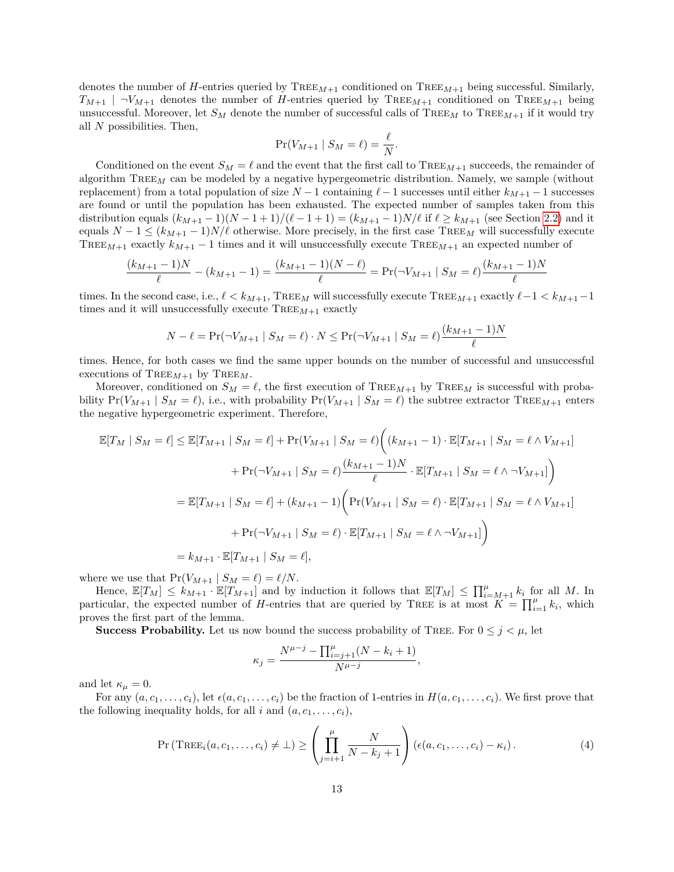denotes the number of *H*-entries queried by  $TREE_{M+1}$  conditioned on  $TREE_{M+1}$  being successful. Similarly,  $T_{M+1}$  |  $\neg V_{M+1}$  denotes the number of *H*-entries queried by TREE<sub>M+1</sub> conditioned on TREE<sub>M+1</sub> being unsuccessful. Moreover, let  $S_M$  denote the number of successful calls of TREE<sub>M</sub> to TREE<sub>M+1</sub> if it would try all *N* possibilities. Then,

$$
\Pr(V_{M+1} \mid S_M = \ell) = \frac{\ell}{N}.
$$

Conditioned on the event  $S_M = \ell$  and the event that the first call to  $T_{REEM+1}$  succeeds, the remainder of algorithm Tree*<sup>M</sup>* can be modeled by a negative hypergeometric distribution. Namely, we sample (without replacement) from a total population of size  $N-1$  containing  $\ell-1$  successes until either  $k_{M+1}-1$  successes are found or until the population has been exhausted. The expected number of samples taken from this distribution equals  $(k_{M+1}-1)(N-1+1)/(\ell-1+1) = (k_{M+1}-1)N/\ell$  if  $\ell \geq k_{M+1}$  (see Section [2.2\)](#page-6-2) and it equals  $N-1 \leq (k_{M+1}-1)N/\ell$  otherwise. More precisely, in the first case TREE<sub>M</sub> will successfully execute TREE<sub>M+1</sub> exactly  $k_{M+1} - 1$  times and it will unsuccessfully execute TREE<sub>M+1</sub> an expected number of

$$
\frac{(k_{M+1}-1)N}{\ell} - (k_{M+1}-1) = \frac{(k_{M+1}-1)(N-\ell)}{\ell} = \Pr(\neg V_{M+1} | S_M = \ell) \frac{(k_{M+1}-1)N}{\ell}
$$

times. In the second case, i.e.,  $\ell < k_{M+1}$ , TREE<sub>M</sub> will successfully execute TREE<sub>M+1</sub> exactly  $\ell-1 < k_{M+1}-1$ times and it will unsuccessfully execute  $\text{Tree}_{M+1}$  exactly

$$
N - \ell = \Pr(\neg V_{M+1} \mid S_M = \ell) \cdot N \le \Pr(\neg V_{M+1} \mid S_M = \ell) \frac{(k_{M+1} - 1)N}{\ell}
$$

times. Hence, for both cases we find the same upper bounds on the number of successful and unsuccessful executions of  $TREE_{M+1}$  by  $TREE_M$ .

Moreover, conditioned on  $S_M = \ell$ , the first execution of TREE<sub>M+1</sub> by TREE<sub>M</sub> is successful with probability  $Pr(V_{M+1} | S_M = \ell)$ , i.e., with probability  $Pr(V_{M+1} | S_M = \ell)$  the subtree extractor TREE<sub>M+1</sub> enters the negative hypergeometric experiment. Therefore,

$$
\mathbb{E}[T_M | S_M = \ell] \le \mathbb{E}[T_{M+1} | S_M = \ell] + \Pr(V_{M+1} | S_M = \ell) \left( (k_{M+1} - 1) \cdot \mathbb{E}[T_{M+1} | S_M = \ell \wedge V_{M+1}] \right)
$$

$$
+ \Pr(\neg V_{M+1} | S_M = \ell) \frac{(k_{M+1} - 1)N}{\ell} \cdot \mathbb{E}[T_{M+1} | S_M = \ell \wedge \neg V_{M+1}]
$$

$$
= \mathbb{E}[T_{M+1} | S_M = \ell] + (k_{M+1} - 1) \left( \Pr(V_{M+1} | S_M = \ell) \cdot \mathbb{E}[T_{M+1} | S_M = \ell \wedge V_{M+1}] \right)
$$

$$
+ \Pr(\neg V_{M+1} | S_M = \ell) \cdot \mathbb{E}[T_{M+1} | S_M = \ell \wedge \neg V_{M+1}]
$$

$$
= k_{M+1} \cdot \mathbb{E}[T_{M+1} | S_M = \ell],
$$

where we use that  $Pr(V_{M+1} | S_M = \ell) = \ell/N$ .

Hence,  $\mathbb{E}[T_M] \leq k_{M+1} \cdot \mathbb{E}[T_{M+1}]$  and by induction it follows that  $\mathbb{E}[T_M] \leq \prod_{i=M+1}^{\mu} k_i$  for all M. In particular, the expected number of *H*-entries that are queried by TREE is at most  $K = \prod_{i=1}^{\mu} k_i$ , which proves the first part of the lemma.

**Success Probability.** Let us now bound the success probability of TREE. For  $0 \leq j \leq \mu$ , let

$$
\kappa_j = \frac{N^{\mu-j} - \prod_{i=j+1}^{\mu} (N - k_i + 1)}{N^{\mu-j}},
$$

and let  $\kappa_{\mu} = 0$ .

<span id="page-12-0"></span>For any  $(a, c_1, \ldots, c_i)$ , let  $\epsilon(a, c_1, \ldots, c_i)$  be the fraction of 1-entries in  $H(a, c_1, \ldots, c_i)$ . We first prove that the following inequality holds, for all *i* and  $(a, c_1, \ldots, c_i)$ ,

$$
\Pr\left(\text{Tree}_i(a, c_1, \ldots, c_i) \neq \bot\right) \geq \left(\prod_{j=i+1}^{\mu} \frac{N}{N - k_j + 1}\right) \left(\epsilon(a, c_1, \ldots, c_i) - \kappa_i\right). \tag{4}
$$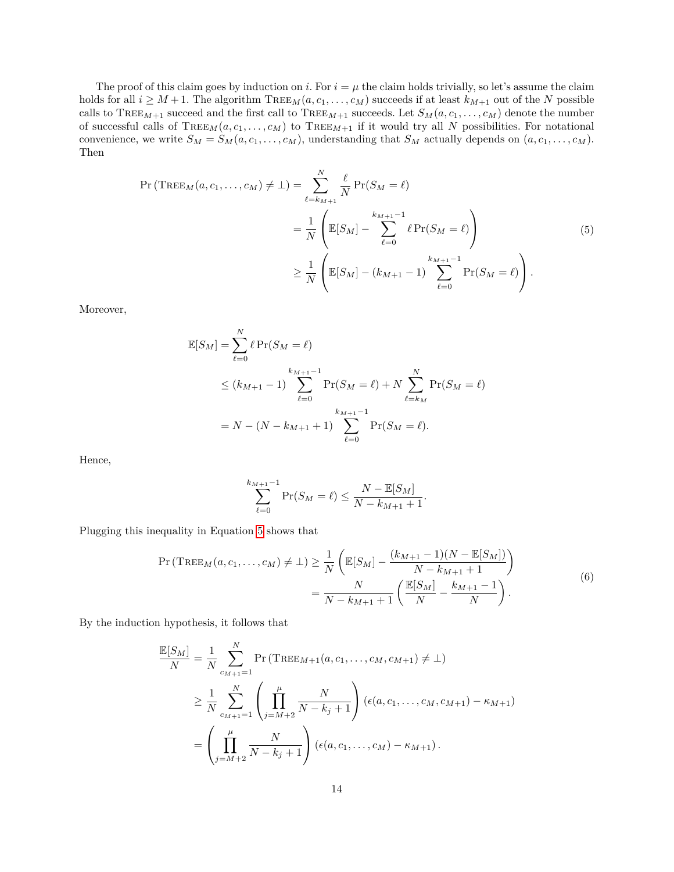The proof of this claim goes by induction on *i*. For  $i = \mu$  the claim holds trivially, so let's assume the claim holds for all  $i \geq M+1$ . The algorithm TREE<sub>M</sub>( $a, c_1, \ldots, c_M$ ) succeeds if at least  $k_{M+1}$  out of the *N* possible calls to TREE<sub>*M*+1</sub> succeed and the first call to TREE<sub>*M*+1</sub> succeeds. Let  $S_M(a, c_1, \ldots, c_M)$  denote the number of successful calls of  $TREE_M(a, c_1, \ldots, c_M)$  to  $TREE_{M+1}$  if it would try all *N* possibilities. For notational convenience, we write  $S_M = S_M(a, c_1, \ldots, c_M)$ , understanding that  $S_M$  actually depends on  $(a, c_1, \ldots, c_M)$ . Then

<span id="page-13-0"></span>
$$
\Pr(\text{Tree}_M(a, c_1, \dots, c_M) \neq \bot) = \sum_{\ell = k_{M+1}}^N \frac{\ell}{N} \Pr(S_M = \ell)
$$
  
=  $\frac{1}{N} \left( \mathbb{E}[S_M] - \sum_{\ell=0}^{k_{M+1}-1} \ell \Pr(S_M = \ell) \right)$  (5)  

$$
\geq \frac{1}{N} \left( \mathbb{E}[S_M] - (k_{M+1} - 1) \sum_{\ell=0}^{k_{M+1}-1} \Pr(S_M = \ell) \right).
$$

Moreover,

$$
\mathbb{E}[S_M] = \sum_{\ell=0}^N \ell \Pr(S_M = \ell)
$$
  
\n
$$
\le (k_{M+1} - 1) \sum_{\ell=0}^{k_{M+1}-1} \Pr(S_M = \ell) + N \sum_{\ell=k_M}^N \Pr(S_M = \ell)
$$
  
\n
$$
= N - (N - k_{M+1} + 1) \sum_{\ell=0}^{k_{M+1}-1} \Pr(S_M = \ell).
$$

Hence,

$$
\sum_{\ell=0}^{k_{M+1}-1} \Pr(S_M = \ell) \le \frac{N - \mathbb{E}[S_M]}{N - k_{M+1} + 1}.
$$

<span id="page-13-1"></span>Plugging this inequality in Equation [5](#page-13-0) shows that

$$
\Pr\left(\text{Tree}_M(a, c_1, \dots, c_M) \neq \bot\right) \ge \frac{1}{N} \left(\mathbb{E}[S_M] - \frac{(k_{M+1} - 1)(N - \mathbb{E}[S_M])}{N - k_{M+1} + 1}\right)
$$
  
=  $\frac{N}{N - k_{M+1} + 1} \left(\frac{\mathbb{E}[S_M]}{N} - \frac{k_{M+1} - 1}{N}\right).$  (6)

By the induction hypothesis, it follows that

$$
\frac{\mathbb{E}[S_M]}{N} = \frac{1}{N} \sum_{c_{M+1}=1}^{N} \Pr(\text{Tree}_{M+1}(a, c_1, \dots, c_M, c_{M+1}) \neq \bot)
$$
\n
$$
\geq \frac{1}{N} \sum_{c_{M+1}=1}^{N} \left( \prod_{j=M+2}^{\mu} \frac{N}{N - k_j + 1} \right) (\epsilon(a, c_1, \dots, c_M, c_{M+1}) - \kappa_{M+1})
$$
\n
$$
= \left( \prod_{j=M+2}^{\mu} \frac{N}{N - k_j + 1} \right) (\epsilon(a, c_1, \dots, c_M) - \kappa_{M+1}).
$$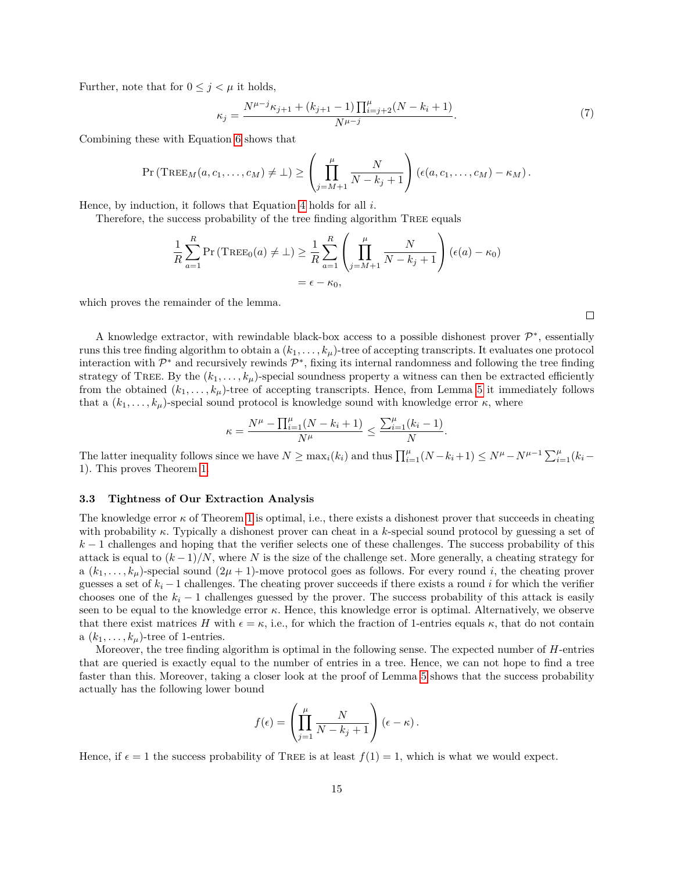Further, note that for  $0 \leq j \leq \mu$  it holds,

$$
\kappa_j = \frac{N^{\mu-j}\kappa_{j+1} + (k_{j+1} - 1)\prod_{i=j+2}^{\mu}(N - k_i + 1)}{N^{\mu-j}}.
$$
\n(7)

Combining these with Equation [6](#page-13-1) shows that

$$
\Pr\left(\text{Tree}_M(a, c_1, \ldots, c_M) \neq \bot\right) \geq \left(\prod_{j=M+1}^{\mu} \frac{N}{N-k_j+1}\right) \left(\epsilon(a, c_1, \ldots, c_M) - \kappa_M\right).
$$

Hence, by induction, it follows that Equation [4](#page-12-0) holds for all *i*.

Therefore, the success probability of the tree finding algorithm TREE equals

$$
\frac{1}{R} \sum_{a=1}^{R} \Pr(\text{Tree}_0(a) \neq \bot) \ge \frac{1}{R} \sum_{a=1}^{R} \left( \prod_{j=M+1}^{\mu} \frac{N}{N - k_j + 1} \right) (\epsilon(a) - \kappa_0)
$$

$$
= \epsilon - \kappa_0,
$$

which proves the remainder of the lemma.

A knowledge extractor, with rewindable black-box access to a possible dishonest prover  $\mathcal{P}^*$ , essentially runs this tree finding algorithm to obtain a (*k*1*, . . . , kµ*)-tree of accepting transcripts. It evaluates one protocol interaction with  $\mathcal{P}^*$  and recursively rewinds  $\mathcal{P}^*$ , fixing its internal randomness and following the tree finding strategy of TREE. By the  $(k_1, \ldots, k_\mu)$ -special soundness property a witness can then be extracted efficiently from the obtained  $(k_1, \ldots, k_\mu)$ -tree of accepting transcripts. Hence, from Lemma [5](#page-11-0) it immediately follows that a  $(k_1, \ldots, k_\mu)$ -special sound protocol is knowledge sound with knowledge error  $\kappa$ , where

$$
\kappa = \frac{N^{\mu} - \prod_{i=1}^{\mu} (N - k_i + 1)}{N^{\mu}} \le \frac{\sum_{i=1}^{\mu} (k_i - 1)}{N}.
$$

The latter inequality follows since we have  $N \ge \max_i(k_i)$  and thus  $\prod_{i=1}^{\mu}(N-k_i+1) \le N^{\mu} - N^{\mu-1} \sum_{i=1}^{\mu}(k_i - k_i)$ 1). This proves Theorem [1.](#page-8-0)

#### **3.3 Tightness of Our Extraction Analysis**

The knowledge error  $\kappa$  of Theorem [1](#page-8-0) is optimal, i.e., there exists a dishonest prover that succeeds in cheating with probability *κ*. Typically a dishonest prover can cheat in a *k*-special sound protocol by guessing a set of *k* − 1 challenges and hoping that the verifier selects one of these challenges. The success probability of this attack is equal to  $(k-1)/N$ , where *N* is the size of the challenge set. More generally, a cheating strategy for a  $(k_1, \ldots, k_\mu)$ -special sound  $(2\mu + 1)$ -move protocol goes as follows. For every round *i*, the cheating prover guesses a set of  $k_i - 1$  challenges. The cheating prover succeeds if there exists a round *i* for which the verifier chooses one of the  $k_i - 1$  challenges guessed by the prover. The success probability of this attack is easily seen to be equal to the knowledge error *κ*. Hence, this knowledge error is optimal. Alternatively, we observe that there exist matrices *H* with  $\epsilon = \kappa$ , i.e., for which the fraction of 1-entries equals  $\kappa$ , that do not contain a  $(k_1, \ldots, k_\mu)$ -tree of 1-entries.

Moreover, the tree finding algorithm is optimal in the following sense. The expected number of *H*-entries that are queried is exactly equal to the number of entries in a tree. Hence, we can not hope to find a tree faster than this. Moreover, taking a closer look at the proof of Lemma [5](#page-11-0) shows that the success probability actually has the following lower bound

$$
f(\epsilon) = \left(\prod_{j=1}^{\mu} \frac{N}{N - k_j + 1}\right) (\epsilon - \kappa).
$$

Hence, if  $\epsilon = 1$  the success probability of TREE is at least  $f(1) = 1$ , which is what we would expect.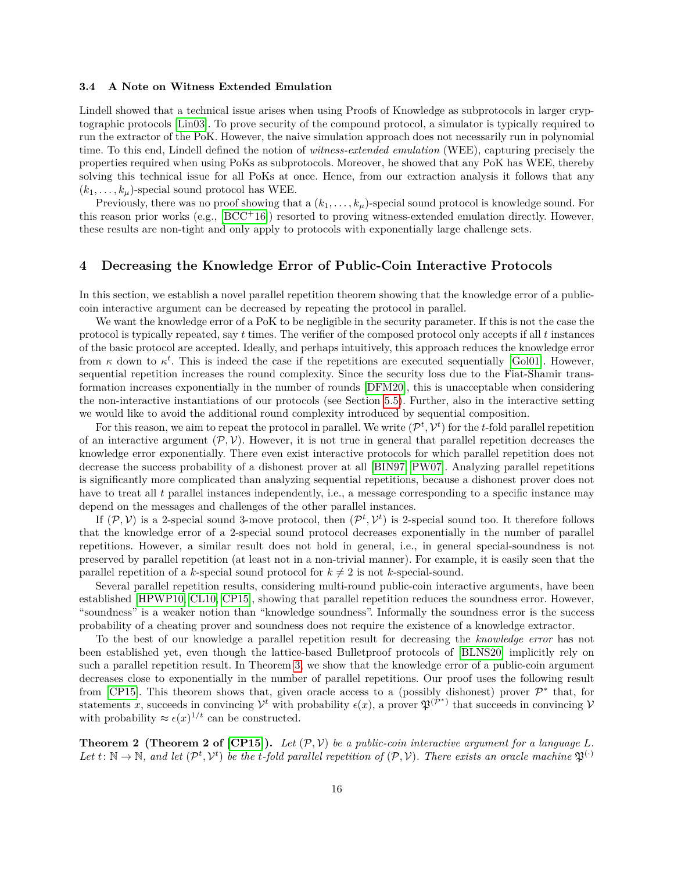#### **3.4 A Note on Witness Extended Emulation**

Lindell showed that a technical issue arises when using Proofs of Knowledge as subprotocols in larger cryptographic protocols [\[Lin03\]](#page-34-10). To prove security of the compound protocol, a simulator is typically required to run the extractor of the PoK. However, the naive simulation approach does not necessarily run in polynomial time. To this end, Lindell defined the notion of *witness-extended emulation* (WEE), capturing precisely the properties required when using PoKs as subprotocols. Moreover, he showed that any PoK has WEE, thereby solving this technical issue for all PoKs at once. Hence, from our extraction analysis it follows that any  $(k_1, \ldots, k_\mu)$ -special sound protocol has WEE.

Previously, there was no proof showing that a  $(k_1, \ldots, k_\mu)$ -special sound protocol is knowledge sound. For this reason prior works (e.g.,  $[BCC^+16]$  $[BCC^+16]$ ) resorted to proving witness-extended emulation directly. However, these results are non-tight and only apply to protocols with exponentially large challenge sets.

# <span id="page-15-0"></span>**4 Decreasing the Knowledge Error of Public-Coin Interactive Protocols**

In this section, we establish a novel parallel repetition theorem showing that the knowledge error of a publiccoin interactive argument can be decreased by repeating the protocol in parallel.

We want the knowledge error of a PoK to be negligible in the security parameter. If this is not the case the protocol is typically repeated, say *t* times. The verifier of the composed protocol only accepts if all *t* instances of the basic protocol are accepted. Ideally, and perhaps intuitively, this approach reduces the knowledge error from  $\kappa$  down to  $\kappa^t$ . This is indeed the case if the repetitions are executed sequentially [\[Gol01\]](#page-34-11). However, sequential repetition increases the round complexity. Since the security loss due to the Fiat-Shamir transformation increases exponentially in the number of rounds [\[DFM20\]](#page-34-12), this is unacceptable when considering the non-interactive instantiations of our protocols (see Section [5.5\)](#page-25-0). Further, also in the interactive setting we would like to avoid the additional round complexity introduced by sequential composition.

For this reason, we aim to repeat the protocol in parallel. We write  $(\mathcal{P}^t, \mathcal{V}^t)$  for the *t*-fold parallel repetition of an interactive argument  $(\mathcal{P}, \mathcal{V})$ . However, it is not true in general that parallel repetition decreases the knowledge error exponentially. There even exist interactive protocols for which parallel repetition does not decrease the success probability of a dishonest prover at all [\[BIN97,](#page-33-14) [PW07\]](#page-35-2). Analyzing parallel repetitions is significantly more complicated than analyzing sequential repetitions, because a dishonest prover does not have to treat all t parallel instances independently, i.e., a message corresponding to a specific instance may depend on the messages and challenges of the other parallel instances.

If  $(\mathcal{P}, \mathcal{V})$  is a 2-special sound 3-move protocol, then  $(\mathcal{P}^t, \mathcal{V}^t)$  is 2-special sound too. It therefore follows that the knowledge error of a 2-special sound protocol decreases exponentially in the number of parallel repetitions. However, a similar result does not hold in general, i.e., in general special-soundness is not preserved by parallel repetition (at least not in a non-trivial manner). For example, it is easily seen that the parallel repetition of a *k*-special sound protocol for  $k \neq 2$  is not *k*-special-sound.

Several parallel repetition results, considering multi-round public-coin interactive arguments, have been established [\[HPWP10,](#page-34-4) [CL10,](#page-33-5) [CP15\]](#page-33-6), showing that parallel repetition reduces the soundness error. However, "soundness" is a weaker notion than "knowledge soundness". Informally the soundness error is the success probability of a cheating prover and soundness does not require the existence of a knowledge extractor.

To the best of our knowledge a parallel repetition result for decreasing the *knowledge error* has not been established yet, even though the lattice-based Bulletproof protocols of [\[BLNS20\]](#page-33-3) implicitly rely on such a parallel repetition result. In Theorem [3,](#page-16-0) we show that the knowledge error of a public-coin argument decreases close to exponentially in the number of parallel repetitions. Our proof uses the following result from [\[CP15\]](#page-33-6). This theorem shows that, given oracle access to a (possibly dishonest) prover  $\mathcal{P}^*$  that, for statements x, succeeds in convincing  $\mathcal{V}^t$  with probability  $\epsilon(x)$ , a prover  $\mathfrak{P}^{(\mathcal{P}^*)}$  that succeeds in convincing  $\mathcal{V}$ with probability  $\approx \epsilon(x)^{1/t}$  can be constructed.

<span id="page-15-1"></span>**Theorem 2 (Theorem 2 of [\[CP15\]](#page-33-6)**). Let  $(\mathcal{P}, \mathcal{V})$  be a public-coin interactive argument for a language L. *Let*  $t: \mathbb{N} \to \mathbb{N}$ , and let  $(\mathcal{P}^t, \mathcal{V}^t)$  be the *t*-fold parallel repetition of  $(\mathcal{P}, \mathcal{V})$ . There exists an oracle machine  $\mathfrak{P}^{(\cdot)}$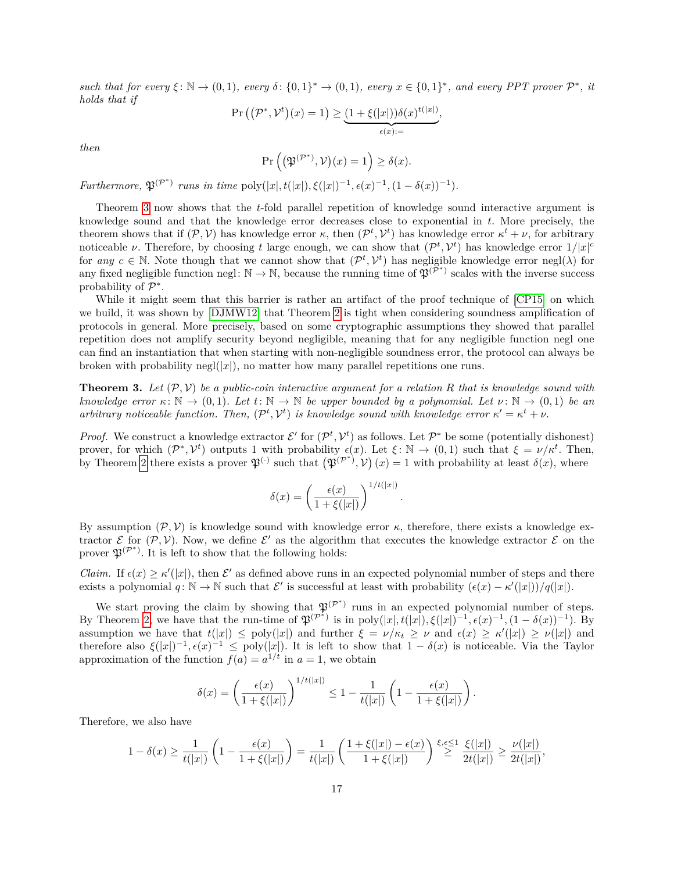*such that for every*  $\xi: \mathbb{N} \to (0,1)$ , every  $\delta: \{0,1\}^* \to (0,1)$ , every  $x \in \{0,1\}^*$ , and every *PPT* prover  $\mathcal{P}^*$ , it *holds that if*

$$
\Pr\left((\mathcal{P}^*, \mathcal{V}^t)(x) = 1\right) \geq \underbrace{(1 + \xi(|x|))\delta(x)^{t(|x|)}_{\epsilon(x):=},}
$$

*then*

$$
\Pr\left((\mathfrak{P}^{(\mathcal{P}^*)}, \mathcal{V})(x) = 1\right) \ge \delta(x).
$$

*Furthermore,*  $\mathfrak{P}^{(\mathcal{P}^*)}$  *runs in time*  $\text{poly}(|x|, t(|x|), \xi(|x|)^{-1}, \epsilon(x)^{-1}, (1 - \delta(x))^{-1})$ .

Theorem [3](#page-16-0) now shows that the *t*-fold parallel repetition of knowledge sound interactive argument is knowledge sound and that the knowledge error decreases close to exponential in *t*. More precisely, the theorem shows that if  $(\mathcal{P}, \mathcal{V})$  has knowledge error  $\kappa$ , then  $(\mathcal{P}^t, \mathcal{V}^t)$  has knowledge error  $\kappa^t + \nu$ , for arbitrary noticeable *ν*. Therefore, by choosing *t* large enough, we can show that  $(\mathcal{P}^t, \mathcal{V}^t)$  has knowledge error  $1/|x|^c$ for *any*  $c \in \mathbb{N}$ . Note though that we cannot show that  $(\mathcal{P}^t, \mathcal{V}^t)$  has negligible knowledge error negl $(\lambda)$  for any fixed negligible function negl:  $\mathbb{N} \to \mathbb{N}$ , because the running time of  $\widetilde{\mathfrak{P}}^{(\overline{\mathcal{P}}^*)}$  scales with the inverse success probability of  $\mathcal{P}^*$ .

While it might seem that this barrier is rather an artifact of the proof technique of  $[CP15]$  on which we build, it was shown by [\[DJMW12\]](#page-34-13) that Theorem [2](#page-15-1) is tight when considering soundness amplification of protocols in general. More precisely, based on some cryptographic assumptions they showed that parallel repetition does not amplify security beyond negligible, meaning that for any negligible function negl one can find an instantiation that when starting with non-negligible soundness error, the protocol can always be broken with probability negl( $|x|$ ), no matter how many parallel repetitions one runs.

<span id="page-16-0"></span>**Theorem 3.** Let  $(\mathcal{P}, \mathcal{V})$  be a public-coin interactive argument for a relation R that is knowledge sound with *knowledge error*  $\kappa : \mathbb{N} \to (0,1)$ *. Let*  $t : \mathbb{N} \to \mathbb{N}$  *be upper bounded by a polynomial. Let*  $\nu : \mathbb{N} \to (0,1)$  *be an arbitrary noticeable function. Then,*  $(\mathcal{P}^t, \mathcal{V}^t)$  *is knowledge sound with knowledge error*  $\kappa' = \kappa^t + \nu$ .

*Proof.* We construct a knowledge extractor  $\mathcal{E}'$  for  $(\mathcal{P}^t, \mathcal{V}^t)$  as follows. Let  $\mathcal{P}^*$  be some (potentially dishonest) prover, for which  $(\mathcal{P}^*, \mathcal{V}^t)$  outputs 1 with probability  $\epsilon(x)$ . Let  $\xi \colon \mathbb{N} \to (0,1)$  such that  $\xi = \nu/\kappa^t$ . Then, by Theorem [2](#page-15-1) there exists a prover  $\mathfrak{P}^{(\cdot)}$  such that  $(\mathfrak{P}^{(\mathcal{P}^*)}, \mathcal{V}) (x) = 1$  with probability at least  $\delta(x)$ , where

$$
\delta(x) = \left(\frac{\epsilon(x)}{1 + \xi(|x|)}\right)^{1/t(|x|)}
$$

*.*

By assumption  $(\mathcal{P}, \mathcal{V})$  is knowledge sound with knowledge error  $\kappa$ , therefore, there exists a knowledge extractor  $\mathcal E$  for  $(\mathcal P,\mathcal V)$ . Now, we define  $\mathcal E'$  as the algorithm that executes the knowledge extractor  $\mathcal E$  on the prover  $\mathfrak{P}^{(\mathcal{P}^*)}$ . It is left to show that the following holds:

*Claim.* If  $\epsilon(x) \ge \kappa'(|x|)$ , then  $\mathcal{E}'$  as defined above runs in an expected polynomial number of steps and there exists a polynomial  $q: \mathbb{N} \to \mathbb{N}$  such that  $\mathcal{E}'$  is successful at least with probability  $(\epsilon(x) - \kappa'(|x|)) / q(|x|)$ .

We start proving the claim by showing that  $\mathfrak{P}^{(\mathcal{P}^*)}$  runs in an expected polynomial number of steps. By Theorem [2,](#page-15-1) we have that the run-time of  $\mathfrak{P}^{(\mathcal{P}^*)}$  is in poly $(|x|, t(|x|), \xi(|x|)^{-1}, \epsilon(x)^{-1}, (1 - \delta(x))^{-1})$ . By assumption we have that  $t(|x|) \leq \text{poly}(|x|)$  and further  $\xi = \nu/\kappa_t \geq \nu$  and  $\epsilon(x) \geq \kappa'(|x|) \geq \nu(|x|)$  and therefore also  $\xi(|x|)^{-1}, \epsilon(x)^{-1} \leq \text{poly}(|x|)$ . It is left to show that  $1 - \delta(x)$  is noticeable. Via the Taylor approximation of the function  $f(a) = a^{1/t}$  in  $a = 1$ , we obtain

$$
\delta(x) = \left(\frac{\epsilon(x)}{1 + \xi(|x|)}\right)^{1/t(|x|)} \le 1 - \frac{1}{t(|x|)} \left(1 - \frac{\epsilon(x)}{1 + \xi(|x|)}\right).
$$

Therefore, we also have

$$
1 - \delta(x) \ge \frac{1}{t(|x|)} \left( 1 - \frac{\epsilon(x)}{1 + \xi(|x|)} \right) = \frac{1}{t(|x|)} \left( \frac{1 + \xi(|x|) - \epsilon(x)}{1 + \xi(|x|)} \right) \stackrel{\xi, \epsilon \le 1}{\ge} \frac{\xi(|x|)}{2t(|x|)} \ge \frac{\nu(|x|)}{2t(|x|)},
$$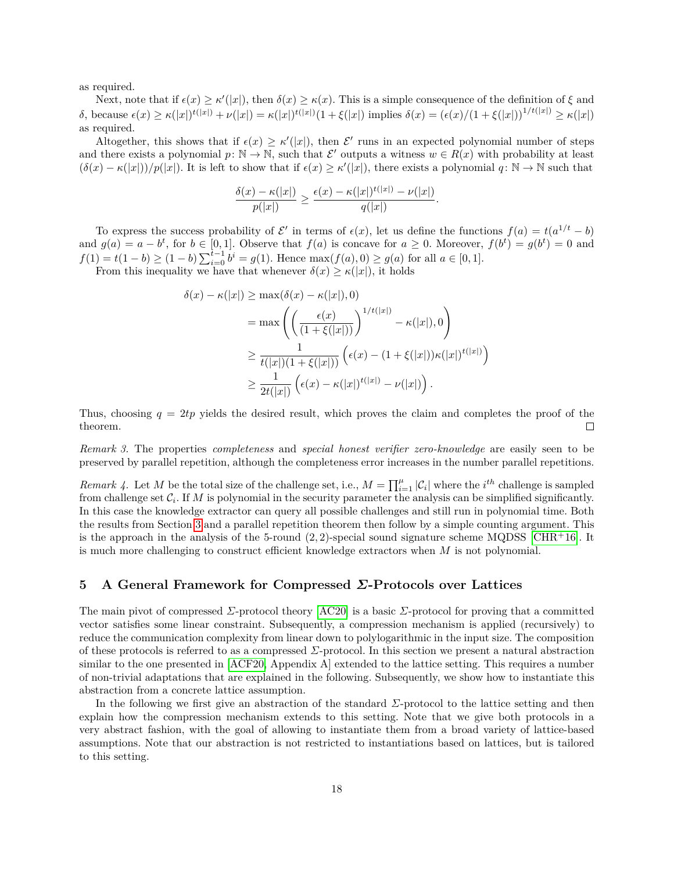as required.

Next, note that if  $\epsilon(x) \geq \kappa'(|x|)$ , then  $\delta(x) \geq \kappa(x)$ . This is a simple consequence of the definition of  $\xi$  and  $\delta$ , because  $\epsilon(x) \ge \kappa(|x|)^{t(|x|)} + \nu(|x|) = \kappa(|x|)^{t(|x|)}(1+\xi(|x|))$  implies  $\delta(x) = (\epsilon(x)/(1+\xi(|x|))^{1/t(|x|)} \ge \kappa(|x|)$ as required.

Altogether, this shows that if  $\epsilon(x) \geq \kappa'(|x|)$ , then  $\mathcal{E}'$  runs in an expected polynomial number of steps and there exists a polynomial  $p: \mathbb{N} \to \mathbb{N}$ , such that  $\mathcal{E}'$  outputs a witness  $w \in R(x)$  with probability at least  $(\delta(x) - \kappa(|x|))/p(|x|)$ . It is left to show that if  $\epsilon(x) \ge \kappa'(|x|)$ , there exists a polynomial  $q: \mathbb{N} \to \mathbb{N}$  such that

$$
\frac{\delta(x)-\kappa(|x|)}{p(|x|)}\geq \frac{\epsilon(x)-\kappa(|x|)^{t(|x|)}-\nu(|x|)}{q(|x|)}.
$$

To express the success probability of  $\mathcal{E}'$  in terms of  $\epsilon(x)$ , let us define the functions  $f(a) = t(a^{1/t} - b)$ and  $g(a) = a - b^t$ , for  $b \in [0, 1]$ . Observe that  $f(a)$  is concave for  $a \ge 0$ . Moreover,  $f(b^t) = g(b^t) = 0$  and  $f(1) = t(1 - b) \ge (1 - b) \sum_{i=0}^{t-1} b^i = g(1)$ . Hence  $\max(f(a), 0) \ge g(a)$  for all  $a \in [0, 1]$ .

From this inequality we have that whenever  $\delta(x) \geq \kappa(|x|)$ , it holds

$$
\delta(x) - \kappa(|x|) \ge \max(\delta(x) - \kappa(|x|), 0)
$$
  
=  $\max\left( \left( \frac{\epsilon(x)}{(1 + \xi(|x|))} \right)^{1/t(|x|)} - \kappa(|x|), 0 \right)$   
 $\ge \frac{1}{t(|x|)(1 + \xi(|x|))} \left( \epsilon(x) - (1 + \xi(|x|))\kappa(|x|)^{t(|x|)} \right)$   
 $\ge \frac{1}{2t(|x|)} \left( \epsilon(x) - \kappa(|x|)^{t(|x|)} - \nu(|x|) \right).$ 

Thus, choosing  $q = 2tp$  yields the desired result, which proves the claim and completes the proof of the theorem. П

*Remark 3.* The properties *completeness* and *special honest verifier zero-knowledge* are easily seen to be preserved by parallel repetition, although the completeness error increases in the number parallel repetitions.

*Remark 4.* Let *M* be the total size of the challenge set, i.e.,  $M = \prod_{i=1}^{\mu} |\mathcal{C}_i|$  where the *i*<sup>th</sup> challenge is sampled from challenge set  $C_i$ . If M is polynomial in the security parameter the analysis can be simplified significantly. In this case the knowledge extractor can query all possible challenges and still run in polynomial time. Both the results from Section [3](#page-8-1) and a parallel repetition theorem then follow by a simple counting argument. This is the approach in the analysis of the 5-round  $(2, 2)$ -special sound signature scheme MQDSS [\[CHR](#page-33-7)<sup>+</sup>16]. It is much more challenging to construct efficient knowledge extractors when *M* is not polynomial.

# <span id="page-17-0"></span>**5 A General Framework for Compressed** *Σ***-Protocols over Lattices**

The main pivot of compressed *Σ*-protocol theory [\[AC20\]](#page-33-0) is a basic *Σ*-protocol for proving that a committed vector satisfies some linear constraint. Subsequently, a compression mechanism is applied (recursively) to reduce the communication complexity from linear down to polylogarithmic in the input size. The composition of these protocols is referred to as a compressed *Σ*-protocol. In this section we present a natural abstraction similar to the one presented in [\[ACF20,](#page-33-15) Appendix A] extended to the lattice setting. This requires a number of non-trivial adaptations that are explained in the following. Subsequently, we show how to instantiate this abstraction from a concrete lattice assumption.

In the following we first give an abstraction of the standard *Σ*-protocol to the lattice setting and then explain how the compression mechanism extends to this setting. Note that we give both protocols in a very abstract fashion, with the goal of allowing to instantiate them from a broad variety of lattice-based assumptions. Note that our abstraction is not restricted to instantiations based on lattices, but is tailored to this setting.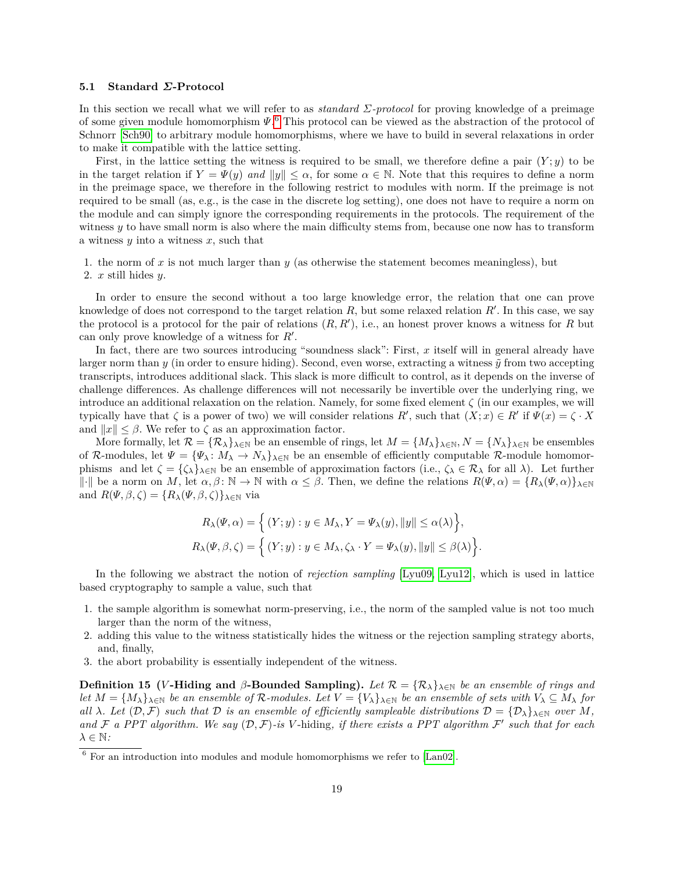#### **5.1 Standard** *Σ***-Protocol**

In this section we recall what we will refer to as *standard Σ-protocol* for proving knowledge of a preimage of some given module homomorphism *Ψ*. [6](#page-18-0) This protocol can be viewed as the abstraction of the protocol of Schnorr [\[Sch90\]](#page-35-3) to arbitrary module homomorphisms, where we have to build in several relaxations in order to make it compatible with the lattice setting.

First, in the lattice setting the witness is required to be small, we therefore define a pair  $(Y; y)$  to be in the target relation if  $Y = \Psi(y)$  *and*  $||y|| \leq \alpha$ , for some  $\alpha \in \mathbb{N}$ . Note that this requires to define a norm in the preimage space, we therefore in the following restrict to modules with norm. If the preimage is not required to be small (as, e.g., is the case in the discrete log setting), one does not have to require a norm on the module and can simply ignore the corresponding requirements in the protocols. The requirement of the witness *y* to have small norm is also where the main difficulty stems from, because one now has to transform a witness *y* into a witness *x*, such that

1. the norm of *x* is not much larger than *y* (as otherwise the statement becomes meaningless), but 2. *x* still hides *y*.

In order to ensure the second without a too large knowledge error, the relation that one can prove knowledge of does not correspond to the target relation *R*, but some relaxed relation *R*′ . In this case, we say the protocol is a protocol for the pair of relations  $(R, R')$ , i.e., an honest prover knows a witness for  $R$  but can only prove knowledge of a witness for *R*′ .

In fact, there are two sources introducing "soundness slack": First, *x* itself will in general already have larger norm than  $y$  (in order to ensure hiding). Second, even worse, extracting a witness  $\tilde{y}$  from two accepting transcripts, introduces additional slack. This slack is more difficult to control, as it depends on the inverse of challenge differences. As challenge differences will not necessarily be invertible over the underlying ring, we introduce an additional relaxation on the relation. Namely, for some fixed element *ζ* (in our examples, we will typically have that  $\zeta$  is a power of two) we will consider relations  $R'$ , such that  $(X; x) \in R'$  if  $\Psi(x) = \zeta \cdot X$ and  $||x|| \leq \beta$ . We refer to  $\zeta$  as an approximation factor.

More formally, let  $\mathcal{R} = {\mathcal{R}_{\lambda}}_{\lambda \in \mathbb{N}}$  be an ensemble of rings, let  $M = {M_{\lambda}}_{\lambda \in \mathbb{N}}$ ,  $N = {N_{\lambda}}_{\lambda \in \mathbb{N}}$  be ensembles of R-modules, let  $\Psi = {\Psi_{\lambda}: M_{\lambda} \to N_{\lambda}}_{\lambda \in \mathbb{N}}$  be an ensemble of efficiently computable R-module homomorphisms and let  $\zeta = {\zeta_{\lambda}}_{\lambda \in \mathbb{N}}$  be an ensemble of approximation factors (i.e.,  $\zeta_{\lambda} \in \mathcal{R}_{\lambda}$  for all  $\lambda$ ). Let further  $\|\cdot\|$  be a norm on *M*, let  $\alpha, \beta : \mathbb{N} \to \mathbb{N}$  with  $\alpha \leq \beta$ . Then, we define the relations  $R(\Psi, \alpha) = \{R_\lambda(\Psi, \alpha)\}_{\lambda \in \mathbb{N}}$ and  $R(\Psi, \beta, \zeta) = \{R_\lambda(\Psi, \beta, \zeta)\}_{\lambda \in \mathbb{N}}$  via

$$
R_{\lambda}(\Psi,\alpha) = \Big\{ (Y; y) : y \in M_{\lambda}, Y = \Psi_{\lambda}(y), ||y|| \leq \alpha(\lambda) \Big\},
$$
  

$$
R_{\lambda}(\Psi,\beta,\zeta) = \Big\{ (Y; y) : y \in M_{\lambda}, \zeta_{\lambda} \cdot Y = \Psi_{\lambda}(y), ||y|| \leq \beta(\lambda) \Big\}.
$$

In the following we abstract the notion of *rejection sampling* [\[Lyu09,](#page-34-14) [Lyu12\]](#page-35-4), which is used in lattice based cryptography to sample a value, such that

- 1. the sample algorithm is somewhat norm-preserving, i.e., the norm of the sampled value is not too much larger than the norm of the witness,
- 2. adding this value to the witness statistically hides the witness or the rejection sampling strategy aborts, and, finally,
- 3. the abort probability is essentially independent of the witness.

**Definition 15 (***V***-Hiding and**  $\beta$ **-Bounded Sampling).** Let  $\mathcal{R} = {\mathcal{R}_{\lambda}}_{\lambda \in \mathbb{N}}$  be an ensemble of rings and *let*  $M = \{M_{\lambda}\}_{\lambda \in \mathbb{N}}$  *be an ensemble of*  $\mathcal{R}$ *-modules. Let*  $V = \{V_{\lambda}\}_{\lambda \in \mathbb{N}}$  *be an ensemble of sets with*  $V_{\lambda} \subseteq M_{\lambda}$  *for all*  $\lambda$ *. Let*  $(\mathcal{D}, \mathcal{F})$  *such that*  $\mathcal{D}$  *is an ensemble of efficiently sampleable distributions*  $\mathcal{D} = {\mathcal{D}_\lambda}_{\lambda \in \mathbb{N}}$  *over*  $M$ *,* and  $\mathcal F$  a PPT algorithm. We say  $(D, \mathcal F)$ -is V-hiding, if there exists a PPT algorithm  $\mathcal F'$  such that for each *λ* ∈ N*:*

<span id="page-18-0"></span> $6$  For an introduction into modules and module homomorphisms we refer to [\[Lan02\]](#page-34-15).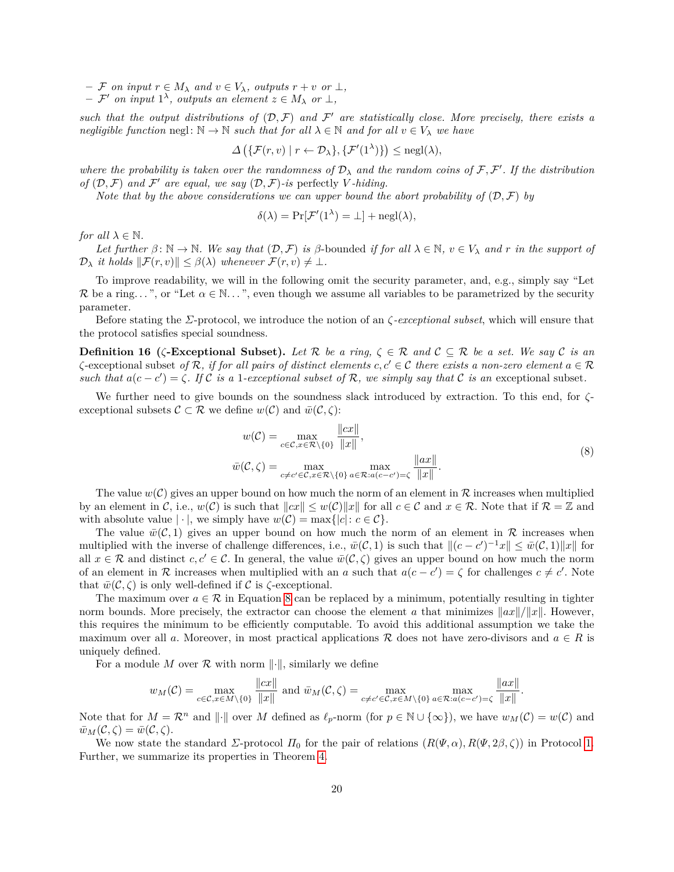$\mathcal{F}$  *on input*  $r \in M_\lambda$  *and*  $v \in V_\lambda$ *, outputs*  $r + v$  *or*  $\perp$ *,* 

 $\mathcal{F}'$  *on input*  $1^{\lambda}$ *, outputs an element*  $z \in M_{\lambda}$  *or*  $\bot$ *,* 

such that the output distributions of  $(D, \mathcal{F})$  and  $\mathcal{F}'$  are statistically close. More precisely, there exists a *negligible function* negl:  $\mathbb{N} \to \mathbb{N}$  *such that for all*  $\lambda \in \mathbb{N}$  *and for all*  $v \in V_\lambda$  *we have* 

$$
\Delta\left(\{\mathcal{F}(r,v) \mid r \leftarrow \mathcal{D}_{\lambda}\}, \{\mathcal{F}'(1^{\lambda})\}\right) \le \mathrm{negl}(\lambda),
$$

*where the probability is taken over the randomness of*  $D_{\lambda}$  *and the random coins of*  $\mathcal{F}, \mathcal{F}'$ *. If the distribution of*  $(D, \mathcal{F})$  *and*  $\mathcal{F}'$  *are equal, we say*  $(D, \mathcal{F})$ *-is* perfectly *V*-hiding.

*Note that by the above considerations we can upper bound the abort probability of*  $(D, \mathcal{F})$  *by* 

$$
\delta(\lambda) = \Pr[\mathcal{F}'(1^{\lambda}) = \bot] + \text{negl}(\lambda),
$$

*for all*  $\lambda \in \mathbb{N}$ *.* 

*Let further*  $\beta: \mathbb{N} \to \mathbb{N}$ *. We say that*  $(D, \mathcal{F})$  *is*  $\beta$ -bounded *if for all*  $\lambda \in \mathbb{N}$ *,*  $v \in V_{\lambda}$  *and r in the support of*  $\mathcal{D}_{\lambda}$  *it holds*  $\|\mathcal{F}(r, v)\| \leq \beta(\lambda)$  *whenever*  $\mathcal{F}(r, v) \neq \bot$ *.* 

To improve readability, we will in the following omit the security parameter, and, e.g., simply say "Let R be a ring...", or "Let  $\alpha \in \mathbb{N}$ ...", even though we assume all variables to be parametrized by the security parameter.

Before stating the *Σ*-protocol, we introduce the notion of an *ζ-exceptional subset*, which will ensure that the protocol satisfies special soundness.

**Definition 16** ( $\zeta$ **-Exceptional Subset).** Let R be a ring,  $\zeta \in \mathbb{R}$  and  $\mathcal{C} \subseteq \mathbb{R}$  be a set. We say C is an *ζ*-exceptional subset *of* R*, if for all pairs of distinct elements c, c*′ ∈ C *there exists a non-zero element a* ∈ R *such that*  $a(c - c') = \zeta$ . If C *is a* 1*-exceptional subset of* R, we simply say that C *is an* exceptional subset.

We further need to give bounds on the soundness slack introduced by extraction. To this end, for *ζ*exceptional subsets  $\mathcal{C} \subset \mathcal{R}$  we define  $w(\mathcal{C})$  and  $\overline{w}(\mathcal{C}, \zeta)$ :

$$
w(C) = \max_{c \in C, x \in \mathcal{R} \setminus \{0\}} \frac{\|cx\|}{\|x\|},
$$
  

$$
\bar{w}(C, \zeta) = \max_{c \neq c' \in C, x \in \mathcal{R} \setminus \{0\}} \max_{a \in \mathcal{R}: a(c-c') = \zeta} \frac{\|ax\|}{\|x\|}.
$$
 (8)

<span id="page-19-0"></span>The value  $w(\mathcal{C})$  gives an upper bound on how much the norm of an element in  $\mathcal R$  increases when multiplied by an element in C, i.e.,  $w(C)$  is such that  $||cx|| \leq w(C)||x||$  for all  $c \in C$  and  $x \in \mathcal{R}$ . Note that if  $\mathcal{R} = \mathbb{Z}$  and with absolute value  $|\cdot|$ , we simply have  $w(\mathcal{C}) = \max\{|c| : c \in \mathcal{C}\}.$ 

The value  $\bar{w}(\mathcal{C}, 1)$  gives an upper bound on how much the norm of an element in R increases when multiplied with the inverse of challenge differences, i.e.,  $\bar{w}(\mathcal{C}, 1)$  is such that  $||(c - c')^{-1}x|| \leq \bar{w}(\mathcal{C}, 1)||x||$  for all  $x \in \mathcal{R}$  and distinct  $c, c' \in \mathcal{C}$ . In general, the value  $\bar{w}(\mathcal{C}, \zeta)$  gives an upper bound on how much the norm of an element in R increases when multiplied with an *a* such that  $a(c - c') = \zeta$  for challenges  $c \neq c'$ . Note that  $\bar{w}(\mathcal{C}, \zeta)$  is only well-defined if  $\mathcal C$  is  $\zeta$ -exceptional.

The maximum over  $a \in \mathcal{R}$  in Equation [8](#page-19-0) can be replaced by a minimum, potentially resulting in tighter norm bounds. More precisely, the extractor can choose the element *a* that minimizes ∥*ax*∥*/*∥*x*∥. However, this requires the minimum to be efficiently computable. To avoid this additional assumption we take the maximum over all *a*. Moreover, in most practical applications R does not have zero-divisors and  $a \in R$  is uniquely defined.

For a module *M* over  $\mathcal R$  with norm  $\|\cdot\|$ , similarly we define

$$
w_M(\mathcal{C}) = \max_{c \in \mathcal{C}, x \in M \setminus \{0\}} \frac{\|cx\|}{\|x\|} \text{ and } \bar{w}_M(\mathcal{C}, \zeta) = \max_{c \neq c' \in \mathcal{C}, x \in M \setminus \{0\}} \max_{a \in \mathcal{R}: a(c-c') = \zeta} \frac{\|ax\|}{\|x\|}.
$$

Note that for  $M = \mathbb{R}^n$  and  $\|\cdot\|$  over M defined as  $\ell_p$ -norm (for  $p \in \mathbb{N} \cup \{\infty\}$ ), we have  $w_M(\mathcal{C}) = w(\mathcal{C})$  and  $\overline{w}_M(\mathcal{C}, \zeta) = \overline{w}(\mathcal{C}, \zeta).$ 

<span id="page-19-1"></span>We now state the standard *Σ*-protocol  $\Pi_0$  for the pair of relations  $(R(\Psi, \alpha), R(\Psi, 2\beta, \zeta))$  in Protocol [1.](#page-20-0) Further, we summarize its properties in Theorem [4.](#page-19-1)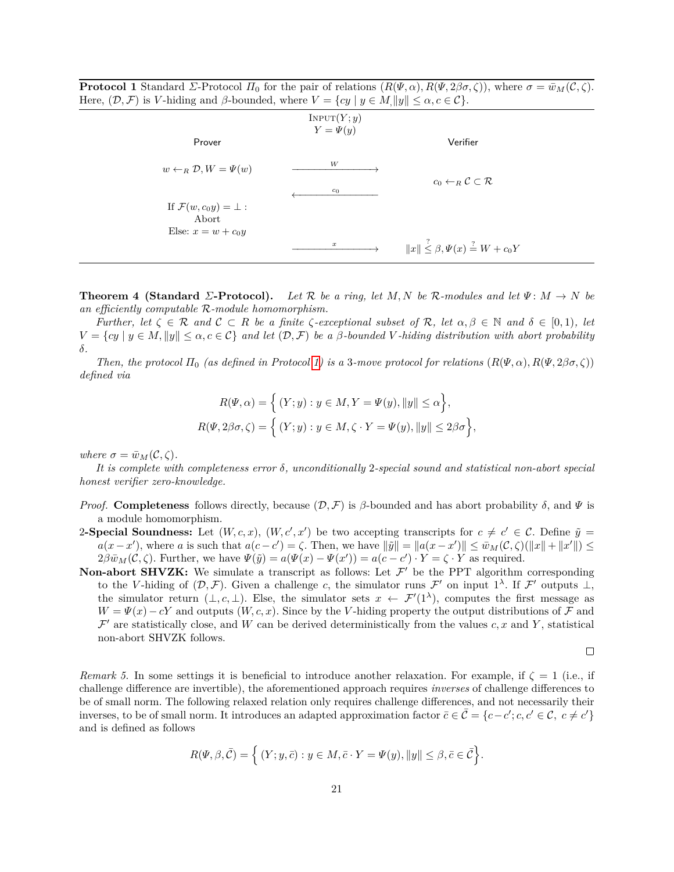| ere, $(D, \mathcal{F})$ is V-hiding and $\beta$ -bounded, where $V = \{cy   y \in M,   y   \leq \alpha, c \in \mathcal{C}\}\$ . |                              |                                                       |  |
|---------------------------------------------------------------------------------------------------------------------------------|------------------------------|-------------------------------------------------------|--|
|                                                                                                                                 | INPUT(Y; y)<br>$Y = \Psi(y)$ |                                                       |  |
| Prover                                                                                                                          |                              | Verifier                                              |  |
| $w \leftarrow_R \mathcal{D}, W = \Psi(w)$                                                                                       | W                            | $c_0 \leftarrow_R C \subset \mathcal{R}$              |  |
| If $\mathcal{F}(w,c_0y)=\perp$ :<br>Abort<br>Else: $x = w + c_0y$                                                               | $c_0$                        |                                                       |  |
|                                                                                                                                 | $\boldsymbol{x}$             | $  x   \leq \beta, \Psi(x) \stackrel{?}{=} W + c_0 Y$ |  |

<span id="page-20-0"></span>**Protocol 1** Standard *Σ*-Protocol *Π*<sup>0</sup> for the pair of relations  $(R(\Psi, \alpha), R(\Psi, 2\beta\sigma, \zeta))$ , where  $\sigma = \bar{w}_M(\mathcal{C}, \zeta)$ . Here,  $(\mathcal{D}, \mathcal{F})$  is *V*-hiding and  $\beta$ -bounded, where  $V = \{cy \mid y \in M, ||y|| \leq \alpha, c \in \mathcal{C}\}.$ 

**Theorem 4 (Standard**  $\Sigma$ **-Protocol).** Let  $\mathcal{R}$  be a ring, let  $M, N$  be  $\mathcal{R}$ -modules and let  $\Psi: M \to N$  be *an efficiently computable* R*-module homomorphism.*

*Further, let*  $\zeta \in \mathcal{R}$  *and*  $\mathcal{C} \subset R$  *be a finite*  $\zeta$ -exceptional subset of  $\mathcal{R}$ *, let*  $\alpha, \beta \in \mathbb{N}$  *and*  $\delta \in [0,1)$ *, let*  $V = \{cy \mid y \in M, ||y|| \leq \alpha, c \in C\}$  and let  $(D, \mathcal{F})$  be a  $\beta$ -bounded *V*-hiding distribution with abort probability *δ.*

*Then, the protocol*  $\Pi_0$  *(as defined in Protocol [1\)](#page-20-0) is a* 3*-move protocol for relations*  $(R(\Psi, \alpha), R(\Psi, 2\beta\sigma, \zeta))$ *defined via*

$$
R(\Psi,\alpha) = \left\{ (Y;y) : y \in M, Y = \Psi(y), ||y|| \le \alpha \right\},\newline R(\Psi,2\beta\sigma,\zeta) = \left\{ (Y;y) : y \in M, \zeta \cdot Y = \Psi(y), ||y|| \le 2\beta\sigma \right\},\newline
$$

*where*  $\sigma = \bar{w}_M(\mathcal{C}, \zeta)$ *.* 

*It is complete with completeness error δ, unconditionally* 2*-special sound and statistical non-abort special honest verifier zero-knowledge.*

- *Proof.* **Completeness** follows directly, because  $(\mathcal{D}, \mathcal{F})$  is *β*-bounded and has abort probability  $\delta$ , and  $\Psi$  is a module homomorphism.
- 2-Special Soundness: Let  $(W, c, x)$ ,  $(W, c', x')$  be two accepting transcripts for  $c \neq c' \in \mathcal{C}$ . Define  $\tilde{y} =$  $a(x-x')$ , where a is such that  $a(c-c') = \zeta$ . Then, we have  $\|\tilde{y}\| = \|a(x-x')\| \le \bar{w}_M(\mathcal{C},\zeta)(\|x\| + \|x'\|) \le$  $2\beta \bar{w}_M(\mathcal{C}, \zeta)$ . Further, we have  $\Psi(\tilde{y}) = a(\Psi(x) - \Psi(x')) = a(c - c') \cdot Y = \zeta \cdot Y$  as required.
- **Non-abort SHVZK:** We simulate a transcript as follows: Let  $\mathcal{F}'$  be the PPT algorithm corresponding to the *V*-hiding of  $(D, \mathcal{F})$ . Given a challenge *c*, the simulator runs  $\mathcal{F}'$  on input  $1^{\lambda}$ . If  $\mathcal{F}'$  outputs  $\perp$ , the simulator return  $(\perp, c, \perp)$ . Else, the simulator sets  $x \leftarrow \mathcal{F}'(1^{\lambda})$ , computes the first message as  $W = \Psi(x) - cY$  and outputs  $(W, c, x)$ . Since by the *V*-hiding property the output distributions of F and  $\mathcal{F}'$  are statistically close, and W can be derived deterministically from the values  $c, x$  and Y, statistical non-abort SHVZK follows.

$$
\Box
$$

*Remark 5.* In some settings it is beneficial to introduce another relaxation. For example, if *ζ* = 1 (i.e., if challenge difference are invertible), the aforementioned approach requires *inverses* of challenge differences to be of small norm. The following relaxed relation only requires challenge differences, and not necessarily their inverses, to be of small norm. It introduces an adapted approximation factor  $\bar{c} \in \bar{\mathcal{C}} = \{c - c'; c, c' \in \mathcal{C}, c \neq c'\}$ and is defined as follows

$$
R(\Psi,\beta,\bar{\mathcal{C}})=\Big\{\left(Y;y,\bar{c}\right):y\in M,\bar{c}\cdot Y=\Psi(y),\|y\|\leq\beta,\bar{c}\in\bar{\mathcal{C}}\Big\}.
$$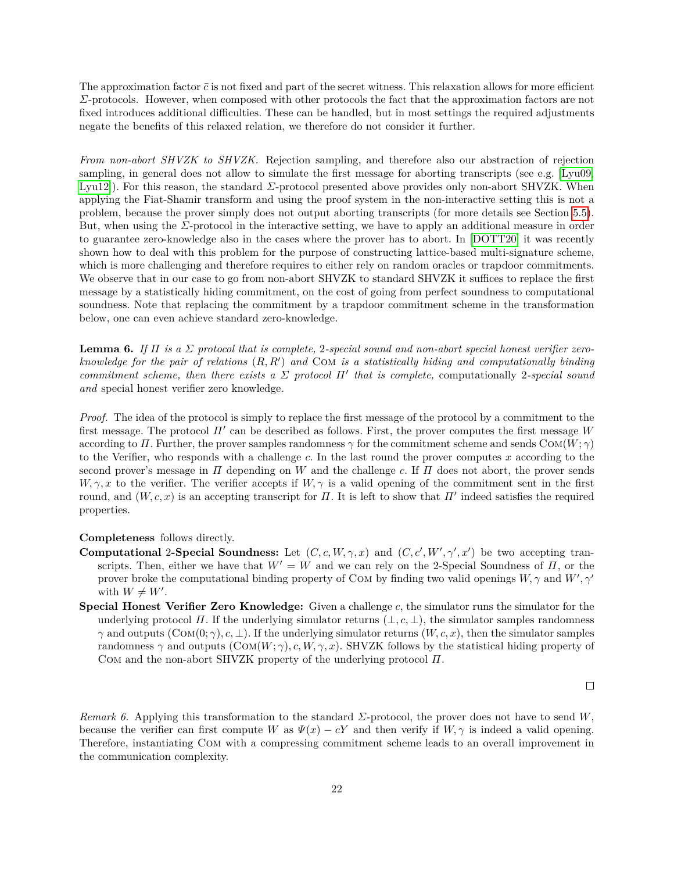The approximation factor  $\bar{c}$  is not fixed and part of the secret witness. This relaxation allows for more efficient *Σ*-protocols. However, when composed with other protocols the fact that the approximation factors are not fixed introduces additional difficulties. These can be handled, but in most settings the required adjustments negate the benefits of this relaxed relation, we therefore do not consider it further.

*From non-abort SHVZK to SHVZK.* Rejection sampling, and therefore also our abstraction of rejection sampling, in general does not allow to simulate the first message for aborting transcripts (see e.g. [\[Lyu09,](#page-34-14) [Lyu12\]](#page-35-4)). For this reason, the standard *Σ*-protocol presented above provides only non-abort SHVZK. When applying the Fiat-Shamir transform and using the proof system in the non-interactive setting this is not a problem, because the prover simply does not output aborting transcripts (for more details see Section [5.5\)](#page-25-0). But, when using the *Σ*-protocol in the interactive setting, we have to apply an additional measure in order to guarantee zero-knowledge also in the cases where the prover has to abort. In [\[DOTT20\]](#page-34-16) it was recently shown how to deal with this problem for the purpose of constructing lattice-based multi-signature scheme, which is more challenging and therefore requires to either rely on random oracles or trapdoor commitments. We observe that in our case to go from non-abort SHVZK to standard SHVZK it suffices to replace the first message by a statistically hiding commitment, on the cost of going from perfect soundness to computational soundness. Note that replacing the commitment by a trapdoor commitment scheme in the transformation below, one can even achieve standard zero-knowledge.

<span id="page-21-0"></span>**Lemma 6.** *If Π is a Σ protocol that is complete,* 2*-special sound and non-abort special honest verifier zeroknowledge for the pair of relations* (*R, R*′ ) *and* Com *is a statistically hiding and computationally binding commitment scheme, then there exists a Σ protocol Π*′ *that is complete,* computationally 2*-special sound and* special honest verifier zero knowledge*.*

*Proof.* The idea of the protocol is simply to replace the first message of the protocol by a commitment to the first message. The protocol *Π*′ can be described as follows. First, the prover computes the first message *W* according to *Π*. Further, the prover samples randomness  $\gamma$  for the commitment scheme and sends COM( $W$ ;  $\gamma$ ) to the Verifier, who responds with a challenge *c*. In the last round the prover computes *x* according to the second prover's message in *Π* depending on *W* and the challenge *c*. If *Π* does not abort, the prover sends  $W, \gamma, x$  to the verifier. The verifier accepts if  $W, \gamma$  is a valid opening of the commitment sent in the first round, and  $(W, c, x)$  is an accepting transcript for  $\Pi$ . It is left to show that  $\Pi'$  indeed satisfies the required properties.

#### **Completeness** follows directly.

- **Computational 2-Special Soundness:** Let  $(C, c, W, \gamma, x)$  and  $(C, c', W', \gamma', x')$  be two accepting transcripts. Then, either we have that  $W' = W$  and we can rely on the 2-Special Soundness of  $\Pi$ , or the prover broke the computational binding property of Com by finding two valid openings *W, γ* and *W*′ *, γ*′ with  $W \neq W'$ .
- **Special Honest Verifier Zero Knowledge:** Given a challenge *c*, the simulator runs the simulator for the underlying protocol *Π*. If the underlying simulator returns  $(\bot, c, \bot)$ , the simulator samples randomness *γ* and outputs  $(COM(0; γ), c, \perp)$ . If the underlying simulator returns  $(W, c, x)$ , then the simulator samples randomness  $\gamma$  and outputs  $(\text{Com}(W;\gamma), c, W, \gamma, x)$ . SHVZK follows by the statistical hiding property of Com and the non-abort SHVZK property of the underlying protocol *Π*.

 $\Box$ 

*Remark 6.* Applying this transformation to the standard *Σ*-protocol, the prover does not have to send *W*, because the verifier can first compute *W* as  $\Psi(x) - cY$  and then verify if  $W, \gamma$  is indeed a valid opening. Therefore, instantiating Com with a compressing commitment scheme leads to an overall improvement in the communication complexity.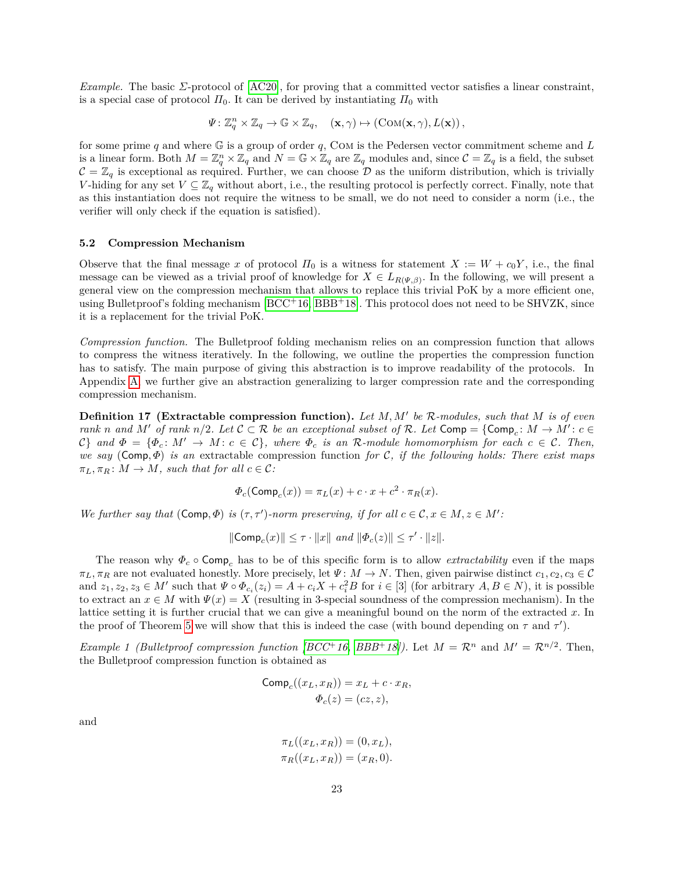*Example.* The basic *Σ*-protocol of [\[AC20\]](#page-33-0), for proving that a committed vector satisfies a linear constraint, is a special case of protocol  $\Pi_0$ . It can be derived by instantiating  $\Pi_0$  with

$$
\Psi\colon \mathbb{Z}_q^n\times \mathbb{Z}_q\to \mathbb{G}\times \mathbb{Z}_q, \quad (\mathbf{x},\gamma)\mapsto \left(\mathrm{Com}(\mathbf{x},\gamma),L(\mathbf{x})\right),
$$

for some prime *q* and where G is a group of order *q*, Com is the Pedersen vector commitment scheme and *L* is a linear form. Both  $M = \mathbb{Z}_q^n \times \mathbb{Z}_q$  and  $N = \mathbb{G} \times \mathbb{Z}_q$  are  $\mathbb{Z}_q$  modules and, since  $\mathcal{C} = \mathbb{Z}_q$  is a field, the subset  $C = \mathbb{Z}_q$  is exceptional as required. Further, we can choose  $\mathcal D$  as the uniform distribution, which is trivially *V*-hiding for any set  $V \subseteq \mathbb{Z}_q$  without abort, i.e., the resulting protocol is perfectly correct. Finally, note that as this instantiation does not require the witness to be small, we do not need to consider a norm (i.e., the verifier will only check if the equation is satisfied).

#### <span id="page-22-0"></span>**5.2 Compression Mechanism**

Observe that the final message *x* of protocol  $\Pi_0$  is a witness for statement  $X := W + c_0Y$ , i.e., the final message can be viewed as a trivial proof of knowledge for  $X \in L_{R(\Psi,\beta)}$ . In the following, we will present a general view on the compression mechanism that allows to replace this trivial PoK by a more efficient one, using Bulletproof's folding mechanism  $[BCC<sup>+</sup>16, BBB<sup>+</sup>18]$  $[BCC<sup>+</sup>16, BBB<sup>+</sup>18]$  $[BCC<sup>+</sup>16, BBB<sup>+</sup>18]$  $[BCC<sup>+</sup>16, BBB<sup>+</sup>18]$ . This protocol does not need to be SHVZK, since it is a replacement for the trivial PoK.

*Compression function.* The Bulletproof folding mechanism relies on an compression function that allows to compress the witness iteratively. In the following, we outline the properties the compression function has to satisfy. The main purpose of giving this abstraction is to improve readability of the protocols. In Appendix [A,](#page-36-0) we further give an abstraction generalizing to larger compression rate and the corresponding compression mechanism.

**Definition 17 (Extractable compression function).** *Let M, M*′ *be* R*-modules, such that M is of even rank n and*  $M'$  *of rank*  $n/2$ *. Let*  $C \subset \mathcal{R}$  *be an exceptional subset of*  $\mathcal{R}$ *. Let*  $\text{Comp} = \{\text{Comp}_c : M \to M' : c \in \mathcal{R} \}$  $\mathcal{C}\}\$ and  $\Phi = {\Phi_c : M' \to M : c \in \mathcal{C}}\$ , where  $\Phi_c$  is an R-module homomorphism for each  $c \in \mathcal{C}$ . Then, *we say* (Comp*, Φ*) *is an* extractable compression function *for* C*, if the following holds: There exist maps*  $\pi_L, \pi_R$ :  $M \to M$ *, such that for all*  $c \in \mathcal{C}$ *:* 

$$
\Phi_c(\text{Comp}_c(x)) = \pi_L(x) + c \cdot x + c^2 \cdot \pi_R(x).
$$

*We further say that*  $(\textsf{Comp}, \Phi)$  *is*  $(\tau, \tau')$ -norm preserving, if for all  $c \in \mathcal{C}, x \in M, z \in M'$ :

$$
\|\textsf{Comp}_c(x)\| \leq \tau \cdot \|x\| \text{ and } \|\varPhi_c(z)\| \leq \tau' \cdot \|z\|.
$$

The reason why  $\Phi_c \circ \textsf{Comp}_c$  has to be of this specific form is to allow *extractability* even if the maps  $\pi_L, \pi_R$  are not evaluated honestly. More precisely, let  $\Psi: M \to N$ . Then, given pairwise distinct  $c_1, c_2, c_3 \in \mathcal{C}$ and  $z_1, z_2, z_3 \in M'$  such that  $\Psi \circ \Phi_{c_i}(z_i) = A + c_i X + c_i^2 B$  for  $i \in [3]$  (for arbitrary  $A, B \in N$ ), it is possible to extract an  $x \in M$  with  $\Psi(x) = X$  (resulting in 3-special soundness of the compression mechanism). In the lattice setting it is further crucial that we can give a meaningful bound on the norm of the extracted *x*. In the proof of Theorem [5](#page-23-0) we will show that this is indeed the case (with bound depending on  $\tau$  and  $\tau'$ ).

*Example 1 (Bulletproof compression function*  $\left| BCC^{+}16, BBB^{+}18 \right|$  $\left| BCC^{+}16, BBB^{+}18 \right|$  $\left| BCC^{+}16, BBB^{+}18 \right|$ *).* Let  $M = \mathcal{R}^n$  and  $M' = \mathcal{R}^{n/2}$ . Then, the Bulletproof compression function is obtained as

Comp<sub>c</sub>
$$
((x_L, x_R)) = x_L + c \cdot x_R,
$$
  

$$
\Phi_c(z) = (cz, z),
$$

and

$$
\pi_L((x_L, x_R)) = (0, x_L),
$$
  

$$
\pi_R((x_L, x_R)) = (x_R, 0).
$$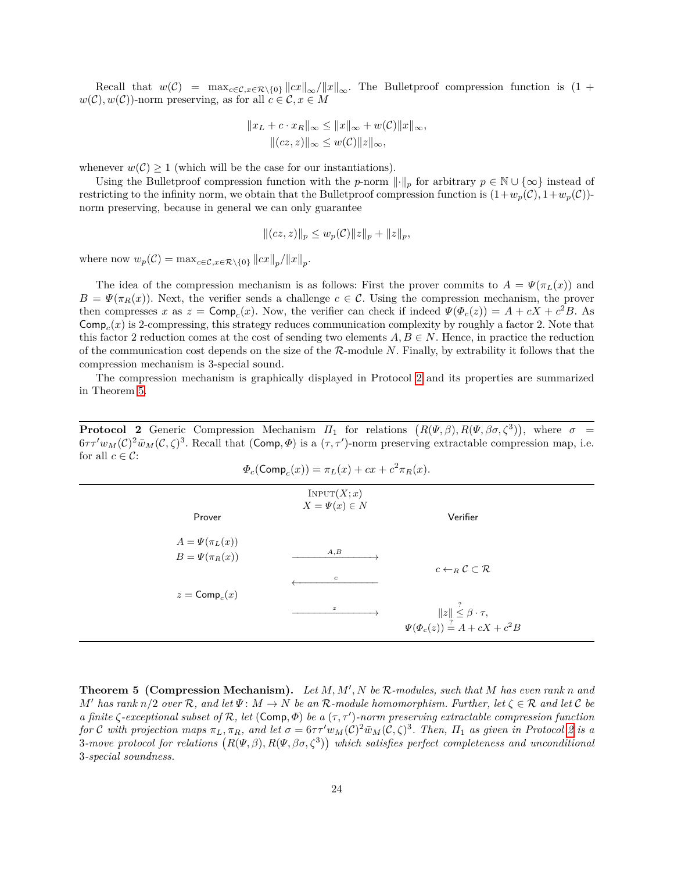Recall that  $w(C) = \max_{c \in C, x \in \mathcal{R} \setminus \{0\}} ||cx||_{\infty} / ||x||_{\infty}$ . The Bulletproof compression function is  $(1 +$  $w(\mathcal{C}), w(\mathcal{C})$ -norm preserving, as for all  $c \in \mathcal{C}, x \in M$ 

$$
||x_L + c \cdot x_R||_{\infty} \le ||x||_{\infty} + w(\mathcal{C})||x||_{\infty},
$$
  

$$
||(cz, z)||_{\infty} \le w(\mathcal{C})||z||_{\infty},
$$

whenever  $w(\mathcal{C}) \geq 1$  (which will be the case for our instantiations).

Using the Bulletproof compression function with the *p*-norm  $||\cdot||_p$  for arbitrary  $p \in \mathbb{N} \cup \{\infty\}$  instead of restricting to the infinity norm, we obtain that the Bulletproof compression function is  $(1+w_p(\mathcal{C}), 1+w_p(\mathcal{C}))$ norm preserving, because in general we can only guarantee

$$
||(cz, z)||_p \le w_p(\mathcal{C})||z||_p + ||z||_p,
$$

where now  $w_p(\mathcal{C}) = \max_{c \in \mathcal{C}, x \in \mathcal{R} \setminus \{0\}} ||cx||_p / ||x||_p$ .

The idea of the compression mechanism is as follows: First the prover commits to  $A = \Psi(\pi_L(x))$  and  $B = \Psi(\pi_R(x))$ . Next, the verifier sends a challenge  $c \in \mathcal{C}$ . Using the compression mechanism, the prover then compresses *x* as  $z = \text{Comp}_c(x)$ . Now, the verifier can check if indeed  $\Psi(\Phi_c(z)) = A + cX + c^2B$ . As  $\mathsf{Comp}_c(x)$  is 2-compressing, this strategy reduces communication complexity by roughly a factor 2. Note that this factor 2 reduction comes at the cost of sending two elements  $A, B \in N$ . Hence, in practice the reduction of the communication cost depends on the size of the R-module *N*. Finally, by extrability it follows that the compression mechanism is 3-special sound.

The compression mechanism is graphically displayed in Protocol [2](#page-23-1) and its properties are summarized in Theorem [5.](#page-23-0)

<span id="page-23-1"></span>**Protocol 2** Generic Compression Mechanism  $\Pi_1$  for relations  $(R(\Psi, \beta), R(\Psi, \beta\sigma, \zeta^3))$ , where  $\sigma =$  $6\tau\tau'w_M(\mathcal{C})^2\bar{w}_M(\mathcal{C},\zeta)^3$ . Recall that  $(\text{Comp},\Phi)$  is a  $(\tau,\tau')$ -norm preserving extractable compression map, i.e. for all  $c \in \mathcal{C}$ :

$$
\varPhi_c(\textsf{Comp}_c(x))=\pi_L(x)+cx+c^2\pi_R(x).
$$

|                                                                        | INPUT(X; x)<br>$X = \Psi(x) \in N$                                                              |
|------------------------------------------------------------------------|-------------------------------------------------------------------------------------------------|
| Prover                                                                 | Verifier                                                                                        |
| $A = \Psi(\pi_L(x))$<br>$B=\Psi(\pi_R(x))$<br>$z = \textsf{Comp}_c(x)$ | A, B<br>$c \leftarrow_B C \subset \mathcal{R}$<br>$\boldsymbol{c}$<br>$\boldsymbol{z}$          |
|                                                                        | $  z   \stackrel{?}{\leq} \beta \cdot \tau,$<br>$\Psi(\Phi_c(z)) \stackrel{?}{=} A + cX + c^2B$ |

<span id="page-23-0"></span>**Theorem 5 (Compression Mechanism).** *Let M, M*′ *, N be* R*-modules, such that M has even rank n and M*<sup> $\prime$ </sup> *has rank*  $n/2$  *over*  $\mathcal{R}$ *, and let*  $\Psi: M \to N$  *be an*  $\mathcal{R}$ *-module homomorphism. Further, let*  $\zeta \in \mathcal{R}$  *and let*  $\mathcal{C}$  *be a finite ζ-exceptional subset of* R*, let* (Comp*, Φ*) *be a* (*τ, τ* ′ )*-norm preserving extractable compression function* for C with projection maps  $\pi_L, \pi_R$ , and let  $\sigma = 6\tau \tau' w_M(\mathcal{C})^2 \bar{w}_M(\mathcal{C}, \zeta)^3$ . Then,  $\Pi_1$  as given in Protocol [2](#page-23-1) is a 3-move protocol for relations  $(R(\Psi, \beta), R(\Psi, \beta\sigma, \zeta^3))$  which satisfies perfect completeness and unconditional 3*-special soundness.*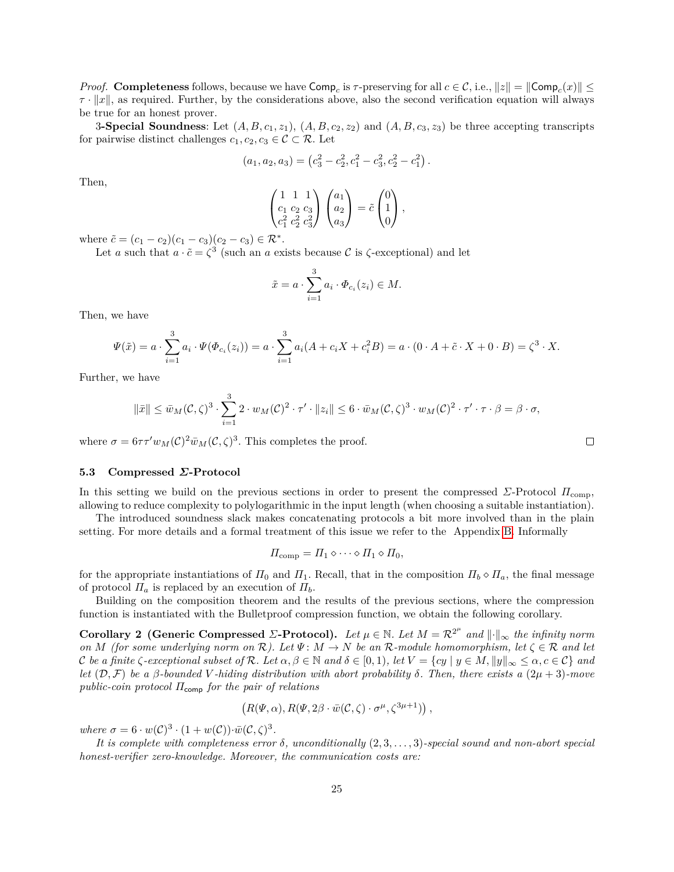*Proof.* **Completeness** follows, because we have  $\textsf{Comp}_c$  is  $\tau$ -preserving for all  $c \in \mathcal{C}$ , i.e.,  $||z|| = ||\textsf{Comp}_c(x)|| \le$ *τ* · ∥*x*∥, as required. Further, by the considerations above, also the second verification equation will always be true for an honest prover.

**3-Special Soundness**: Let  $(A, B, c_1, z_1)$ ,  $(A, B, c_2, z_2)$  and  $(A, B, c_3, z_3)$  be three accepting transcripts for pairwise distinct challenges  $c_1, c_2, c_3 \in \mathcal{C} \subset \mathcal{R}$ . Let

$$
(a_1, a_2, a_3) = (c_3^2 - c_2^2, c_1^2 - c_3^2, c_2^2 - c_1^2).
$$

Then,

$$
\begin{pmatrix} 1 & 1 & 1 \ c_1 & c_2 & c_3 \ c_1^2 & c_2^2 & c_3^2 \end{pmatrix} \begin{pmatrix} a_1 \ a_2 \ a_3 \end{pmatrix} = \tilde{c} \begin{pmatrix} 0 \ 1 \ 0 \end{pmatrix},
$$

where  $\tilde{c} = (c_1 - c_2)(c_1 - c_3)(c_2 - c_3) \in \mathcal{R}^*$ .

Let *a* such that  $a \cdot \tilde{c} = \zeta^3$  (such an *a* exists because C is  $\zeta$ -exceptional) and let

$$
\tilde{x} = a \cdot \sum_{i=1}^{3} a_i \cdot \Phi_{c_i}(z_i) \in M.
$$

Then, we have

$$
\Psi(\tilde{x}) = a \cdot \sum_{i=1}^{3} a_i \cdot \Psi(\Phi_{c_i}(z_i)) = a \cdot \sum_{i=1}^{3} a_i (A + c_i X + c_i^2 B) = a \cdot (0 \cdot A + \tilde{c} \cdot X + 0 \cdot B) = \zeta^3 \cdot X.
$$

Further, we have

$$
\|\bar{x}\| \leq \bar{w}_M(\mathcal{C}, \zeta)^3 \cdot \sum_{i=1}^3 2 \cdot w_M(\mathcal{C})^2 \cdot \tau' \cdot \|z_i\| \leq 6 \cdot \bar{w}_M(\mathcal{C}, \zeta)^3 \cdot w_M(\mathcal{C})^2 \cdot \tau' \cdot \tau \cdot \beta = \beta \cdot \sigma,
$$

where  $\sigma = 6\tau \tau' w_M(\mathcal{C})^2 \bar{w}_M(\mathcal{C}, \zeta)^3$ . This completes the proof.

### **5.3 Compressed** *Σ***-Protocol**

In this setting we build on the previous sections in order to present the compressed *Σ*-Protocol  $\Pi_{\text{comb}}$ , allowing to reduce complexity to polylogarithmic in the input length (when choosing a suitable instantiation).

The introduced soundness slack makes concatenating protocols a bit more involved than in the plain setting. For more details and a formal treatment of this issue we refer to the Appendix [B.](#page-40-0) Informally

$$
\Pi_{\text{comp}} = \Pi_1 \diamond \cdots \diamond \Pi_1 \diamond \Pi_0,
$$

for the appropriate instantiations of  $\Pi_0$  and  $\Pi_1$ . Recall, that in the composition  $\Pi_b \diamond \Pi_a$ , the final message of protocol  $\Pi_a$  is replaced by an execution of  $\Pi_b$ .

Building on the composition theorem and the results of the previous sections, where the compression function is instantiated with the Bulletproof compression function, we obtain the following corollary.

<span id="page-24-0"></span>**Corollary 2 (Generic Compressed**  $\Sigma$ **-Protocol).** Let  $\mu \in \mathbb{N}$ . Let  $M = \mathcal{R}^{2^{\mu}}$  and  $\|\cdot\|_{\infty}$  the infinity norm *on M* (for some underlying norm on  $\mathcal{R}$ ). Let  $\Psi: M \to N$  be an  $\mathcal{R}$ -module homomorphism, let  $\zeta \in \mathcal{R}$  and let C *be a finite*  $\zeta$ -exceptional subset of  $\mathcal{R}$ *. Let*  $\alpha, \beta \in \mathbb{N}$  and  $\delta \in [0,1)$ *, let*  $V = \{cy \mid y \in M, ||y||_{\infty} \leq \alpha, c \in \mathcal{C}\}\$ and *let*  $(D, \mathcal{F})$  *be a β-bounded V-hiding distribution with abort probability*  $\delta$ *. Then, there exists a* (2*µ* + 3)*-move public-coin protocol Π*comp *for the pair of relations*

$$
(R(\Psi,\alpha), R(\Psi,2\beta \cdot \bar{w}(\mathcal{C},\zeta) \cdot \sigma^{\mu},\zeta^{3\mu+1})),
$$

*where*  $\sigma = 6 \cdot w(\mathcal{C})^3 \cdot (1 + w(\mathcal{C})) \cdot \overline{w}(\mathcal{C}, \zeta)^3$ .

*It is complete with completeness error δ, unconditionally* (2*,* 3*, . . . ,* 3)*-special sound and non-abort special honest-verifier zero-knowledge. Moreover, the communication costs are:*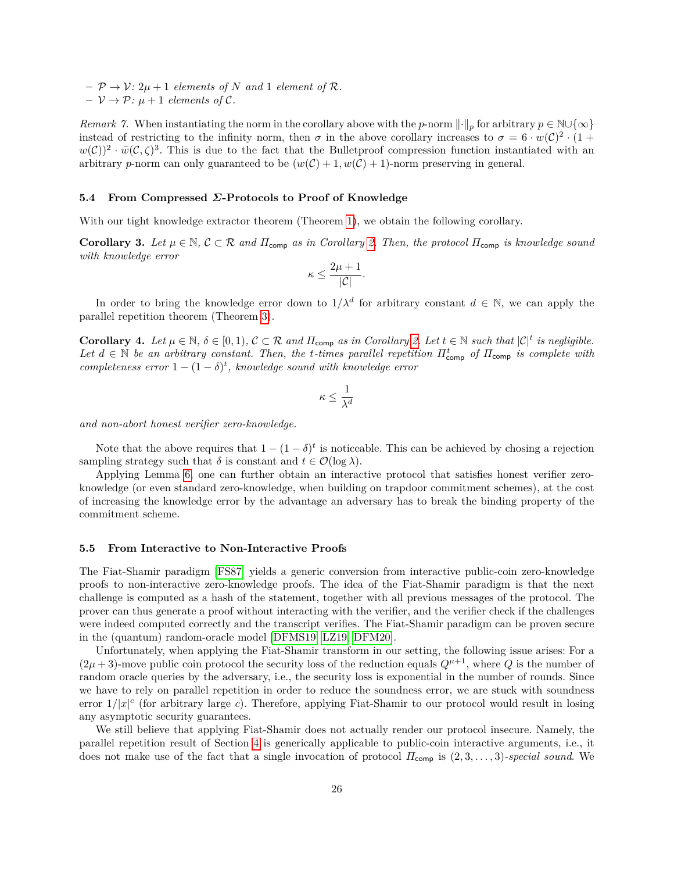$P \rightarrow V: 2\mu + 1$  *elements of N and* 1 *element of*  $R$ *.*  $\rightarrow$   $\nu \rightarrow \mathcal{P}$ :  $\mu + 1$  *elements of* C.

*Remark 7.* When instantiating the norm in the corollary above with the *p*-norm  $\|\cdot\|_p$  for arbitrary  $p \in \mathbb{N} \cup \{\infty\}$ instead of restricting to the infinity norm, then  $\sigma$  in the above corollary increases to  $\sigma = 6 \cdot w(\mathcal{C})^2 \cdot (1 +$  $w(\mathcal{C})^2 \cdot \bar{w}(\mathcal{C}, \zeta)^3$ . This is due to the fact that the Bulletproof compression function instantiated with an arbitrary *p*-norm can only guaranteed to be  $(w(\mathcal{C}) + 1, w(\mathcal{C}) + 1)$ -norm preserving in general.

### **5.4 From Compressed** *Σ***-Protocols to Proof of Knowledge**

With our tight knowledge extractor theorem (Theorem [1\)](#page-8-0), we obtain the following corollary.

**Corollary 3.** Let  $\mu \in \mathbb{N}$ ,  $\mathcal{C} \subset \mathcal{R}$  and  $\Pi_{\text{comp}}$  as in Corollary [2.](#page-24-0) Then, the protocol  $\Pi_{\text{comp}}$  is knowledge sound *with knowledge error*

$$
\kappa \le \frac{2\mu + 1}{|\mathcal{C}|}.
$$

In order to bring the knowledge error down to  $1/\lambda^d$  for arbitrary constant  $d \in \mathbb{N}$ , we can apply the parallel repetition theorem (Theorem [3\)](#page-16-0).

**Corollary** 4. Let  $\mu \in \mathbb{N}$ ,  $\delta \in [0,1)$ ,  $\mathcal{C} \subset \mathcal{R}$  and  $\Pi_{\text{comp}}$  as in Corollary [2.](#page-24-0) Let  $t \in \mathbb{N}$  such that  $|\mathcal{C}|^t$  is negligible. *Let*  $d \in \mathbb{N}$  *be an arbitrary constant. Then, the <i>t*-times parallel repetition  $\Pi_{\text{comp}}^t$  of  $\Pi_{\text{comp}}$  is complete with  $completeness error 1 - (1 - \delta)^t$ , knowledge sound with knowledge error

$$
\kappa \leq \frac{1}{\lambda^d}
$$

*and non-abort honest verifier zero-knowledge.*

Note that the above requires that  $1 - (1 - \delta)^t$  is noticeable. This can be achieved by chosing a rejection sampling strategy such that  $\delta$  is constant and  $t \in \mathcal{O}(\log \lambda)$ .

Applying Lemma [6,](#page-21-0) one can further obtain an interactive protocol that satisfies honest verifier zeroknowledge (or even standard zero-knowledge, when building on trapdoor commitment schemes), at the cost of increasing the knowledge error by the advantage an adversary has to break the binding property of the commitment scheme.

#### <span id="page-25-0"></span>**5.5 From Interactive to Non-Interactive Proofs**

The Fiat-Shamir paradigm [\[FS87\]](#page-34-17) yields a generic conversion from interactive public-coin zero-knowledge proofs to non-interactive zero-knowledge proofs. The idea of the Fiat-Shamir paradigm is that the next challenge is computed as a hash of the statement, together with all previous messages of the protocol. The prover can thus generate a proof without interacting with the verifier, and the verifier check if the challenges were indeed computed correctly and the transcript verifies. The Fiat-Shamir paradigm can be proven secure in the (quantum) random-oracle model [\[DFMS19,](#page-34-18) [LZ19,](#page-35-5) [DFM20\]](#page-34-12).

Unfortunately, when applying the Fiat-Shamir transform in our setting, the following issue arises: For a  $(2\mu + 3)$ -move public coin protocol the security loss of the reduction equals  $Q^{\mu+1}$ , where *Q* is the number of random oracle queries by the adversary, i.e., the security loss is exponential in the number of rounds. Since we have to rely on parallel repetition in order to reduce the soundness error, we are stuck with soundness error 1*/*|*x*| *c* (for arbitrary large *c*). Therefore, applying Fiat-Shamir to our protocol would result in losing any asymptotic security guarantees.

We still believe that applying Fiat-Shamir does not actually render our protocol insecure. Namely, the parallel repetition result of Section [4](#page-15-0) is generically applicable to public-coin interactive arguments, i.e., it does not make use of the fact that a single invocation of protocol  $\Pi_{\text{comp}}$  is  $(2, 3, ..., 3)$ *-special sound*. We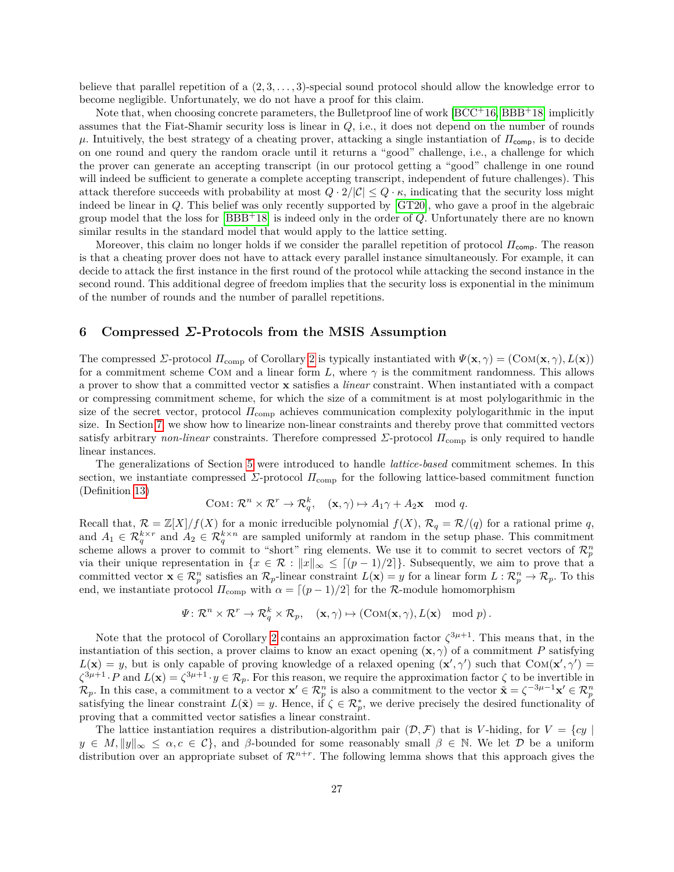believe that parallel repetition of a (2*,* 3*, . . . ,* 3)-special sound protocol should allow the knowledge error to become negligible. Unfortunately, we do not have a proof for this claim.

Note that, when choosing concrete parameters, the Bulletproof line of work  $[BCC<sup>+</sup>16, BBB<sup>+</sup>18]$  $[BCC<sup>+</sup>16, BBB<sup>+</sup>18]$  $[BCC<sup>+</sup>16, BBB<sup>+</sup>18]$  $[BCC<sup>+</sup>16, BBB<sup>+</sup>18]$  implicitly assumes that the Fiat-Shamir security loss is linear in *Q*, i.e., it does not depend on the number of rounds *μ*. Intuitively, the best strategy of a cheating prover, attacking a single instantiation of  $\Gamma_{\text{comp}}$ , is to decide on one round and query the random oracle until it returns a "good" challenge, i.e., a challenge for which the prover can generate an accepting transcript (in our protocol getting a "good" challenge in one round will indeed be sufficient to generate a complete accepting transcript, independent of future challenges). This attack therefore succeeds with probability at most  $Q \cdot 2/|\mathcal{C}| \leq Q \cdot \kappa$ , indicating that the security loss might indeed be linear in *Q*. This belief was only recently supported by [\[GT20\]](#page-34-19), who gave a proof in the algebraic group model that the loss for [\[BBB](#page-33-2)<sup>+</sup>18] is indeed only in the order of *Q*. Unfortunately there are no known similar results in the standard model that would apply to the lattice setting.

Moreover, this claim no longer holds if we consider the parallel repetition of protocol  $\Gamma_{\text{comp}}$ . The reason is that a cheating prover does not have to attack every parallel instance simultaneously. For example, it can decide to attack the first instance in the first round of the protocol while attacking the second instance in the second round. This additional degree of freedom implies that the security loss is exponential in the minimum of the number of rounds and the number of parallel repetitions.

# <span id="page-26-0"></span>**6 Compressed** *Σ***-Protocols from the MSIS Assumption**

The compressed *Σ*-protocol  $\Pi_{\text{comp}}$  of Corollary [2](#page-24-0) is typically instantiated with  $\Psi(\mathbf{x}, \gamma) = (\text{Com}(\mathbf{x}, \gamma), L(\mathbf{x}))$ for a commitment scheme COM and a linear form  $L$ , where  $\gamma$  is the commitment randomness. This allows a prover to show that a committed vector **x** satisfies a *linear* constraint. When instantiated with a compact or compressing commitment scheme, for which the size of a commitment is at most polylogarithmic in the size of the secret vector, protocol  $\Pi_{\rm comp}$  achieves communication complexity polylogarithmic in the input size. In Section [7,](#page-29-0) we show how to linearize non-linear constraints and thereby prove that committed vectors satisfy arbitrary *non-linear* constraints. Therefore compressed  $\Sigma$ -protocol  $\Pi_{\text{comp}}$  is only required to handle linear instances.

The generalizations of Section [5](#page-17-0) were introduced to handle *lattice-based* commitment schemes. In this section, we instantiate compressed  $\Sigma$ -protocol  $\Pi_{\text{comp}}$  for the following lattice-based commitment function (Definition [13\)](#page-7-0)

$$
COM\colon \mathcal{R}^n \times \mathcal{R}^r \to \mathcal{R}_q^k, \quad (\mathbf{x}, \gamma) \mapsto A_1 \gamma + A_2 \mathbf{x} \mod q.
$$

Recall that,  $\mathcal{R} = \mathbb{Z}[X]/f(X)$  for a monic irreducible polynomial  $f(X)$ ,  $\mathcal{R}_q = \mathcal{R}/(q)$  for a rational prime *q*, and  $A_1 \in \mathcal{R}_q^{k \times r}$  and  $A_2 \in \mathcal{R}_q^{k \times n}$  are sampled uniformly at random in the setup phase. This commitment scheme allows a prover to commit to "short" ring elements. We use it to commit to secret vectors of  $\mathcal{R}_p^n$ via their unique representation in  $\{x \in \mathcal{R} : ||x||_{\infty} \leq [(p-1)/2]\}$ . Subsequently, we aim to prove that a committed vector  $\mathbf{x} \in \mathcal{R}_p^n$  satisfies an  $\mathcal{R}_p$ -linear constraint  $L(\mathbf{x}) = y$  for a linear form  $L: \mathcal{R}_p^n \to \mathcal{R}_p$ . To this end, we instantiate protocol  $\Pi_{\text{comp}}$  with  $\alpha = \lfloor (p-1)/2 \rfloor$  for the R-module homomorphism

$$
\Psi\colon \mathcal{R}^n\times \mathcal{R}^r\to \mathcal{R}_q^k\times \mathcal{R}_p,\quad (\mathbf{x},\gamma)\mapsto (\mathrm{Com}(\mathbf{x},\gamma),L(\mathbf{x})\mod p)\,.
$$

Note that the protocol of Corollary [2](#page-24-0) contains an approximation factor  $\zeta^{3\mu+1}$ . This means that, in the instantiation of this section, a prover claims to know an exact opening  $(\mathbf{x}, \gamma)$  of a commitment *P* satisfying  $L(\mathbf{x}) = y$ , but is only capable of proving knowledge of a relaxed opening  $(\mathbf{x}', \gamma')$  such that  $COM(\mathbf{x}', \gamma') =$  $\zeta^{3\mu+1} \cdot P$  and  $L(\mathbf{x}) = \zeta^{3\mu+1} \cdot y \in \mathcal{R}_p$ . For this reason, we require the approximation factor  $\zeta$  to be invertible in  $\mathcal{R}_p$ . In this case, a commitment to a vector  $\mathbf{x}' \in \mathcal{R}_p^n$  is also a commitment to the vector  $\tilde{\mathbf{x}} = \zeta^{-3\mu-1} \mathbf{x}' \in \mathcal{R}_p^n$ <br>satisfying the linear constraint  $L(\tilde{\mathbf{x}}) = y$ . Hence, if  $\zeta \in \mathcal{R}_p^*$ , we d proving that a committed vector satisfies a linear constraint.

The lattice instantiation requires a distribution-algorithm pair  $(D, \mathcal{F})$  that is *V*-hiding, for  $V = \{cy |$  $y \in M$ ,  $||y||_{\infty} \leq \alpha, c \in C$ , and *β*-bounded for some reasonably small  $\beta \in \mathbb{N}$ . We let  $D$  be a uniform distribution over an appropriate subset of  $\mathcal{R}^{n+r}$ . The following lemma shows that this approach gives the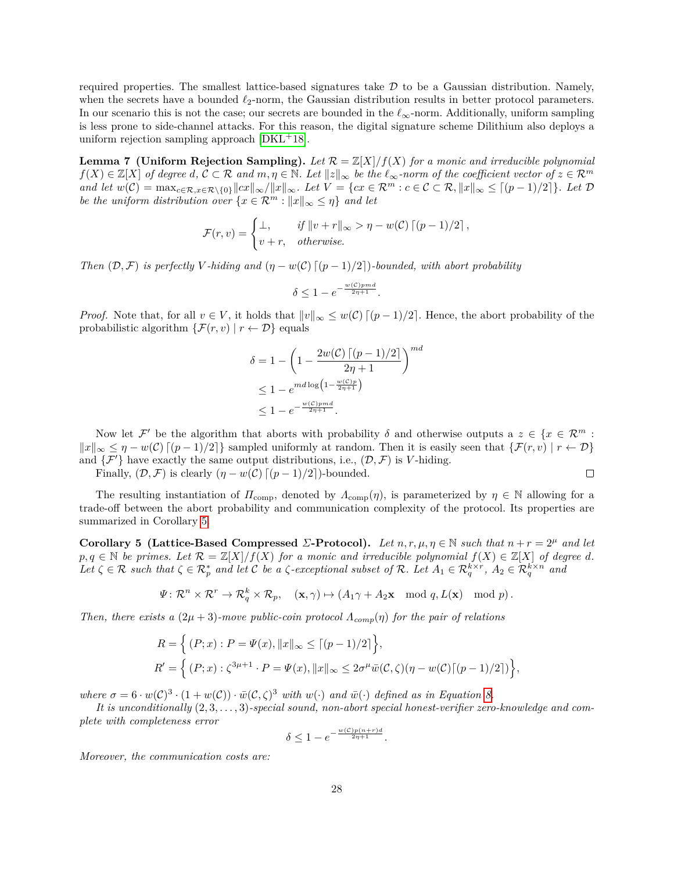required properties. The smallest lattice-based signatures take  $\mathcal D$  to be a Gaussian distribution. Namely, when the secrets have a bounded *ℓ*2-norm, the Gaussian distribution results in better protocol parameters. In our scenario this is not the case; our secrets are bounded in the *ℓ*∞-norm. Additionally, uniform sampling is less prone to side-channel attacks. For this reason, the digital signature scheme Dilithium also deploys a uniform rejection sampling approach  $[DKL+18]$  $[DKL+18]$ .

**Lemma 7 (Uniform Rejection Sampling).** Let  $\mathcal{R} = \mathbb{Z}[X]/f(X)$  *for a monic and irreducible polynomial*  $f(X) \in \mathbb{Z}[X]$  *of degree*  $d, C \subset \mathbb{R}$  *and*  $m, \eta \in \mathbb{N}$ *. Let*  $||z||_{\infty}$  *be the*  $\ell_{\infty}$ *-norm of the coefficient vector of*  $z \in \mathbb{R}^m$ *and let*  $w(C) = \max_{c \in \mathcal{R}, x \in \mathcal{R} \setminus \{0\}} ||cx||_{\infty} / ||x||_{\infty}$ . Let  $V = \{cx \in \mathcal{R}^m : c \in \mathcal{C} \subset \mathcal{R}, ||x||_{\infty} \leq [(p-1)/2] \}$ . Let  $\mathcal{D}$ *be the uniform distribution over*  $\{x \in \mathcal{R}^m : ||x||_{\infty} \leq \eta\}$  *and let* 

$$
\mathcal{F}(r,v) = \begin{cases} \bot, & \text{if } ||v+r||_{\infty} > \eta - w(\mathcal{C}) \left[ (p-1)/2 \right], \\ v+r, & \text{otherwise.} \end{cases}
$$

*Then*  $(D, \mathcal{F})$  *is perfectly V -hiding and*  $(\eta - w(\mathcal{C}) \lceil (p-1)/2 \rceil)$ *-bounded, with abort probability* 

$$
\delta \leq 1 - e^{-\frac{w(C)pmd}{2\eta + 1}}.
$$

*Proof.* Note that, for all  $v \in V$ , it holds that  $||v||_{\infty} \leq w(\mathcal{C})$   $[(p-1)/2]$ . Hence, the abort probability of the probabilistic algorithm  $\{\mathcal{F}(r, v) \mid r \leftarrow \mathcal{D}\}\)$  equals

$$
\delta = 1 - \left(1 - \frac{2w(\mathcal{C})\left\lceil (p-1)/2 \right\rceil}{2\eta + 1}\right)^{md}
$$
  

$$
\leq 1 - e^{md \log\left(1 - \frac{w(\mathcal{C})p}{2\eta + 1}\right)}
$$
  

$$
\leq 1 - e^{-\frac{w(\mathcal{C})pmd}{2\eta + 1}}.
$$

Now let F' be the algorithm that aborts with probability  $\delta$  and otherwise outputs a  $z \in \{x \in \mathbb{R}^m :$  $||x||_{\infty}$  ≤  $\eta$  − *w*(C)  $[(p-1)/2]$ } sampled uniformly at random. Then it is easily seen that  $\{\mathcal{F}(r, v) | r \leftarrow \mathcal{D}\}\$ and  $\{\mathcal{F}'\}$  have exactly the same output distributions, i.e.,  $(\mathcal{D}, \mathcal{F})$  is *V*-hiding.  $\Box$ 

Finally,  $(\mathcal{D}, \mathcal{F})$  is clearly  $(\eta - w(\mathcal{C}) \lceil (p-1)/2 \rceil)$ -bounded.

The resulting instantiation of  $\Pi_{\text{comp}}$ , denoted by  $\Lambda_{\text{comp}}(\eta)$ , is parameterized by  $\eta \in \mathbb{N}$  allowing for a trade-off between the abort probability and communication complexity of the protocol. Its properties are summarized in Corollary [5.](#page-27-0)

<span id="page-27-0"></span>**Corollary 5 (Lattice-Based Compressed** *Σ***<b>-Protocol).** Let  $n, r, \mu, \eta \in \mathbb{N}$  such that  $n + r = 2^{\mu}$  and let  $p, q \in \mathbb{N}$  *be primes. Let*  $\mathcal{R} = \mathbb{Z}[X]/f(X)$  *for a monic and irreducible polynomial*  $f(X) \in \mathbb{Z}[X]$  *of degree d.* Let  $\zeta \in \mathcal{R}$  such that  $\zeta \in \mathcal{R}_p^*$  and let C be a  $\zeta$ -exceptional subset of  $\mathcal{R}$ . Let  $A_1 \in \mathcal{R}_q^{k \times r}$ ,  $A_2 \in \mathcal{R}_q^{k \times n}$  and

$$
\Psi\colon \mathcal{R}^n\times \mathcal{R}^r\to \mathcal{R}_q^k\times \mathcal{R}_p,\quad (\mathbf{x},\gamma)\mapsto (A_1\gamma+A_2\mathbf{x}\mod q, L(\mathbf{x})\mod p)\,.
$$

*Then, there exists a* (2*µ* + 3)*-move public-coin protocol Λcomp*(*η*) *for the pair of relations*

$$
R = \left\{ (P; x) : P = \Psi(x), ||x||_{\infty} \le [(p-1)/2] \right\},\
$$
  

$$
R' = \left\{ (P; x) : \zeta^{3\mu+1} \cdot P = \Psi(x), ||x||_{\infty} \le 2\sigma^{\mu} \bar{w}(\mathcal{C}, \zeta)(\eta - w(\mathcal{C})[(p-1)/2]) \right\},\
$$

*where*  $\sigma = 6 \cdot w(C)^3 \cdot (1 + w(C)) \cdot \overline{w}(C, \zeta)^3$  *with*  $w(\cdot)$  *and*  $\overline{w}(\cdot)$  *defined as in Equation [8.](#page-19-0)* 

*It is unconditionally* (2*,* 3*, . . . ,* 3)*-special sound, non-abort special honest-verifier zero-knowledge and complete with completeness error*

$$
\delta \leq 1 - e^{-\frac{w(C)p(n+r)d}{2\eta+1}}.
$$

*Moreover, the communication costs are:*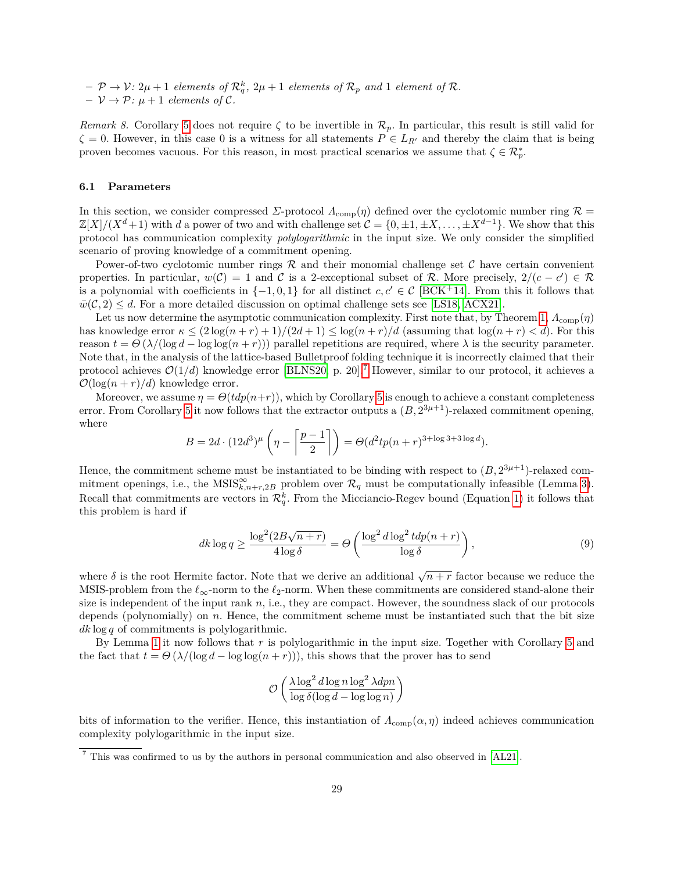$-\mathcal{P} \rightarrow \mathcal{V}: 2\mu + 1$  elements of  $\mathcal{R}_q^k$ ,  $2\mu + 1$  elements of  $\mathcal{R}_p$  and 1 element of  $\mathcal{R}$ .  $\rightarrow$   $V \rightarrow \mathcal{P}$ :  $\mu + 1$  *elements of* C.

*Remark 8.* Corollary [5](#page-27-0) does not require  $\zeta$  to be invertible in  $\mathcal{R}_p$ . In particular, this result is still valid for  $\zeta = 0$ . However, in this case 0 is a witness for all statements  $P \in L_{R'}$  and thereby the claim that is being proven becomes vacuous. For this reason, in most practical scenarios we assume that  $\zeta \in \mathcal{R}_p^*$ .

### **6.1 Parameters**

In this section, we consider compressed *Σ*-protocol  $\Lambda_{\text{comp}}(\eta)$  defined over the cyclotomic number ring  $\mathcal{R} =$  $\mathbb{Z}[X]/(X^d+1)$  with *d* a power of two and with challenge set  $\mathcal{C} = \{0, \pm 1, \pm X, \ldots, \pm X^{d-1}\}\.$  We show that this protocol has communication complexity *polylogarithmic* in the input size. We only consider the simplified scenario of proving knowledge of a commitment opening.

Power-of-two cyclotomic number rings  $R$  and their monomial challenge set  $C$  have certain convenient properties. In particular,  $w(C) = 1$  and C is a 2-exceptional subset of R. More precisely,  $2/(c - c') \in \mathcal{R}$ is a polynomial with coefficients in  $\{-1, 0, 1\}$  for all distinct  $c, c' \in \mathcal{C}$  [\[BCK](#page-33-16)+14]. From this it follows that  $\bar{w}(\mathcal{C}, 2) \leq d$ . For a more detailed discussion on optimal challenge sets see [\[LS18,](#page-34-21) [ACX21\]](#page-33-17).

Let us now determine the asymptotic communication complexity. First note that, by Theorem [1,](#page-8-0)  $\Lambda_{\text{comp}}(\eta)$ has knowledge error  $\kappa \leq (2\log(n+r)+1)/(2d+1) \leq \log(n+r)/d$  (assuming that  $\log(n+r) < d$ ). For this reason  $t = \Theta(\lambda/(\log d - \log \log (n + r)))$  parallel repetitions are required, where  $\lambda$  is the security parameter. Note that, in the analysis of the lattice-based Bulletproof folding technique it is incorrectly claimed that their protocol achieves O(1*/d*) knowledge error [\[BLNS20,](#page-33-3) p. 20].[7](#page-28-0) However, similar to our protocol, it achieves a  $\mathcal{O}(\log(n+r)/d)$  knowledge error.

Moreover, we assume  $\eta = \Theta(tdp(n+r))$ , which by Corollary [5](#page-27-0) is enough to achieve a constant completeness error. From Corollary [5](#page-27-0) it now follows that the extractor outputs a  $(B, 2^{3\mu+1})$ -relaxed commitment opening, where

$$
B = 2d \cdot (12d^3)^{\mu} \left( \eta - \left\lceil \frac{p-1}{2} \right\rceil \right) = \Theta(d^2tp(n+r)^{3 + \log 3 + 3\log d}).
$$

Hence, the commitment scheme must be instantiated to be binding with respect to  $(B, 2^{3\mu+1})$ -relaxed commitment openings, i.e., the  $\text{MSIS}_{k,n+r,2B}^{\infty}$  problem over  $\mathcal{R}_q$  must be computationally infeasible (Lemma [3\)](#page-8-2). Recall that commitments are vectors in  $\mathcal{R}_q^k$ . From the Micciancio-Regev bound (Equation [1\)](#page-6-1) it follows that this problem is hard if

$$
dk \log q \ge \frac{\log^2(2B\sqrt{n+r})}{4\log \delta} = \Theta\left(\frac{\log^2 d \log^2 t}{\log \delta}\right),\tag{9}
$$

where  $\delta$  is the root Hermite factor. Note that we derive an additional  $\sqrt{n+r}$  factor because we reduce the MSIS-problem from the *ℓ*∞-norm to the *ℓ*2-norm. When these commitments are considered stand-alone their size is independent of the input rank *n*, i.e., they are compact. However, the soundness slack of our protocols depends (polynomially) on *n*. Hence, the commitment scheme must be instantiated such that the bit size *dk* log *q* of commitments is polylogarithmic.

By Lemma [1](#page-7-1) it now follows that *r* is polylogarithmic in the input size. Together with Corollary [5](#page-27-0) and the fact that  $t = \Theta(\lambda/(\log d - \log \log(n+r)))$ , this shows that the prover has to send

$$
\mathcal{O}\left(\frac{\lambda\log^2 d\log n\log^2\lambda dpn}{\log\delta(\log d-\log\log n)}\right)
$$

bits of information to the verifier. Hence, this instantiation of  $\Lambda_{\text{comp}}(\alpha, \eta)$  indeed achieves communication complexity polylogarithmic in the input size.

<span id="page-28-0"></span> $\frac{7}{7}$  This was confirmed to us by the authors in personal communication and also observed in [\[AL21\]](#page-33-4).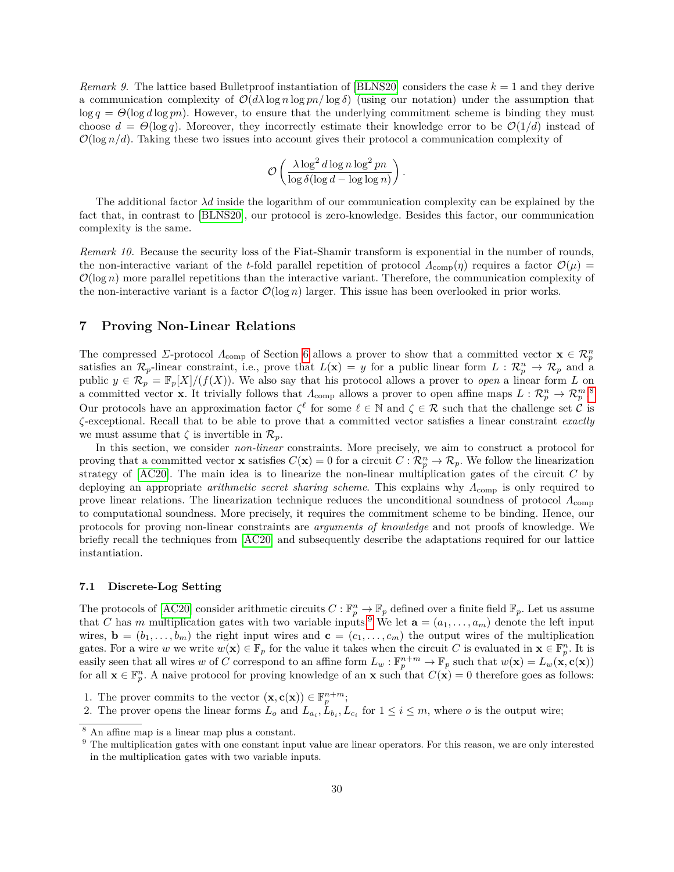*Remark 9.* The lattice based Bulletproof instantiation of [\[BLNS20\]](#page-33-3) considers the case *k* = 1 and they derive a communication complexity of  $\mathcal{O}(d\lambda \log n \log pn / \log \delta)$  (using our notation) under the assumption that  $\log q = \Theta(\log d \log m)$ . However, to ensure that the underlying commitment scheme is binding they must choose  $d = \Theta(\log q)$ . Moreover, they incorrectly estimate their knowledge error to be  $\mathcal{O}(1/d)$  instead of  $\mathcal{O}(\log n/d)$ . Taking these two issues into account gives their protocol a communication complexity of

$$
\mathcal{O}\left(\frac{\lambda\log^2 d\log n\log^2 pn}{\log\delta(\log d-\log\log n)}\right).
$$

The additional factor *λd* inside the logarithm of our communication complexity can be explained by the fact that, in contrast to [\[BLNS20\]](#page-33-3), our protocol is zero-knowledge. Besides this factor, our communication complexity is the same.

*Remark 10.* Because the security loss of the Fiat-Shamir transform is exponential in the number of rounds, the non-interactive variant of the *t*-fold parallel repetition of protocol  $\Lambda_{\text{comp}}(\eta)$  requires a factor  $\mathcal{O}(\mu)$  =  $\mathcal{O}(\log n)$  more parallel repetitions than the interactive variant. Therefore, the communication complexity of the non-interactive variant is a factor  $\mathcal{O}(\log n)$  larger. This issue has been overlooked in prior works.

# <span id="page-29-0"></span>**7 Proving Non-Linear Relations**

The compressed *Σ*-protocol  $\Lambda_{\text{comp}}$  of Section [6](#page-26-0) allows a prover to show that a committed vector  $\mathbf{x} \in \mathcal{R}_p^n$ satisfies an  $\mathcal{R}_p$ -linear constraint, i.e., prove that  $L(\mathbf{x}) = y$  for a public linear form  $L: \mathcal{R}_p^n \to \mathcal{R}_p$  and a public  $y \in \mathcal{R}_p = \mathbb{F}_p[X]/(f(X))$ . We also say that his protocol allows a prover to *open* a linear form *L* on a committed vector **x**. It trivially follows that  $\Lambda_{\text{comp}}$  allows a prover to open affine maps  $L: \mathcal{R}_p^n \to \mathcal{R}_p^m$ .<sup>[8](#page-29-1)</sup> Our protocols have an approximation factor  $\zeta^{\ell}$  for some  $\ell \in \mathbb{N}$  and  $\zeta \in \mathcal{R}$  such that the challenge set  $\mathcal{C}$  is *ζ*-exceptional. Recall that to be able to prove that a committed vector satisfies a linear constraint *exactly* we must assume that  $\zeta$  is invertible in  $\mathcal{R}_n$ .

In this section, we consider *non-linear* constraints. More precisely, we aim to construct a protocol for proving that a committed vector **x** satisfies  $C(\mathbf{x}) = 0$  for a circuit  $C : \mathcal{R}_p^n \to \mathcal{R}_p$ . We follow the linearization strategy of [\[AC20\]](#page-33-0). The main idea is to linearize the non-linear multiplication gates of the circuit *C* by deploying an appropriate *arithmetic secret sharing scheme*. This explains why *Λ*comp is only required to prove linear relations. The linearization technique reduces the unconditional soundness of protocol *Λ*comp to computational soundness. More precisely, it requires the commitment scheme to be binding. Hence, our protocols for proving non-linear constraints are *arguments of knowledge* and not proofs of knowledge. We briefly recall the techniques from [\[AC20\]](#page-33-0) and subsequently describe the adaptations required for our lattice instantiation.

### **7.1 Discrete-Log Setting**

The protocols of  $[AC20]$  consider arithmetic circuits  $C: \mathbb{F}_p^n \to \mathbb{F}_p$  defined over a finite field  $\mathbb{F}_p$ . Let us assume that *C* has *m* multiplication gates with two variable inputs.<sup>[9](#page-29-2)</sup> We let  $\mathbf{a} = (a_1, \ldots, a_m)$  denote the left input wires,  $\mathbf{b} = (b_1, \ldots, b_m)$  the right input wires and  $\mathbf{c} = (c_1, \ldots, c_m)$  the output wires of the multiplication gates. For a wire *w* we write  $w(\mathbf{x}) \in \mathbb{F}_p$  for the value it takes when the circuit *C* is evaluated in  $\mathbf{x} \in \mathbb{F}_p^n$ . It is easily seen that all wires *w* of *C* correspond to an affine form  $L_w : \mathbb{F}_p^{n+m} \to \mathbb{F}_p$  such that  $w(\mathbf{x}) = L_w(\mathbf{x}, \mathbf{c}(\mathbf{x}))$ for all  $\mathbf{x} \in \mathbb{F}_p^n$ . A naive protocol for proving knowledge of an **x** such that  $C(\mathbf{x}) = 0$  therefore goes as follows:

- 1. The prover commits to the vector  $(\mathbf{x}, \mathbf{c}(\mathbf{x})) \in \mathbb{F}_p^{n+m}$ ;
- 2. The prover opens the linear forms  $L_o$  and  $L_{a_i}, L_{b_i}, L_{c_i}$  for  $1 \leq i \leq m$ , where *o* is the output wire;

<span id="page-29-1"></span><sup>8</sup> An affine map is a linear map plus a constant.

<span id="page-29-2"></span><sup>&</sup>lt;sup>9</sup> The multiplication gates with one constant input value are linear operators. For this reason, we are only interested in the multiplication gates with two variable inputs.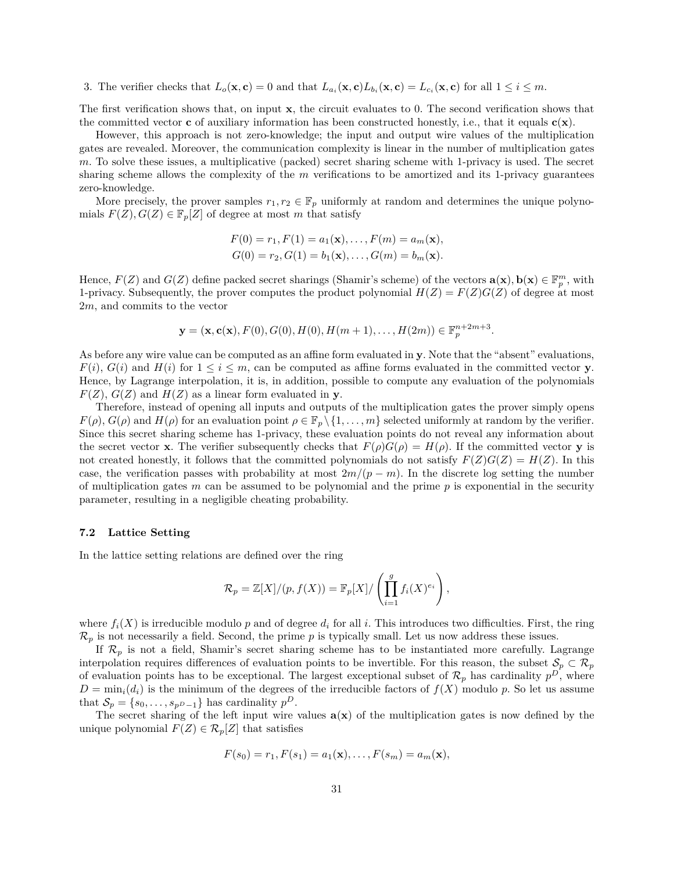3. The verifier checks that  $L_o(\mathbf{x}, \mathbf{c}) = 0$  and that  $L_{a_i}(\mathbf{x}, \mathbf{c}) L_{b_i}(\mathbf{x}, \mathbf{c}) = L_{c_i}(\mathbf{x}, \mathbf{c})$  for all  $1 \leq i \leq m$ .

The first verification shows that, on input **x**, the circuit evaluates to 0. The second verification shows that the committed vector **c** of auxiliary information has been constructed honestly, i.e., that it equals  $c(x)$ .

However, this approach is not zero-knowledge; the input and output wire values of the multiplication gates are revealed. Moreover, the communication complexity is linear in the number of multiplication gates *m*. To solve these issues, a multiplicative (packed) secret sharing scheme with 1-privacy is used. The secret sharing scheme allows the complexity of the *m* verifications to be amortized and its 1-privacy guarantees zero-knowledge.

More precisely, the prover samples  $r_1, r_2 \in \mathbb{F}_p$  uniformly at random and determines the unique polynomials  $F(Z), G(Z) \in \mathbb{F}_p[Z]$  of degree at most *m* that satisfy

$$
F(0) = r_1, F(1) = a_1(\mathbf{x}), \dots, F(m) = a_m(\mathbf{x}),
$$
  
\n
$$
G(0) = r_2, G(1) = b_1(\mathbf{x}), \dots, G(m) = b_m(\mathbf{x}).
$$

Hence,  $F(Z)$  and  $G(Z)$  define packed secret sharings (Shamir's scheme) of the vectors  $\mathbf{a}(\mathbf{x}), \mathbf{b}(\mathbf{x}) \in \mathbb{F}_p^m$ , with 1-privacy. Subsequently, the prover computes the product polynomial  $H(Z) = F(Z)G(Z)$  of degree at most 2*m*, and commits to the vector

$$
\mathbf{y} = (\mathbf{x}, \mathbf{c}(\mathbf{x}), F(0), G(0), H(0), H(m+1), \dots, H(2m)) \in \mathbb{F}_p^{n+2m+3}.
$$

As before any wire value can be computed as an affine form evaluated in **y**. Note that the "absent" evaluations,  $F(i)$ ,  $G(i)$  and  $H(i)$  for  $1 \leq i \leq m$ , can be computed as affine forms evaluated in the committed vector **y**. Hence, by Lagrange interpolation, it is, in addition, possible to compute any evaluation of the polynomials  $F(Z)$ ,  $G(Z)$  and  $H(Z)$  as a linear form evaluated in **y**.

Therefore, instead of opening all inputs and outputs of the multiplication gates the prover simply opens  $F(\rho)$ ,  $G(\rho)$  and  $H(\rho)$  for an evaluation point  $\rho \in \mathbb{F}_p \setminus \{1, \ldots, m\}$  selected uniformly at random by the verifier. Since this secret sharing scheme has 1-privacy, these evaluation points do not reveal any information about the secret vector **x**. The verifier subsequently checks that  $F(\rho)G(\rho) = H(\rho)$ . If the committed vector **y** is not created honestly, it follows that the committed polynomials do not satisfy  $F(Z)G(Z) = H(Z)$ . In this case, the verification passes with probability at most  $2m/(p-m)$ . In the discrete log setting the number of multiplication gates *m* can be assumed to be polynomial and the prime *p* is exponential in the security parameter, resulting in a negligible cheating probability.

### <span id="page-30-0"></span>**7.2 Lattice Setting**

In the lattice setting relations are defined over the ring

$$
\mathcal{R}_p = \mathbb{Z}[X]/(p, f(X)) = \mathbb{F}_p[X]/\left(\prod_{i=1}^g f_i(X)^{e_i}\right)
$$

*,*

where  $f_i(X)$  is irreducible modulo  $p$  and of degree  $d_i$  for all  $i$ . This introduces two difficulties. First, the ring  $\mathcal{R}_p$  is not necessarily a field. Second, the prime p is typically small. Let us now address these issues.

If  $\mathcal{R}_p$  is not a field, Shamir's secret sharing scheme has to be instantiated more carefully. Lagrange interpolation requires differences of evaluation points to be invertible. For this reason, the subset  $S_p \subset \mathcal{R}_p$ of evaluation points has to be exceptional. The largest exceptional subset of  $\mathcal{R}_p$  has cardinality  $p^D$ , where  $D = \min_i(d_i)$  is the minimum of the degrees of the irreducible factors of  $f(X)$  modulo *p*. So let us assume that  $S_p = \{s_0, \ldots, s_{p^D-1}\}\$  has cardinality  $p^D$ .

The secret sharing of the left input wire values  $\mathbf{a}(\mathbf{x})$  of the multiplication gates is now defined by the unique polynomial  $F(Z) \in \mathcal{R}_p[Z]$  that satisfies

$$
F(s_0) = r_1, F(s_1) = a_1(\mathbf{x}), \dots, F(s_m) = a_m(\mathbf{x}),
$$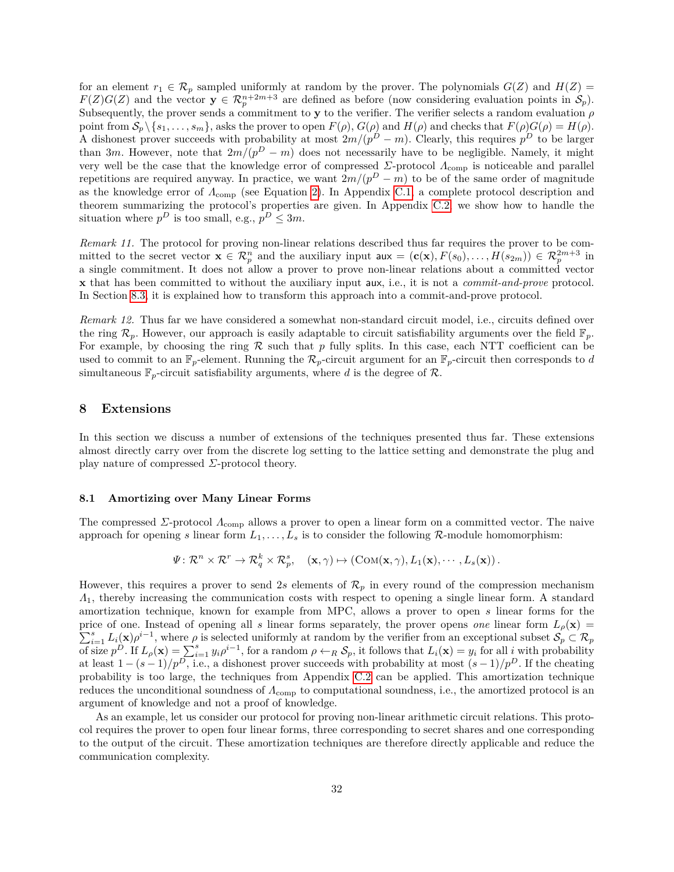for an element  $r_1 \in \mathcal{R}_p$  sampled uniformly at random by the prover. The polynomials  $G(Z)$  and  $H(Z)$  $F(Z)G(Z)$  and the vector  $\mathbf{y} \in \mathcal{R}_p^{n+2m+3}$  are defined as before (now considering evaluation points in  $\mathcal{S}_p$ ). Subsequently, the prover sends a commitment to **y** to the verifier. The verifier selects a random evaluation *ρ* point from  $S_p \setminus \{s_1, \ldots, s_m\}$ , asks the prover to open  $F(\rho)$ ,  $G(\rho)$  and  $H(\rho)$  and checks that  $F(\rho)G(\rho) = H(\rho)$ . A dishonest prover succeeds with probability at most  $2m/(p<sup>D</sup> - m)$ . Clearly, this requires  $p<sup>D</sup>$  to be larger than 3*m*. However, note that  $2m/(p^D - m)$  does not necessarily have to be negligible. Namely, it might very well be the case that the knowledge error of compressed *Σ*-protocol *Λ*comp is noticeable and parallel repetitions are required anyway. In practice, we want  $2m/(p<sup>D</sup> - m)$  to be of the same order of magnitude as the knowledge error of *Λ*comp (see Equation [2\)](#page-8-3). In Appendix [C.1,](#page-43-0) a complete protocol description and theorem summarizing the protocol's properties are given. In Appendix [C.2,](#page-44-0) we show how to handle the situation where  $p^D$  is too small, e.g.,  $p^D \leq 3m$ .

*Remark 11.* The protocol for proving non-linear relations described thus far requires the prover to be committed to the secret vector  $\mathbf{x} \in \mathcal{R}_p^n$  and the auxiliary input  $\mathsf{aux} = (\mathbf{c}(\mathbf{x}), F(s_0), \dots, H(s_{2m})) \in \mathcal{R}_p^{2m+3}$  in a single commitment. It does not allow a prover to prove non-linear relations about a committed vector **x** that has been committed to without the auxiliary input aux, i.e., it is not a *commit-and-prove* protocol. In Section [8.3,](#page-32-0) it is explained how to transform this approach into a commit-and-prove protocol.

*Remark 12.* Thus far we have considered a somewhat non-standard circuit model, i.e., circuits defined over the ring  $\mathcal{R}_p$ . However, our approach is easily adaptable to circuit satisfiability arguments over the field  $\mathbb{F}_p$ . For example, by choosing the ring  $R$  such that  $p$  fully splits. In this case, each NTT coefficient can be used to commit to an  $\mathbb{F}_p$ -element. Running the  $\mathcal{R}_p$ -circuit argument for an  $\mathbb{F}_p$ -circuit then corresponds to *d* simultaneous  $\mathbb{F}_p$ -circuit satisfiability arguments, where *d* is the degree of  $\mathcal{R}$ .

### <span id="page-31-0"></span>**8 Extensions**

In this section we discuss a number of extensions of the techniques presented thus far. These extensions almost directly carry over from the discrete log setting to the lattice setting and demonstrate the plug and play nature of compressed *Σ*-protocol theory.

#### **8.1 Amortizing over Many Linear Forms**

The compressed *Σ*-protocol *Λ*comp allows a prover to open a linear form on a committed vector. The naive approach for opening *s* linear form  $L_1, \ldots, L_s$  is to consider the following  $\mathcal{R}$ -module homomorphism:

$$
\Psi\colon \mathcal{R}^n\times \mathcal{R}^r\to \mathcal{R}^k_q\times \mathcal{R}^s_p,\quad (\mathbf{x},\gamma)\mapsto (\mathrm{Com}(\mathbf{x},\gamma),L_1(\mathbf{x}),\cdots,L_s(\mathbf{x})).
$$

However, this requires a prover to send 2s elements of  $\mathcal{R}_p$  in every round of the compression mechanism *Λ*1, thereby increasing the communication costs with respect to opening a single linear form. A standard amortization technique, known for example from MPC, allows a prover to open *s* linear forms for the price of one. Instead of opening all s linear forms separately, the prover opens *one* linear form  $L_p(\mathbf{x}) =$  $\sum_{i=1}^s L_i(\mathbf{x}) \rho^{i-1}$ , where  $\rho$  is selected uniformly at random by the verifier from an exceptional subset  $\mathcal{S}_p \subset \mathcal{R}_p$ of size  $p^D$ . If  $L_\rho(\mathbf{x}) = \sum_{i=1}^s y_i \rho^{i-1}$ , for a random  $\rho \leftarrow_R \mathcal{S}_p$ , it follows that  $L_i(\mathbf{x}) = y_i$  for all i with probability at least  $1 - (s - 1)/p^D$ , i.e., a dishonest prover succeeds with probability at most  $(s - 1)/p^D$ . If the cheating probability is too large, the techniques from Appendix [C.2](#page-44-0) can be applied. This amortization technique reduces the unconditional soundness of *Λ*comp to computational soundness, i.e., the amortized protocol is an argument of knowledge and not a proof of knowledge.

As an example, let us consider our protocol for proving non-linear arithmetic circuit relations. This protocol requires the prover to open four linear forms, three corresponding to secret shares and one corresponding to the output of the circuit. These amortization techniques are therefore directly applicable and reduce the communication complexity.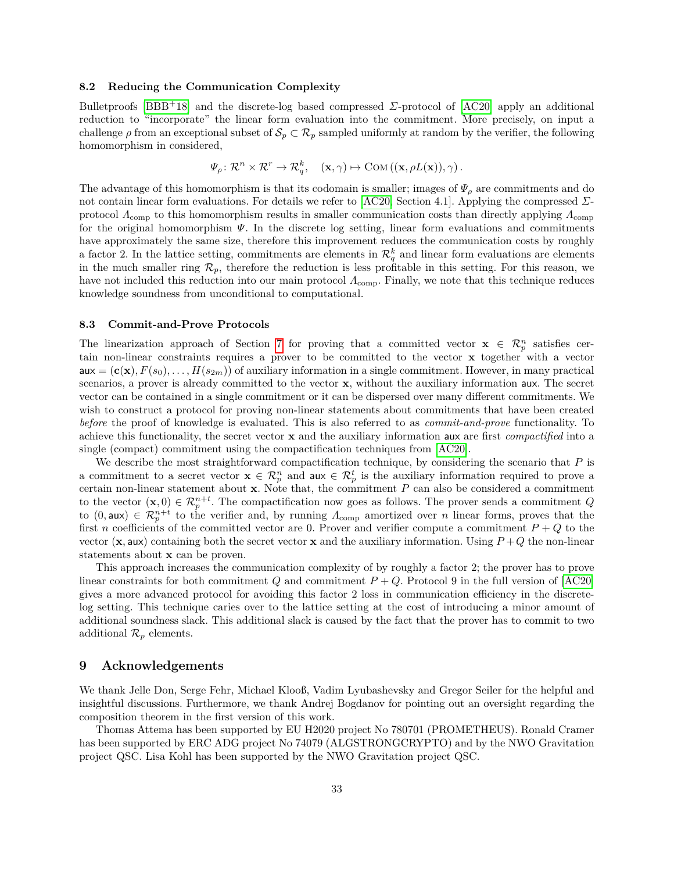#### **8.2 Reducing the Communication Complexity**

Bulletproofs [\[BBB](#page-33-2)<sup>+</sup>18] and the discrete-log based compressed *Σ*-protocol of [\[AC20\]](#page-33-0) apply an additional reduction to "incorporate" the linear form evaluation into the commitment. More precisely, on input a challenge  $\rho$  from an exceptional subset of  $S_p \subset \mathcal{R}_p$  sampled uniformly at random by the verifier, the following homomorphism in considered,

$$
\Psi_{\rho} \colon \mathcal{R}^n \times \mathcal{R}^r \to \mathcal{R}_q^k, \quad (\mathbf{x}, \gamma) \mapsto \text{Com}\left((\mathbf{x}, \rho L(\mathbf{x})), \gamma\right).
$$

The advantage of this homomorphism is that its codomain is smaller; images of *Ψ<sup>ρ</sup>* are commitments and do not contain linear form evaluations. For details we refer to [\[AC20,](#page-33-0) Section 4.1]. Applying the compressed *Σ*protocol *Λ*comp to this homomorphism results in smaller communication costs than directly applying *Λ*comp for the original homomorphism *Ψ*. In the discrete log setting, linear form evaluations and commitments have approximately the same size, therefore this improvement reduces the communication costs by roughly a factor 2. In the lattice setting, commitments are elements in  $\mathcal{R}^k_q$  and linear form evaluations are elements in the much smaller ring  $\mathcal{R}_p$ , therefore the reduction is less profitable in this setting. For this reason, we have not included this reduction into our main protocol  $Λ_{\text{comp}}$ . Finally, we note that this technique reduces knowledge soundness from unconditional to computational.

#### <span id="page-32-0"></span>**8.3 Commit-and-Prove Protocols**

The linearization approach of Section [7](#page-29-0) for proving that a committed vector  $\mathbf{x} \in \mathcal{R}_p^n$  satisfies certain non-linear constraints requires a prover to be committed to the vector **x** together with a vector  $\mathbf{a}$ ux =  $(\mathbf{c}(\mathbf{x}), F(s_0), \ldots, H(s_{2m}))$  of auxiliary information in a single commitment. However, in many practical scenarios, a prover is already committed to the vector **x**, without the auxiliary information aux. The secret vector can be contained in a single commitment or it can be dispersed over many different commitments. We wish to construct a protocol for proving non-linear statements about commitments that have been created *before* the proof of knowledge is evaluated. This is also referred to as *commit-and-prove* functionality. To achieve this functionality, the secret vector **x** and the auxiliary information aux are first *compactified* into a single (compact) commitment using the compactification techniques from [\[AC20\]](#page-33-0).

We describe the most straightforward compactification technique, by considering the scenario that *P* is a commitment to a secret vector  $\mathbf{x} \in \mathcal{R}_p^n$  and  $\mathsf{aux} \in \mathcal{R}_p^t$  is the auxiliary information required to prove a certain non-linear statement about **x**. Note that, the commitment *P* can also be considered a commitment to the vector  $(\mathbf{x},0) \in \mathcal{R}_p^{n+t}$ . The compactification now goes as follows. The prover sends a commitment *Q* to  $(0, \text{aux}) \in \mathcal{R}_p^{n+t}$  to the verifier and, by running  $\Lambda_{\text{comp}}$  amortized over *n* linear forms, proves that the first *n* coefficients of the committed vector are 0. Prover and verifier compute a commitment  $P + Q$  to the vector  $(\mathbf{x}, \text{aux})$  containing both the secret vector **x** and the auxiliary information. Using  $P + Q$  the non-linear statements about **x** can be proven.

This approach increases the communication complexity of by roughly a factor 2; the prover has to prove linear constraints for both commitment  $Q$  and commitment  $P + Q$ . Protocol 9 in the full version of  $[AC20]$ gives a more advanced protocol for avoiding this factor 2 loss in communication efficiency in the discretelog setting. This technique caries over to the lattice setting at the cost of introducing a minor amount of additional soundness slack. This additional slack is caused by the fact that the prover has to commit to two additional  $\mathcal{R}_p$  elements.

### **9 Acknowledgements**

We thank Jelle Don, Serge Fehr, Michael Klooß, Vadim Lyubashevsky and Gregor Seiler for the helpful and insightful discussions. Furthermore, we thank Andrej Bogdanov for pointing out an oversight regarding the composition theorem in the first version of this work.

Thomas Attema has been supported by EU H2020 project No 780701 (PROMETHEUS). Ronald Cramer has been supported by ERC ADG project No 74079 (ALGSTRONGCRYPTO) and by the NWO Gravitation project QSC. Lisa Kohl has been supported by the NWO Gravitation project QSC.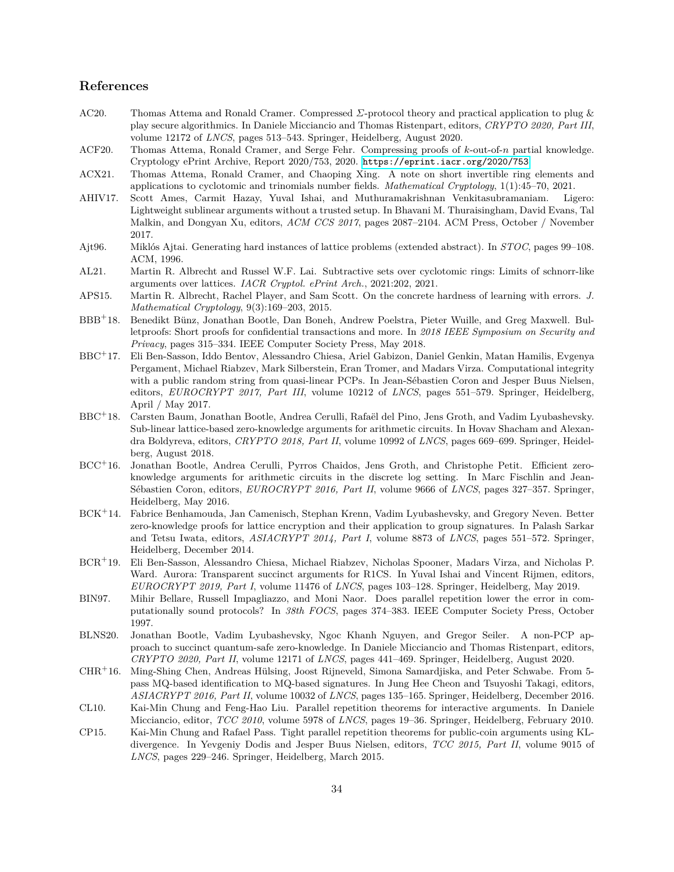# **References**

- <span id="page-33-0"></span>AC20. Thomas Attema and Ronald Cramer. Compressed *Σ*-protocol theory and practical application to plug & play secure algorithmics. In Daniele Micciancio and Thomas Ristenpart, editors, *CRYPTO 2020, Part III*, volume 12172 of *LNCS*, pages 513–543. Springer, Heidelberg, August 2020.
- <span id="page-33-15"></span>ACF20. Thomas Attema, Ronald Cramer, and Serge Fehr. Compressing proofs of *k*-out-of-*n* partial knowledge. Cryptology ePrint Archive, Report 2020/753, 2020. <https://eprint.iacr.org/2020/753>.
- <span id="page-33-17"></span>ACX21. Thomas Attema, Ronald Cramer, and Chaoping Xing. A note on short invertible ring elements and applications to cyclotomic and trinomials number fields. *Mathematical Cryptology*, 1(1):45–70, 2021.
- <span id="page-33-8"></span>AHIV17. Scott Ames, Carmit Hazay, Yuval Ishai, and Muthuramakrishnan Venkitasubramaniam. Ligero: Lightweight sublinear arguments without a trusted setup. In Bhavani M. Thuraisingham, David Evans, Tal Malkin, and Dongyan Xu, editors, *ACM CCS 2017*, pages 2087–2104. ACM Press, October / November 2017.
- <span id="page-33-13"></span>Ajt96. Miklós Ajtai. Generating hard instances of lattice problems (extended abstract). In *STOC*, pages 99–108. ACM, 1996.
- <span id="page-33-4"></span>AL21. Martin R. Albrecht and Russel W.F. Lai. Subtractive sets over cyclotomic rings: Limits of schnorr-like arguments over lattices. *IACR Cryptol. ePrint Arch.*, 2021:202, 2021.
- <span id="page-33-12"></span>APS15. Martin R. Albrecht, Rachel Player, and Sam Scott. On the concrete hardness of learning with errors. *J. Mathematical Cryptology*, 9(3):169–203, 2015.
- <span id="page-33-2"></span>BBB<sup>+</sup>18. Benedikt Bünz, Jonathan Bootle, Dan Boneh, Andrew Poelstra, Pieter Wuille, and Greg Maxwell. Bulletproofs: Short proofs for confidential transactions and more. In *2018 IEEE Symposium on Security and Privacy*, pages 315–334. IEEE Computer Society Press, May 2018.
- <span id="page-33-9"></span>BBC<sup>+</sup>17. Eli Ben-Sasson, Iddo Bentov, Alessandro Chiesa, Ariel Gabizon, Daniel Genkin, Matan Hamilis, Evgenya Pergament, Michael Riabzev, Mark Silberstein, Eran Tromer, and Madars Virza. Computational integrity with a public random string from quasi-linear PCPs. In Jean-Sébastien Coron and Jesper Buus Nielsen, editors, *EUROCRYPT 2017, Part III*, volume 10212 of *LNCS*, pages 551–579. Springer, Heidelberg, April / May 2017.
- <span id="page-33-11"></span>BBC<sup>+</sup>18. Carsten Baum, Jonathan Bootle, Andrea Cerulli, Rafaël del Pino, Jens Groth, and Vadim Lyubashevsky. Sub-linear lattice-based zero-knowledge arguments for arithmetic circuits. In Hovav Shacham and Alexandra Boldyreva, editors, *CRYPTO 2018, Part II*, volume 10992 of *LNCS*, pages 669–699. Springer, Heidelberg, August 2018.
- <span id="page-33-1"></span>BCC<sup>+</sup>16. Jonathan Bootle, Andrea Cerulli, Pyrros Chaidos, Jens Groth, and Christophe Petit. Efficient zeroknowledge arguments for arithmetic circuits in the discrete log setting. In Marc Fischlin and Jean-Sébastien Coron, editors, *EUROCRYPT 2016, Part II*, volume 9666 of *LNCS*, pages 327–357. Springer, Heidelberg, May 2016.
- <span id="page-33-16"></span>BCK<sup>+</sup>14. Fabrice Benhamouda, Jan Camenisch, Stephan Krenn, Vadim Lyubashevsky, and Gregory Neven. Better zero-knowledge proofs for lattice encryption and their application to group signatures. In Palash Sarkar and Tetsu Iwata, editors, *ASIACRYPT 2014, Part I*, volume 8873 of *LNCS*, pages 551–572. Springer, Heidelberg, December 2014.
- <span id="page-33-10"></span>BCR<sup>+</sup>19. Eli Ben-Sasson, Alessandro Chiesa, Michael Riabzev, Nicholas Spooner, Madars Virza, and Nicholas P. Ward. Aurora: Transparent succinct arguments for R1CS. In Yuval Ishai and Vincent Rijmen, editors, *EUROCRYPT 2019, Part I*, volume 11476 of *LNCS*, pages 103–128. Springer, Heidelberg, May 2019.
- <span id="page-33-14"></span>BIN97. Mihir Bellare, Russell Impagliazzo, and Moni Naor. Does parallel repetition lower the error in computationally sound protocols? In *38th FOCS*, pages 374–383. IEEE Computer Society Press, October 1997.
- <span id="page-33-3"></span>BLNS20. Jonathan Bootle, Vadim Lyubashevsky, Ngoc Khanh Nguyen, and Gregor Seiler. A non-PCP approach to succinct quantum-safe zero-knowledge. In Daniele Micciancio and Thomas Ristenpart, editors, *CRYPTO 2020, Part II*, volume 12171 of *LNCS*, pages 441–469. Springer, Heidelberg, August 2020.
- <span id="page-33-7"></span>CHR<sup>+</sup>16. Ming-Shing Chen, Andreas Hülsing, Joost Rijneveld, Simona Samardjiska, and Peter Schwabe. From 5 pass MQ-based identification to MQ-based signatures. In Jung Hee Cheon and Tsuyoshi Takagi, editors, *ASIACRYPT 2016, Part II*, volume 10032 of *LNCS*, pages 135–165. Springer, Heidelberg, December 2016.
- <span id="page-33-5"></span>CL10. Kai-Min Chung and Feng-Hao Liu. Parallel repetition theorems for interactive arguments. In Daniele Micciancio, editor, *TCC 2010*, volume 5978 of *LNCS*, pages 19–36. Springer, Heidelberg, February 2010.
- <span id="page-33-6"></span>CP15. Kai-Min Chung and Rafael Pass. Tight parallel repetition theorems for public-coin arguments using KLdivergence. In Yevgeniy Dodis and Jesper Buus Nielsen, editors, *TCC 2015, Part II*, volume 9015 of *LNCS*, pages 229–246. Springer, Heidelberg, March 2015.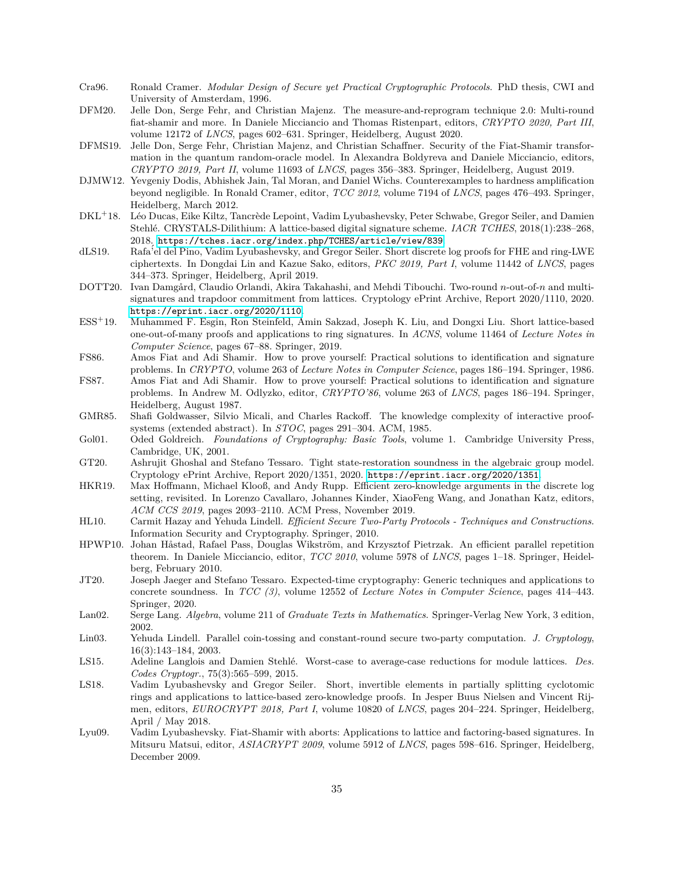- <span id="page-34-8"></span>Cra96. Ronald Cramer. *Modular Design of Secure yet Practical Cryptographic Protocols*. PhD thesis, CWI and University of Amsterdam, 1996.
- <span id="page-34-12"></span>DFM20. Jelle Don, Serge Fehr, and Christian Majenz. The measure-and-reprogram technique 2.0: Multi-round fiat-shamir and more. In Daniele Micciancio and Thomas Ristenpart, editors, *CRYPTO 2020, Part III*, volume 12172 of *LNCS*, pages 602–631. Springer, Heidelberg, August 2020.
- <span id="page-34-18"></span>DFMS19. Jelle Don, Serge Fehr, Christian Majenz, and Christian Schaffner. Security of the Fiat-Shamir transformation in the quantum random-oracle model. In Alexandra Boldyreva and Daniele Micciancio, editors, *CRYPTO 2019, Part II*, volume 11693 of *LNCS*, pages 356–383. Springer, Heidelberg, August 2019.
- <span id="page-34-13"></span>DJMW12. Yevgeniy Dodis, Abhishek Jain, Tal Moran, and Daniel Wichs. Counterexamples to hardness amplification beyond negligible. In Ronald Cramer, editor, *TCC 2012*, volume 7194 of *LNCS*, pages 476–493. Springer, Heidelberg, March 2012.
- <span id="page-34-20"></span>DKL<sup>+</sup>18. Léo Ducas, Eike Kiltz, Tancrède Lepoint, Vadim Lyubashevsky, Peter Schwabe, Gregor Seiler, and Damien Stehlé. CRYSTALS-Dilithium: A lattice-based digital signature scheme. *IACR TCHES*, 2018(1):238–268, 2018. <https://tches.iacr.org/index.php/TCHES/article/view/839>.
- <span id="page-34-2"></span>dLS19. Rafa´'el del Pino, Vadim Lyubashevsky, and Gregor Seiler. Short discrete log proofs for FHE and ring-LWE ciphertexts. In Dongdai Lin and Kazue Sako, editors, *PKC 2019, Part I*, volume 11442 of *LNCS*, pages 344–373. Springer, Heidelberg, April 2019.
- <span id="page-34-16"></span>DOTT20. Ivan Damgård, Claudio Orlandi, Akira Takahashi, and Mehdi Tibouchi. Two-round *n*-out-of-*n* and multisignatures and trapdoor commitment from lattices. Cryptology ePrint Archive, Report 2020/1110, 2020. <https://eprint.iacr.org/2020/1110>.
- <span id="page-34-7"></span>ESS<sup>+</sup>19. Muhammed F. Esgin, Ron Steinfeld, Amin Sakzad, Joseph K. Liu, and Dongxi Liu. Short lattice-based one-out-of-many proofs and applications to ring signatures. In *ACNS*, volume 11464 of *Lecture Notes in Computer Science*, pages 67–88. Springer, 2019.
- <span id="page-34-0"></span>FS86. Amos Fiat and Adi Shamir. How to prove yourself: Practical solutions to identification and signature problems. In *CRYPTO*, volume 263 of *Lecture Notes in Computer Science*, pages 186–194. Springer, 1986.
- <span id="page-34-17"></span>FS87. Amos Fiat and Adi Shamir. How to prove yourself: Practical solutions to identification and signature problems. In Andrew M. Odlyzko, editor, *CRYPTO'86*, volume 263 of *LNCS*, pages 186–194. Springer, Heidelberg, August 1987.
- <span id="page-34-5"></span>GMR85. Shafi Goldwasser, Silvio Micali, and Charles Rackoff. The knowledge complexity of interactive proofsystems (extended abstract). In *STOC*, pages 291–304. ACM, 1985.
- <span id="page-34-11"></span>Gol01. Oded Goldreich. *Foundations of Cryptography: Basic Tools*, volume 1. Cambridge University Press, Cambridge, UK, 2001.
- <span id="page-34-19"></span>GT20. Ashrujit Ghoshal and Stefano Tessaro. Tight state-restoration soundness in the algebraic group model. Cryptology ePrint Archive, Report 2020/1351, 2020. <https://eprint.iacr.org/2020/1351>.
- <span id="page-34-1"></span>HKR19. Max Hoffmann, Michael Klooß, and Andy Rupp. Efficient zero-knowledge arguments in the discrete log setting, revisited. In Lorenzo Cavallaro, Johannes Kinder, XiaoFeng Wang, and Jonathan Katz, editors, *ACM CCS 2019*, pages 2093–2110. ACM Press, November 2019.
- <span id="page-34-9"></span>HL10. Carmit Hazay and Yehuda Lindell. *Efficient Secure Two-Party Protocols - Techniques and Constructions*. Information Security and Cryptography. Springer, 2010.
- <span id="page-34-4"></span>HPWP10. Johan Håstad, Rafael Pass, Douglas Wikström, and Krzysztof Pietrzak. An efficient parallel repetition theorem. In Daniele Micciancio, editor, *TCC 2010*, volume 5978 of *LNCS*, pages 1–18. Springer, Heidelberg, February 2010.
- <span id="page-34-3"></span>JT20. Joseph Jaeger and Stefano Tessaro. Expected-time cryptography: Generic techniques and applications to concrete soundness. In *TCC (3)*, volume 12552 of *Lecture Notes in Computer Science*, pages 414–443. Springer, 2020.
- <span id="page-34-15"></span>Lan02. Serge Lang. *Algebra*, volume 211 of *Graduate Texts in Mathematics*. Springer-Verlag New York, 3 edition, 2002.
- <span id="page-34-10"></span>Lin03. Yehuda Lindell. Parallel coin-tossing and constant-round secure two-party computation. *J. Cryptology*, 16(3):143–184, 2003.
- <span id="page-34-6"></span>LS15. Adeline Langlois and Damien Stehlé. Worst-case to average-case reductions for module lattices. *Des. Codes Cryptogr.*, 75(3):565–599, 2015.
- <span id="page-34-21"></span>LS18. Vadim Lyubashevsky and Gregor Seiler. Short, invertible elements in partially splitting cyclotomic rings and applications to lattice-based zero-knowledge proofs. In Jesper Buus Nielsen and Vincent Rijmen, editors, *EUROCRYPT 2018, Part I*, volume 10820 of *LNCS*, pages 204–224. Springer, Heidelberg, April / May 2018.
- <span id="page-34-14"></span>Lyu09. Vadim Lyubashevsky. Fiat-Shamir with aborts: Applications to lattice and factoring-based signatures. In Mitsuru Matsui, editor, *ASIACRYPT 2009*, volume 5912 of *LNCS*, pages 598–616. Springer, Heidelberg, December 2009.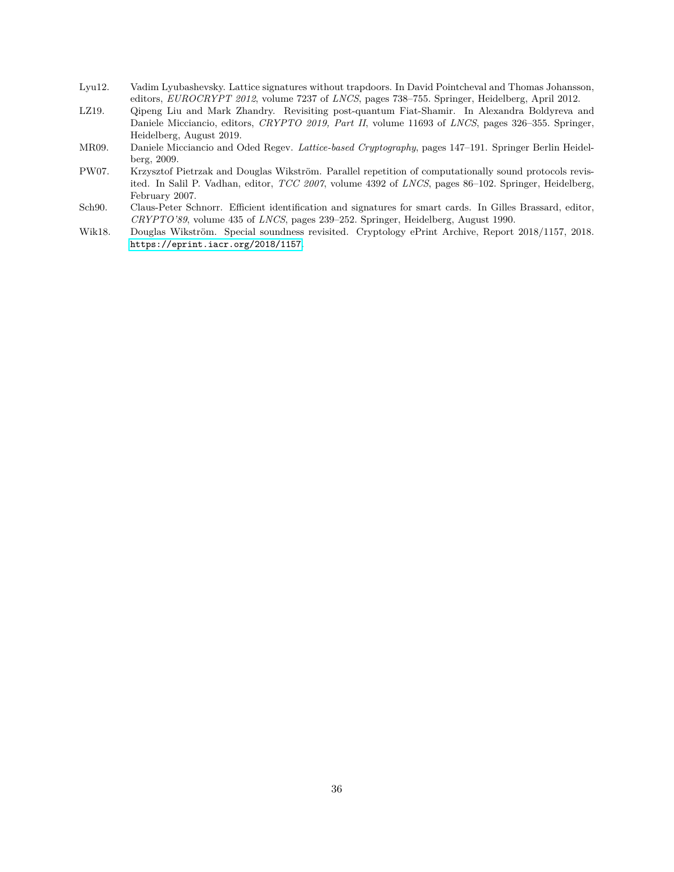- <span id="page-35-4"></span>Lyu12. Vadim Lyubashevsky. Lattice signatures without trapdoors. In David Pointcheval and Thomas Johansson, editors, *EUROCRYPT 2012*, volume 7237 of *LNCS*, pages 738–755. Springer, Heidelberg, April 2012.
- <span id="page-35-5"></span>LZ19. Qipeng Liu and Mark Zhandry. Revisiting post-quantum Fiat-Shamir. In Alexandra Boldyreva and Daniele Micciancio, editors, *CRYPTO 2019, Part II*, volume 11693 of *LNCS*, pages 326–355. Springer, Heidelberg, August 2019.
- <span id="page-35-1"></span>MR09. Daniele Micciancio and Oded Regev. *Lattice-based Cryptography*, pages 147–191. Springer Berlin Heidelberg, 2009.
- <span id="page-35-2"></span>PW07. Krzysztof Pietrzak and Douglas Wikström. Parallel repetition of computationally sound protocols revisited. In Salil P. Vadhan, editor, *TCC 2007*, volume 4392 of *LNCS*, pages 86–102. Springer, Heidelberg, February 2007.
- <span id="page-35-3"></span>Sch90. Claus-Peter Schnorr. Efficient identification and signatures for smart cards. In Gilles Brassard, editor, *CRYPTO'89*, volume 435 of *LNCS*, pages 239–252. Springer, Heidelberg, August 1990.
- <span id="page-35-0"></span>Wik18. Douglas Wikström. Special soundness revisited. Cryptology ePrint Archive, Report 2018/1157, 2018. <https://eprint.iacr.org/2018/1157>.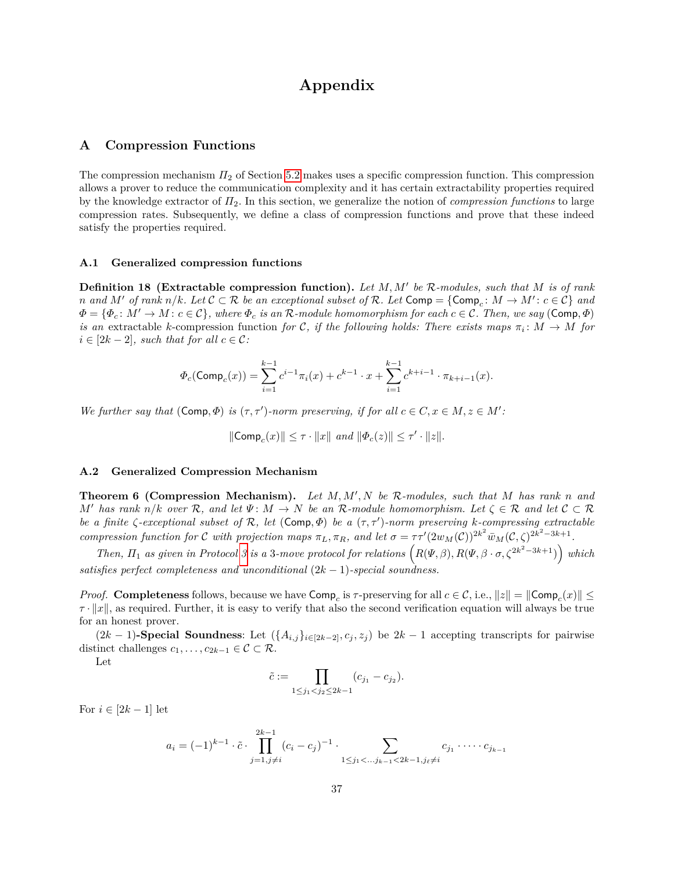# **Appendix**

## <span id="page-36-0"></span>**A Compression Functions**

The compression mechanism *Π*<sup>2</sup> of Section [5.2](#page-22-0) makes uses a specific compression function. This compression allows a prover to reduce the communication complexity and it has certain extractability properties required by the knowledge extractor of *Π*2. In this section, we generalize the notion of *compression functions* to large compression rates. Subsequently, we define a class of compression functions and prove that these indeed satisfy the properties required.

#### **A.1 Generalized compression functions**

**Definition 18 (Extractable compression function).** *Let M, M*′ *be* R*-modules, such that M is of rank n* and  $M'$  of rank  $n/k$ . Let  $C \subset \mathcal{R}$  be an exceptional subset of  $\mathcal{R}$ . Let  $\textsf{Comp} = \{\textsf{Comp}_c : M \to M' : c \in C\}$  and  $\Phi = {\Phi_c : M' \to M : c \in \mathcal{C}}$ *, where*  $\Phi_c$  *is an* R-module homomorphism for each  $c \in \mathcal{C}$ *. Then, we say* (Comp,  $\Phi$ ) *is an* extractable *k*-compression function *for* C, *if the following holds: There exists maps*  $\pi_i$ :  $M \to M$  *for*  $i \in [2k-2]$ *, such that for all*  $c \in \mathcal{C}$ *:* 

$$
\Phi_c(\textsf{Comp}_c(x)) = \sum_{i=1}^{k-1} c^{i-1} \pi_i(x) + c^{k-1} \cdot x + \sum_{i=1}^{k-1} c^{k+i-1} \cdot \pi_{k+i-1}(x).
$$

*We further say that*  $(\textsf{Comp}, \Phi)$  *is*  $(\tau, \tau')$ -norm preserving, if for all  $c \in C, x \in M, z \in M'$ :

 $||$  Comp<sub>*c*</sub>(*x*) $|| ≤ τ · ||x||$  *and*  $||Φ<sub>c</sub>(z)|| ≤ τ' · ||z||$ .

### **A.2 Generalized Compression Mechanism**

**Theorem 6 (Compression Mechanism).** *Let M, M*′ *, N be* R*-modules, such that M has rank n and M'* has rank  $n/k$  *over*  $\mathcal{R}$ *, and let*  $\Psi: M \to N$  *be an*  $\mathcal{R}$ *-module homomorphism. Let*  $\zeta \in \mathcal{R}$  *and let*  $C \subset \mathcal{R}$ *be a finite ζ-exceptional subset of* R*, let* (Comp*, Φ*) *be a* (*τ, τ* ′ )*-norm preserving k-compressing extractable* compression function for C with projection maps  $\pi_L, \pi_R$ , and let  $\sigma = \tau \tau'(2w_M(\mathcal{C}))^{2k^2} \bar{w}_M(\mathcal{C}, \zeta)^{2k^2-3k+1}$ .

*Then,*  $\Pi_1$  *as given in Protocol [3](#page-37-0) is a* 3*-move protocol for relations*  $(R(\Psi, \beta), R(\Psi, \beta \cdot \sigma, \zeta^{2k^2-3k+1})$  *which satisfies perfect completeness and unconditional* (2*k* − 1)*-special soundness.*

*Proof.* **Completeness** follows, because we have  $\textsf{Comp}_c$  is  $\tau$ -preserving for all  $c \in \mathcal{C}$ , i.e.,  $||z|| = ||\textsf{Comp}_c(x)|| \le$ *τ* · ∥*x*∥, as required. Further, it is easy to verify that also the second verification equation will always be true for an honest prover.

(2*k* − 1)**-Special Soundness**: Let  $({A}_{i,j}$ <sub>*i*∈[2*k*−2]*, c<sub>j</sub>, z<sub>j</sub>*) be 2*k* − 1 accepting transcripts for pairwise</sub> distinct challenges  $c_1, \ldots, c_{2k-1} \in \mathcal{C} \subset \mathcal{R}$ .

Let

$$
\tilde{c} := \prod_{1 \le j_1 < j_2 \le 2k - 1} (c_{j_1} - c_{j_2}).
$$

For  $i \in [2k-1]$  let

$$
a_i = (-1)^{k-1} \cdot \tilde{c} \cdot \prod_{j=1, j \neq i}^{2k-1} (c_i - c_j)^{-1} \cdot \sum_{1 \leq j_1 < \dots < j_{k-1} < 2k-1, j_\ell \neq i} c_{j_1} \cdot \dots \cdot c_{j_{k-1}}
$$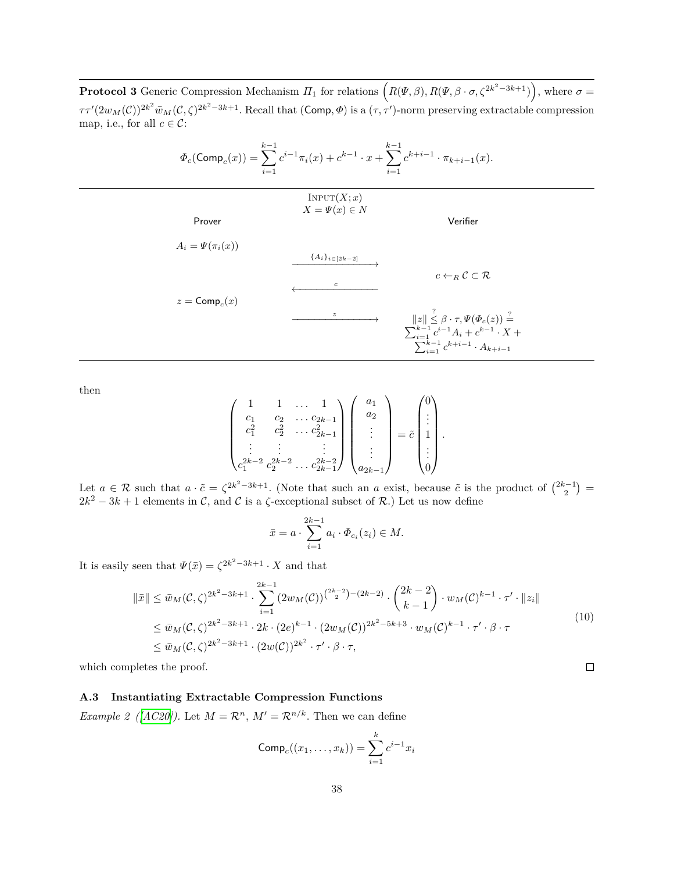<span id="page-37-0"></span>**Protocol 3** Generic Compression Mechanism  $\Pi_1$  for relations  $(R(\Psi, \beta), R(\Psi, \beta \cdot \sigma, \zeta^{2k^2-3k+1}))$ , where  $\sigma =$  $\tau \tau'(2w_M(\mathcal{C}))^{2k^2} \bar{w}_M(\mathcal{C},\zeta)^{2k^2-3k+1}$ . Recall that  $(\mathsf{Comp}, \Phi)$  is a  $(\tau, \tau')$ -norm preserving extractable compression map, i.e., for all  $c \in \mathcal{C}$ :

$$
\Phi_c(\text{Comp}_c(x)) = \sum_{i=1}^{k-1} c^{i-1} \pi_i(x) + c^{k-1} \cdot x + \sum_{i=1}^{k-1} c^{k+i-1} \cdot \pi_{k+i-1}(x).
$$
\n
$$
\text{Prover}
$$
\n
$$
A_i = \Psi(\pi_i(x))
$$
\n
$$
A_i = \Psi(\pi_i(x))
$$
\n
$$
\xrightarrow{\{A_i\}_{i \in [2k-2]}} c \leftarrow_R C \subset \mathcal{R}
$$
\n
$$
z = \text{Comp}_c(x)
$$
\n
$$
\xrightarrow{\begin{array}{c}\n\mathbf{z} \\ \hline\n\end{array}} c \leftarrow \text{Comp}_c(x)
$$
\n
$$
\xrightarrow{\begin{array}{c}\n\mathbf{z} \\ \hline\n\end{array}} c \leftarrow \text{Rep}_c(x)
$$
\n
$$
\xrightarrow{\begin{array}{c}\n\mathbf{z} \\ \hline\n\end{array}} c \leftarrow \text{Rep}_c(x)
$$
\n
$$
\xrightarrow{\begin{array}{c}\n\mathbf{z} \\ \hline\n\end{array}} c \leftarrow \text{Rep}_c(x)
$$
\n
$$
\xrightarrow{\begin{array}{c}\n\mathbf{z} \\ \hline\n\end{array}} c \leftarrow \text{Rep}_c(x)
$$
\n
$$
\xrightarrow{\begin{array}{c}\n\mathbf{z} \\ \hline\n\end{array}} c \leftarrow \text{Rep}_c(x)
$$
\n
$$
\xrightarrow{\begin{array}{c}\n\mathbf{z} \\ \hline\n\end{array}} c \leftarrow \text{Rep}_c(x)
$$
\n
$$
\xrightarrow{\begin{array}{c}\n\mathbf{z} \\ \hline\n\end{array}} c \leftarrow \text{Rep}_c(x)
$$
\n
$$
\xrightarrow{\begin{array}{c}\n\mathbf{z} \\ \hline\n\end{array}} c \leftarrow \text{Rep}_c(x)
$$
\n
$$
\xrightarrow{\begin{array}{c}\n\mathbf{z} \\ \hline\n\end{array}} c \leftarrow \text{Rep}_c(x)
$$
\n
$$
\xrightarrow{\begin{array}{c}\n\mathbf{z} \\ \hline\n\end{array}} c \leftarrow \text{Rep}_c(x)
$$
\n
$$
\xrightarrow{\begin{array}{c}\n\mathbf{z} \\ \hline\n\end{array}} c \leftarrow \text{Rep}_c(x)
$$
\n

then

$$
\begin{pmatrix} 1 & 1 & \dots & 1 \\ c_1 & c_2 & \dots & c_{2k-1} \\ c_1^2 & c_2^2 & \dots & c_{2k-1}^2 \\ \vdots & \vdots & \ddots & \vdots \\ c_1^{2k-2} & c_2^{2k-2} & \dots & c_{2k-1}^{2k-2} \end{pmatrix} \begin{pmatrix} a_1 \\ a_2 \\ \vdots \\ a_{2k-1} \end{pmatrix} = \tilde{c} \begin{pmatrix} 0 \\ \vdots \\ 1 \\ \vdots \\ 0 \end{pmatrix}.
$$

Let  $a \in \mathcal{R}$  such that  $a \cdot \tilde{c} = \zeta^{2k^2-3k+1}$ . (Note that such an *a* exist, because  $\tilde{c}$  is the product of  $\binom{2k-1}{2}$  $2k^2 - 3k + 1$  elements in C, and C is a  $\zeta$ -exceptional subset of R.) Let us now define

$$
\bar{x} = a \cdot \sum_{i=1}^{2k-1} a_i \cdot \Phi_{c_i}(z_i) \in M.
$$

It is easily seen that  $\Psi(\bar{x}) = \zeta^{2k^2 - 3k + 1} \cdot X$  and that

$$
\|\bar{x}\| \leq \bar{w}_M(\mathcal{C}, \zeta)^{2k^2 - 3k + 1} \cdot \sum_{i=1}^{2k - 1} (2w_M(\mathcal{C}))^{(2k - 2)} \cdot {2k - 2 \choose k - 1} \cdot w_M(\mathcal{C})^{k - 1} \cdot \tau' \cdot \|z_i\|
$$
  
\n
$$
\leq \bar{w}_M(\mathcal{C}, \zeta)^{2k^2 - 3k + 1} \cdot 2k \cdot (2e)^{k - 1} \cdot (2w_M(\mathcal{C}))^{2k^2 - 5k + 3} \cdot w_M(\mathcal{C})^{k - 1} \cdot \tau' \cdot \beta \cdot \tau
$$
  
\n
$$
\leq \bar{w}_M(\mathcal{C}, \zeta)^{2k^2 - 3k + 1} \cdot (2w(\mathcal{C}))^{2k^2} \cdot \tau' \cdot \beta \cdot \tau,
$$
\n(10)

which completes the proof.

# **A.3 Instantiating Extractable Compression Functions**

*Example 2 ([\[AC20\]](#page-33-0)).* Let  $M = \mathcal{R}^n$ ,  $M' = \mathcal{R}^{n/k}$ . Then we can define

Comp<sub>c</sub>
$$
((x_1,...,x_k)) = \sum_{i=1}^k c^{i-1}x_i
$$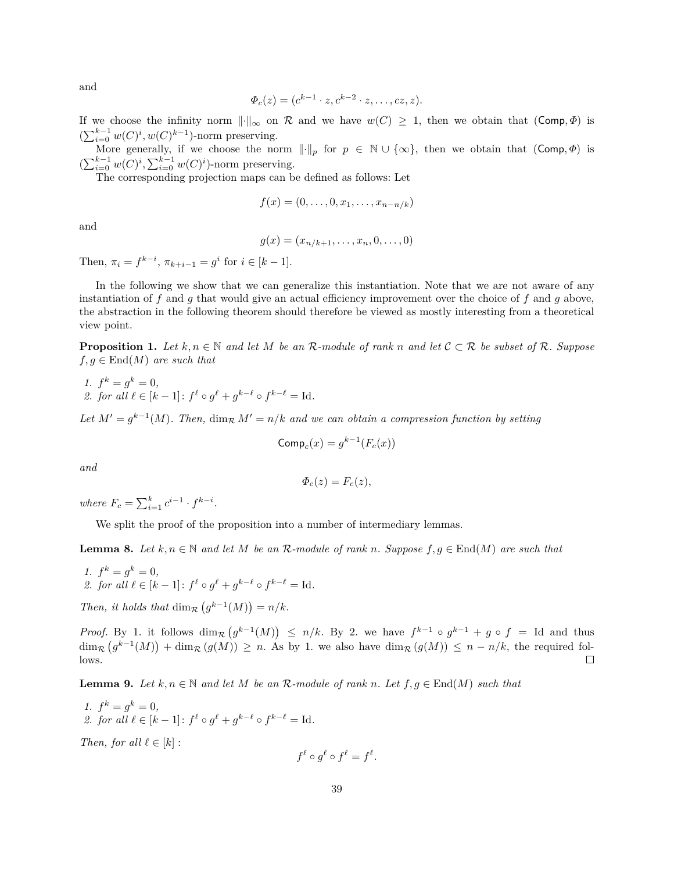and

$$
\Phi_c(z) = (c^{k-1} \cdot z, c^{k-2} \cdot z, \dots, cz, z).
$$

If we choose the infinity norm  $\|\cdot\|_{\infty}$  on R and we have  $w(C) \geq 1$ , then we obtain that  $(\text{Comp}, \Phi)$  is  $(\sum_{i=0}^{k-1} w(C)^i, w(C)^{k-1})$ -norm preserving.

More generally, if we choose the norm  $\lVert \cdot \rVert_p$  for  $p \in \mathbb{N} \cup \{\infty\}$ , then we obtain that  $(\text{Comp}, \Phi)$  is  $(\sum_{i=0}^{k-1} w(C)^i, \sum_{i=0}^{k-1} w(C)^i)$ -norm preserving.

The corresponding projection maps can be defined as follows: Let

$$
f(x) = (0, \ldots, 0, x_1, \ldots, x_{n-n/k})
$$

and

$$
g(x) = (x_{n/k+1}, \dots, x_n, 0, \dots, 0)
$$

Then,  $\pi_i = f^{k-i}, \pi_{k+i-1} = g^i$  for  $i \in [k-1]$ .

In the following we show that we can generalize this instantiation. Note that we are not aware of any instantiation of *f* and *g* that would give an actual efficiency improvement over the choice of *f* and *g* above, the abstraction in the following theorem should therefore be viewed as mostly interesting from a theoretical view point.

**Proposition 1.** Let  $k, n \in \mathbb{N}$  and let M be an R-module of rank n and let  $C \subset \mathcal{R}$  be subset of R. Suppose  $f, g \in \text{End}(M)$  *are such that* 

*1.*  $f^k = g^k = 0$ , *2. for all*  $\ell \in [k-1]$ :  $f^{\ell} \circ g^{\ell} + g^{k-\ell} \circ f^{k-\ell} = \mathrm{Id}$ .

*Let*  $M' = g^{k-1}(M)$ . Then,  $\dim_{\mathcal{R}} M' = n/k$  *and we can obtain a compression function by setting* 

$$
\text{Comp}_c(x) = g^{k-1}(F_c(x))
$$

*and*

$$
\Phi_c(z) = F_c(z),
$$

*where*  $F_c = \sum_{i=1}^{k} c^{i-1} \cdot f^{k-i}$ .

We split the proof of the proposition into a number of intermediary lemmas.

**Lemma 8.** Let  $k, n \in \mathbb{N}$  and let M be an R-module of rank n. Suppose  $f, g \in \text{End}(M)$  are such that

1. 
$$
f^k = g^k = 0
$$
,  
2. for all  $\ell \in [k-1]$ :  $f^{\ell} \circ g^{\ell} + g^{k-\ell} \circ f^{k-\ell} = \text{Id}$ .

*Then, it holds that* dim<sub>*R*</sub>  $(g^{k-1}(M)) = n/k$ .

*Proof.* By 1. it follows  $\dim_{\mathcal{R}}(g^{k-1}(M)) \leq n/k$ . By 2. we have  $f^{k-1} \circ g^{k-1} + g \circ f = \text{Id}$  and thus  $\dim_{\mathcal{R}} (g^{k-1}(M)) + \dim_{\mathcal{R}} (g(M)) \geq n$ . As by 1. we also have  $\dim_{\mathcal{R}} (g(M)) \leq n - n/k$ , the required follows.  $\Box$ 

<span id="page-38-0"></span>**Lemma 9.** Let  $k, n \in \mathbb{N}$  and let  $M$  be an  $\mathcal{R}$ -module of rank  $n$ . Let  $f, g \in \text{End}(M)$  such that

*1.*  $f^k = g^k = 0$ , *2. for all*  $\ell \in [k-1]$ :  $f^{\ell} \circ g^{\ell} + g^{k-\ell} \circ f^{k-\ell} = \text{Id}.$ *Then, for all*  $\ell \in [k]$ :  $f^{\ell} \circ g^{\ell} \circ f^{\ell} = f^{\ell}.$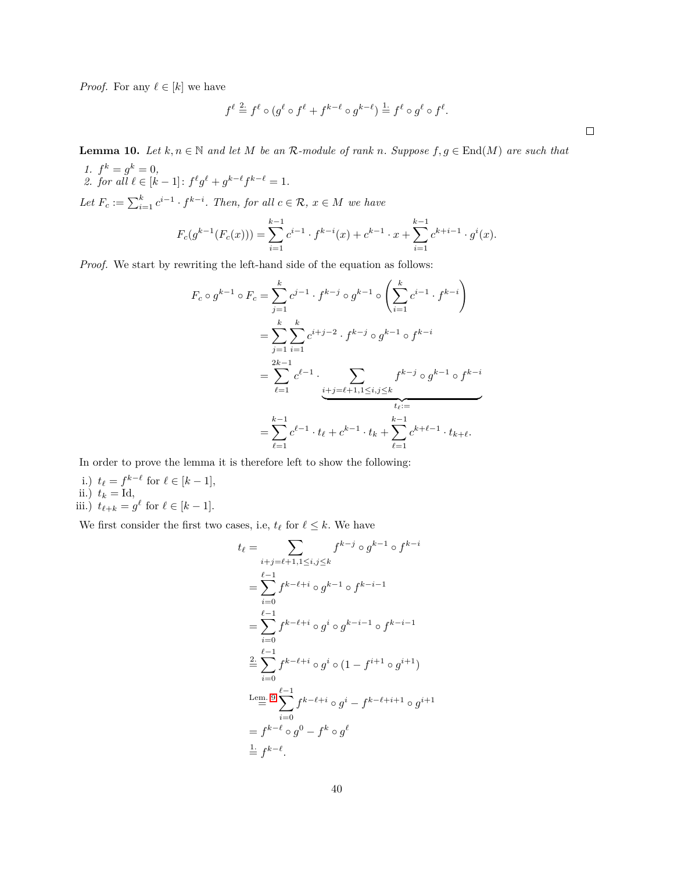*Proof.* For any  $\ell \in [k]$  we have

$$
f^\ell \stackrel{2}{=} f^\ell \circ (g^\ell \circ f^\ell + f^{k-\ell} \circ g^{k-\ell}) \stackrel{1}{=} f^\ell \circ g^\ell \circ f^\ell.
$$

**Lemma 10.** *Let*  $k, n \in \mathbb{N}$  *and let*  $M$  *be an*  $\mathcal{R}$ *-module of rank*  $n$ *. Suppose*  $f, g \in \text{End}(M)$  *are such that 1.*  $f^k = g^k = 0$ , *2. for all*  $\ell \in [k-1]$ :  $f^{\ell}g^{\ell} + g^{k-\ell}f^{k-\ell} = 1$ .

*Let*  $F_c := \sum_{i=1}^k c^{i-1} \cdot f^{k-i}$ . Then, for all  $c \in \mathcal{R}$ ,  $x \in M$  we have

$$
F_c(g^{k-1}(F_c(x))) = \sum_{i=1}^{k-1} c^{i-1} \cdot f^{k-i}(x) + c^{k-1} \cdot x + \sum_{i=1}^{k-1} c^{k+i-1} \cdot g^i(x).
$$

*Proof.* We start by rewriting the left-hand side of the equation as follows:

$$
F_c \circ g^{k-1} \circ F_c = \sum_{j=1}^k c^{j-1} \cdot f^{k-j} \circ g^{k-1} \circ \left(\sum_{i=1}^k c^{i-1} \cdot f^{k-i}\right)
$$
  
= 
$$
\sum_{j=1}^k \sum_{i=1}^k c^{i+j-2} \cdot f^{k-j} \circ g^{k-1} \circ f^{k-i}
$$
  
= 
$$
\sum_{\ell=1}^{2k-1} c^{\ell-1} \cdot \sum_{\substack{i+j=\ell+1, 1 \le i, j \le k \\ i \ne i}} f^{k-j} \circ g^{k-1} \circ f^{k-i}
$$
  
= 
$$
\sum_{\ell=1}^{k-1} c^{\ell-1} \cdot t_\ell + c^{k-1} \cdot t_k + \sum_{\ell=1}^{k-1} c^{k+\ell-1} \cdot t_{k+\ell}.
$$

In order to prove the lemma it is therefore left to show the following:

i.)  $t_{\ell} = f^{k-\ell}$  for  $\ell \in [k-1]$ , ii.)  $t_k = \mathrm{Id},$ iii.)  $t_{\ell+k} = g^{\ell}$  for  $\ell \in [k-1]$ .

We first consider the first two cases, i.e,  $t_{\ell}$  for  $\ell \leq k$ . We have

$$
t_{\ell} = \sum_{i+j=\ell+1,1 \leq i,j \leq k} f^{k-j} \circ g^{k-1} \circ f^{k-i}
$$
  
= 
$$
\sum_{i=0}^{\ell-1} f^{k-\ell+i} \circ g^{k-1} \circ f^{k-i-1}
$$
  
= 
$$
\sum_{i=0}^{\ell-1} f^{k-\ell+i} \circ g^{i} \circ g^{k-i-1} \circ f^{k-i-1}
$$
  

$$
\stackrel{2}{=} \sum_{i=0}^{\ell-1} f^{k-\ell+i} \circ g^{i} \circ (1 - f^{i+1} \circ g^{i+1})
$$
  
Lemma 9 
$$
\sum_{i=0}^{\ell-1} f^{k-\ell+i} \circ g^{i} - f^{k-\ell+i+1} \circ g^{i+1}
$$
  
= 
$$
f^{k-\ell} \circ g^{0} - f^{k} \circ g^{\ell}
$$
  

$$
\stackrel{1}{=} f^{k-\ell}.
$$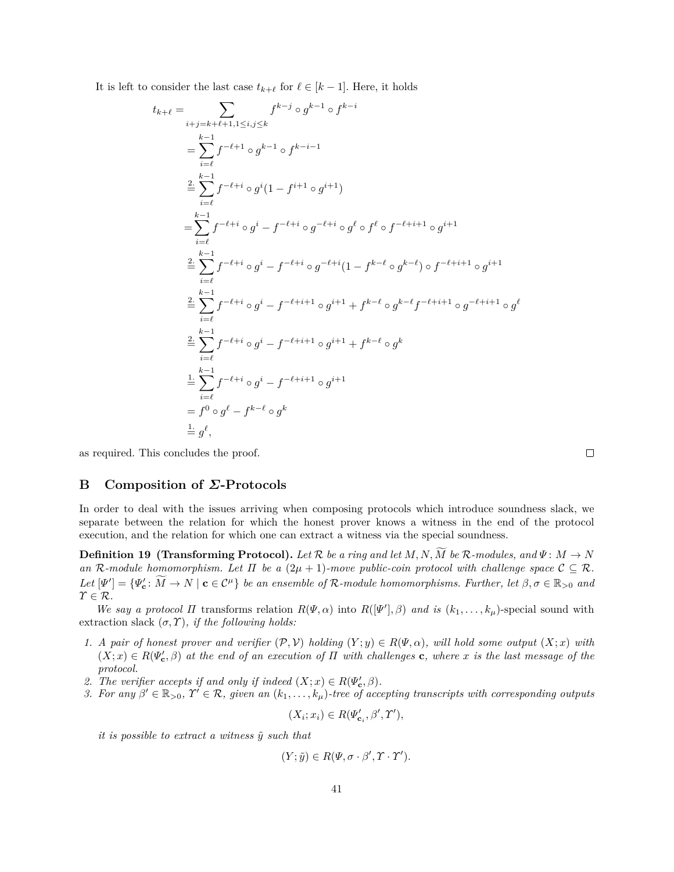It is left to consider the last case  $t_{k+\ell}$  for  $\ell \in [k-1]$ . Here, it holds

$$
t_{k+\ell} = \sum_{i+j=k+\ell+1, 1 \leq i, j \leq k} f^{k-j} \circ g^{k-1} \circ f^{k-i}
$$
  
\n
$$
= \sum_{i=\ell}^{k-1} f^{-\ell+1} \circ g^{k-1} \circ f^{k-i-1}
$$
  
\n
$$
\geq \sum_{i=\ell}^{k-1} f^{-\ell+i} \circ g^{i} (1 - f^{i+1} \circ g^{i+1})
$$
  
\n
$$
= \sum_{i=\ell}^{k-1} f^{-\ell+i} \circ g^{i} - f^{-\ell+i} \circ g^{-\ell+i} \circ g^{\ell} \circ f^{\ell} \circ f^{-\ell+i+1} \circ g^{i+1}
$$
  
\n
$$
\geq \sum_{i=\ell}^{k-1} f^{-\ell+i} \circ g^{i} - f^{-\ell+i} \circ g^{-\ell+i} (1 - f^{k-\ell} \circ g^{k-\ell}) \circ f^{-\ell+i+1} \circ g^{i+1}
$$
  
\n
$$
\geq \sum_{i=\ell}^{k-1} f^{-\ell+i} \circ g^{i} - f^{-\ell+i+1} \circ g^{i+1} + f^{k-\ell} \circ g^{k-\ell} f^{-\ell+i+1} \circ g^{-\ell+i+1} \circ g^{\ell}
$$
  
\n
$$
\geq \sum_{i=\ell}^{k-1} f^{-\ell+i} \circ g^{i} - f^{-\ell+i+1} \circ g^{i+1} + f^{k-\ell} \circ g^{k}
$$
  
\n
$$
\geq \sum_{i=\ell}^{k-1} f^{-\ell+i} \circ g^{i} - f^{-\ell+i+1} \circ g^{i+1}
$$
  
\n
$$
= f^{0} \circ g^{\ell} - f^{k-\ell} \circ g^{k}
$$
  
\n
$$
\geq g^{\ell},
$$

as required. This concludes the proof.

# <span id="page-40-0"></span>**B Composition of** *Σ***-Protocols**

In order to deal with the issues arriving when composing protocols which introduce soundness slack, we separate between the relation for which the honest prover knows a witness in the end of the protocol execution, and the relation for which one can extract a witness via the special soundness.

**Definition 19 (Transforming Protocol).** Let R be a ring and let  $M, N, \widetilde{M}$  be R-modules, and  $\Psi: M \to N$ *an*  $\mathcal{R}$ *-module homomorphism. Let*  $\Pi$  *be a* (2 $\mu$  + 1)*-move public-coin protocol with challenge space*  $\mathcal{C} \subseteq \mathcal{R}$ *.* Let  $[\Psi'] = {\Psi'_{\mathbf{c}} \colon \widetilde{M} \to N \mid \mathbf{c} \in C^{\mu}}$  *be an ensemble of* R*-module homomorphisms. Further, let*  $\beta, \sigma \in \mathbb{R}_{>0}$  *and Υ* ∈ R*.*

*We say a protocol Π* transforms relation  $R(\Psi, \alpha)$  into  $R([\Psi'], \beta)$  *and is*  $(k_1, \ldots, k_\mu)$ -special sound with extraction slack  $(\sigma, \Upsilon)$ *, if the following holds:* 

- *1. A pair of honest prover and verifier*  $(P, V)$  *holding*  $(Y, y) \in R(\Psi, \alpha)$ *, will hold some output*  $(X; x)$  *with*  $(X; x) \in R(\Psi'_c, \beta)$  at the end of an execution of  $\Pi$  with challenges **c**, where *x* is the last message of the *protocol.*
- 2. The verifier accepts if and only if indeed  $(X; x) \in R(\Psi_{\mathbf{c}}', \beta)$ .
- *3.* For any  $\beta' \in \mathbb{R}_{>0}$ ,  $\gamma' \in \mathcal{R}$ , given an  $(k_1, \ldots, k_\mu)$ -tree of accepting transcripts with corresponding outputs

$$
(X_i; x_i) \in R(\Psi'_{{\bf c}_i}, \beta', {\cal T}'),
$$

*it is possible to extract a witness y*˜ *such that*

$$
(Y; \tilde{y}) \in R(\Psi, \sigma \cdot \beta', \Upsilon \cdot \Upsilon').
$$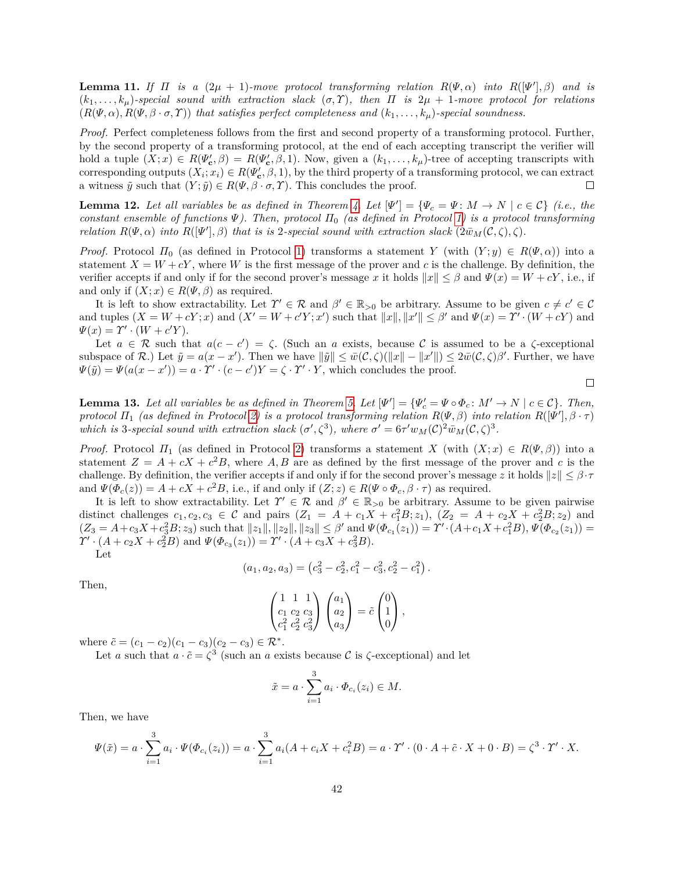**Lemma 11.** *If Π is a*  $(2\mu + 1)$ *-move protocol transforming relation*  $R(\Psi, \alpha)$  *into*  $R([\Psi'], \beta)$  *and is*  $(k_1, \ldots, k_\mu)$ *-special sound with extraction slack*  $(\sigma, \Upsilon)$ *, then*  $\Pi$  *is*  $2\mu + 1$ *-move protocol for relations*  $(R(\Psi, \alpha), R(\Psi, \beta \cdot \sigma, \Upsilon))$  *that satisfies perfect completeness and*  $(k_1, \ldots, k_\mu)$ *-special soundness.* 

*Proof.* Perfect completeness follows from the first and second property of a transforming protocol. Further, by the second property of a transforming protocol, at the end of each accepting transcript the verifier will hold a tuple  $(X; x) \in R(\Psi_{\mathbf{c}}', \beta) = R(\Psi_{\mathbf{c}}', \beta, 1)$ . Now, given a  $(k_1, \ldots, k_\mu)$ -tree of accepting transcripts with corresponding outputs  $(X_i; x_i) \in R(\Psi'_c, \beta, 1)$ , by the third property of a transforming protocol, we can extract a witness  $\tilde{y}$  such that  $(Y; \tilde{y}) \in R(\Psi, \beta \cdot \sigma, \Upsilon)$ . This concludes the proof.  $\Box$ 

**Lemma 12.** Let all variables be as defined in Theorem [4.](#page-19-1) Let  $[\Psi'] = {\Psi_c = \Psi \colon M \to N \mid c \in \mathcal{C}}$  (i.e., the *constant ensemble of functions Ψ). Then, protocol Π*<sup>0</sup> *(as defined in Protocol [1\)](#page-20-0) is a protocol transforming relation*  $R(\Psi, \alpha)$  *into*  $R([\Psi'], \beta)$  *that is is* 2*-special sound with extraction slack*  $(2\bar{w}_M(\mathcal{C}, \zeta), \zeta)$ *.* 

*Proof.* Protocol  $\Pi_0$  (as defined in Protocol [1\)](#page-20-0) transforms a statement *Y* (with  $(Y; y) \in R(\Psi, \alpha)$ ) into a statement  $X = W + cY$ , where *W* is the first message of the prover and *c* is the challenge. By definition, the verifier accepts if and only if for the second prover's message *x* it holds  $||x|| \leq \beta$  and  $\Psi(x) = W + cY$ , i.e., if and only if  $(X; x) \in R(\Psi, \beta)$  as required.

It is left to show extractability. Let  $\gamma' \in \mathcal{R}$  and  $\beta' \in \mathbb{R}_{>0}$  be arbitrary. Assume to be given  $c \neq c' \in \mathcal{C}$ and tuples  $(X = W + cY; x)$  and  $(X' = W + c'Y; x')$  such that  $||x||, ||x'|| \le \beta'$  and  $\Psi(x) = \gamma' \cdot (W + cY)$  and  $\Psi(x) = \Upsilon' \cdot (W + c'Y).$ 

Let  $a \in \mathcal{R}$  such that  $a(c - c') = \zeta$ . (Such an *a* exists, because C is assumed to be a  $\zeta$ -exceptional subspace of  $\mathcal{R}$ .) Let  $\tilde{y} = a(x - x')$ . Then we have  $\|\tilde{y}\| \le \bar{w}(\mathcal{C}, \zeta)(\|x\| - \|x'\|) \le 2\bar{w}(\mathcal{C}, \zeta)\beta'$ . Further, we have  $\Psi(\tilde{y}) = \Psi(a(x - x')) = a \cdot \Upsilon' \cdot (c - c')Y = \zeta \cdot \Upsilon' \cdot Y$ , which concludes the proof.

**Lemma 13.** Let all variables be as defined in Theorem [5.](#page-23-0) Let  $[\Psi'] = {\Psi'_c = \Psi \circ \Phi_c \colon M' \to N \mid c \in \mathcal{C}}$ . Then, *protocol*  $\Pi_1$  *(as defined in Protocol [2\)](#page-23-1) is a protocol transforming relation*  $R(\Psi, \beta)$  *into relation*  $R([\Psi'], \beta \cdot \tau)$ *which is* 3-special sound with extraction slack  $(\sigma', \zeta^3)$ , where  $\sigma' = 6\tau' w_M(\mathcal{C})^2 \bar{w}_M(\mathcal{C}, \zeta)^3$ .

*Proof.* Protocol *Π*<sub>1</sub> (as defined in Protocol [2\)](#page-23-1) transforms a statement *X* (with  $(X; x) \in R(\Psi, \beta)$ ) into a statement  $Z = A + cX + c^2B$ , where A, B are as defined by the first message of the prover and c is the challenge. By definition, the verifier accepts if and only if for the second prover's message *z* it holds  $||z|| \leq \beta \cdot \tau$ and  $\Psi(\Phi_c(z)) = A + cX + c^2B$ , i.e., if and only if  $(Z; z) \in R(\Psi \circ \Phi_c, \beta \cdot \tau)$  as required.

It is left to show extractability. Let  $\gamma' \in \mathcal{R}$  and  $\beta' \in \mathbb{R}_{>0}$  be arbitrary. Assume to be given pairwise distinct challenges  $c_1, c_2, c_3 \in \mathcal{C}$  and pairs  $(Z_1 = A + c_1 X + c_1^2 B; z_1), (Z_2 = A + c_2 X + c_2^2 B; z_2)$  and  $(Z_3 = A + c_3 X + c_3^2 B; z_3)$  such that  $||z_1||, ||z_2||, ||z_3|| \leq \beta'$  and  $\Psi(\Phi_{c_1}(z_1)) = \Upsilon' \cdot (A + c_1 X + c_1^2 B), \Psi(\Phi_{c_2}(z_1)) =$  $\mathcal{Y}' \cdot (A + c_2 X + c_2^2 B)$  and  $\Psi(\Phi_{c_3}(z_1)) = \mathcal{Y}' \cdot (A + c_3 X + c_3^2 B).$ 

Let

$$
(a_1, a_2, a_3) = (c_3^2 - c_2^2, c_1^2 - c_3^2, c_2^2 - c_1^2).
$$

Then,

$$
\begin{pmatrix} 1 & 1 & 1 \ c_1 & c_2 & c_3 \ c_1^2 & c_2^2 & c_3^2 \end{pmatrix} \begin{pmatrix} a_1 \ a_2 \ a_3 \end{pmatrix} = \tilde{c} \begin{pmatrix} 0 \ 1 \ 0 \end{pmatrix},
$$

where  $\tilde{c} = (c_1 - c_2)(c_1 - c_3)(c_2 - c_3) \in \mathcal{R}^*$ .

Let *a* such that  $a \cdot \tilde{c} = \zeta^3$  (such an *a* exists because C is  $\zeta$ -exceptional) and let

$$
\tilde{x} = a \cdot \sum_{i=1}^{3} a_i \cdot \Phi_{c_i}(z_i) \in M.
$$

Then, we have

$$
\Psi(\tilde{x}) = a \cdot \sum_{i=1}^{3} a_i \cdot \Psi(\Phi_{c_i}(z_i)) = a \cdot \sum_{i=1}^{3} a_i (A + c_i X + c_i^2 B) = a \cdot \Upsilon' \cdot (0 \cdot A + \tilde{c} \cdot X + 0 \cdot B) = \zeta^3 \cdot \Upsilon' \cdot X.
$$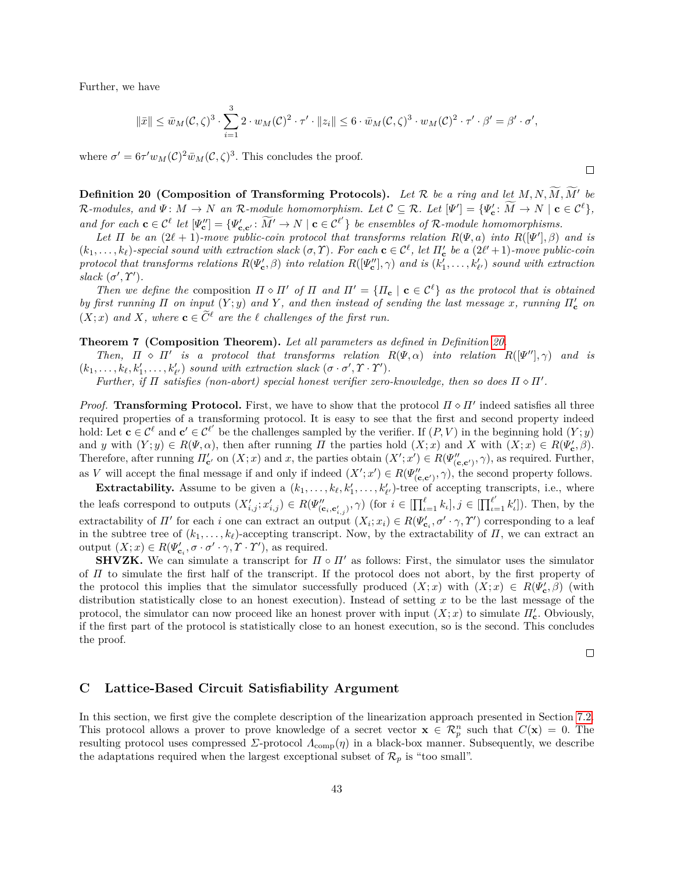Further, we have

$$
\|\bar{x}\| \leq \bar{w}_M(\mathcal{C}, \zeta)^3 \cdot \sum_{i=1}^3 2 \cdot w_M(\mathcal{C})^2 \cdot \tau' \cdot \|z_i\| \leq 6 \cdot \bar{w}_M(\mathcal{C}, \zeta)^3 \cdot w_M(\mathcal{C})^2 \cdot \tau' \cdot \beta' = \beta' \cdot \sigma',
$$

where  $\sigma' = 6\tau' w_M(\mathcal{C})^2 \bar{w}_M(\mathcal{C}, \zeta)^3$ . This concludes the proof.

<span id="page-42-0"></span>**Definition 20 (Composition of Transforming Protocols).** Let  $\mathcal{R}$  be a ring and let  $M, N, M, M'$  be  $\mathcal{R}\text{-modules, and } \Psi: M \to N \text{ an } \mathcal{R}\text{-module homomorphism.}$  Let  $\mathcal{C} \subseteq \mathcal{R}$ . Let  $[\Psi'] = {\Psi_{\mathbf{c}}' \colon M \to N \mid \mathbf{c} \in \mathcal{C}^{\ell}},$  $\mathbf{c} \in \mathcal{C}^{\ell}$  *let*  $[\Psi_{\mathbf{c}}''] = {\Psi_{\mathbf{c}, \mathbf{c}'}' : \widetilde{M}' \to N \mid \mathbf{c} \in \mathcal{C}^{\ell'}}$  *be ensembles of* R-module homomorphisms.

*Let*  $\Pi$  *be an*  $(2\ell + 1)$ *-move public-coin protocol that transforms relation*  $R(\Psi, a)$  *into*  $R([\Psi'], \beta)$  *and is*  $(k_1, \ldots, k_\ell)$ -special sound with extraction slack  $(\sigma, \Upsilon)$ . For each  $\mathbf{c} \in \mathcal{C}^{\ell}$ , let  $\Pi_{\mathbf{c}}'$  be a  $(2\ell'+1)$ -move public-coin protocol that transforms relations  $R(\Psi_{\mathbf{c}}', \beta)$  into relation  $R([\Psi_{\mathbf{c}}''], \gamma)$  and is  $(k'_1, \ldots, k'_{\ell'})$  sound with extraction *slack*  $(\sigma', \Upsilon')$ *.* 

*Then we define the* composition  $\Pi \circ \Pi'$  *of*  $\Pi$  *and*  $\Pi' = {\Pi_{\mathbf{c}} \mid \mathbf{c} \in C^{\ell}}$  *as the protocol that is obtained by first running Π on input* (*Y* ; *y*) *and Y , and then instead of sending the last message x, running Π*′ **<sup>c</sup>** *on*  $(X; x)$  and X, where  $\mathbf{c} \in \tilde{C}^{\ell}$  are the  $\ell$  challenges of the first run.

# **Theorem 7 (Composition Theorem).** *Let all parameters as defined in Definition [20.](#page-42-0)*

*Then,*  $\Pi \propto \Pi'$  *is a protocol that transforms relation*  $R(\Psi, \alpha)$  *into relation*  $R([\Psi''], \gamma)$  *and is*  $(k_1, \ldots, k_\ell, k'_1, \ldots, k'_{\ell'})$  sound with extraction slack  $(\sigma \cdot \sigma', \Upsilon \cdot \Upsilon')$ .

*Further, if Π* satisfies (non-abort) special honest verifier zero-knowledge, then so does  $\Pi \circ \Pi'$ .

*Proof.* **Transforming Protocol.** First, we have to show that the protocol  $\Pi \circ \Pi'$  indeed satisfies all three required properties of a transforming protocol. It is easy to see that the first and second property indeed hold: Let  $\mathbf{c} \in \mathcal{C}^{\ell}$  and  $\mathbf{c}' \in \mathcal{C}^{\ell'}$  be the challenges sampled by the verifier. If  $(P, V)$  in the beginning hold  $(Y; y)$ and *y* with  $(Y; y) \in R(\Psi, \alpha)$ , then after running *Π* the parties hold  $(X; x)$  and *X* with  $(X; x) \in R(\Psi_{\mathbf{c}}', \beta)$ . Therefore, after running  $\Pi'_{\mathbf{c}'}$  on  $(X; x)$  and  $x$ , the parties obtain  $(X'; x') \in R(\Psi''_{(\mathbf{c}, \mathbf{c}')} , \gamma)$ , as required. Further, as *V* will accept the final message if and only if indeed  $(X'; x') \in R(\Psi''_{(\mathbf{c}, \mathbf{c}')}, \gamma)$ , the second property follows.

**Extractability.** Assume to be given a  $(k_1, \ldots, k_\ell, k'_1, \ldots, k'_{\ell'})$ -tree of accepting transcripts, i.e., where the leafs correspond to outputs  $(X'_{i,j}; x'_{i,j}) \in R(\Psi''_{(\mathbf{c}_i, \mathbf{c}'_{i,j})}, \gamma)$  (for  $i \in [\prod_{\iota=1}^{\ell} k_{\iota}], j \in [\prod_{\iota=1}^{\ell'} k'_{\iota}])$ . Then, by the extractability of *Π'* for each *i* one can extract an output  $(X_i; x_i) \in R(\Psi'_{\mathbf{c}_i}, \sigma' \cdot \gamma, \Upsilon')$  corresponding to a leaf in the subtree tree of  $(k_1, \ldots, k_\ell)$ -accepting transcript. Now, by the extractability of *Π*, we can extract an output  $(X; x) \in R(\Psi_{\mathbf{c}_i}', \sigma \cdot \sigma' \cdot \gamma, \Upsilon \cdot \Upsilon')$ , as required.

**SHVZK.** We can simulate a transcript for  $\Pi \circ \Pi'$  as follows: First, the simulator uses the simulator of *Π* to simulate the first half of the transcript. If the protocol does not abort, by the first property of the protocol this implies that the simulator successfully produced  $(X; x)$  with  $(X; x) \in R(\Psi_{\mathbf{c}}', \beta)$  (with distribution statistically close to an honest execution). Instead of setting *x* to be the last message of the protocol, the simulator can now proceed like an honest prover with input  $(X; x)$  to simulate  $\Pi'_{\mathbf{c}}$ . Obviously, if the first part of the protocol is statistically close to an honest execution, so is the second. This concludes the proof.

 $\Box$ 

 $\Box$ 

# **C Lattice-Based Circuit Satisfiability Argument**

In this section, we first give the complete description of the linearization approach presented in Section [7.2.](#page-30-0) This protocol allows a prover to prove knowledge of a secret vector  $\mathbf{x} \in \mathcal{R}_p^n$  such that  $C(\mathbf{x}) = 0$ . The resulting protocol uses compressed *Σ*-protocol  $Λ_{\text{comp}}(η)$  in a black-box manner. Subsequently, we describe the adaptations required when the largest exceptional subset of  $\mathcal{R}_p$  is "too small".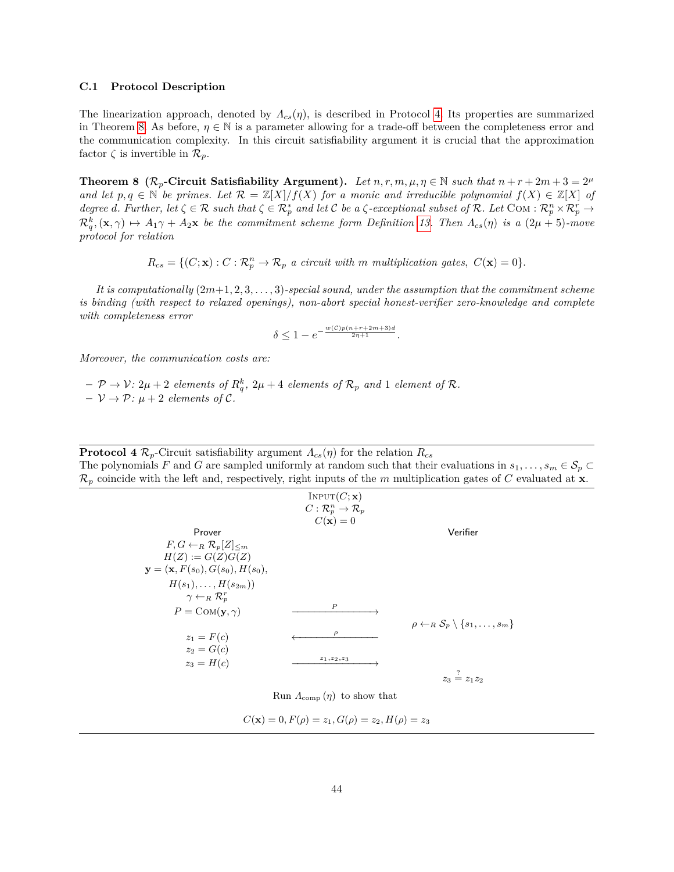#### <span id="page-43-0"></span>**C.1 Protocol Description**

The linearization approach, denoted by  $\Lambda_{cs}(\eta)$ , is described in Protocol [4.](#page-43-1) Its properties are summarized in Theorem [8.](#page-43-2) As before,  $\eta \in \mathbb{N}$  is a parameter allowing for a trade-off between the completeness error and the communication complexity. In this circuit satisfiability argument it is crucial that the approximation factor  $\zeta$  is invertible in  $\mathcal{R}_p$ .

<span id="page-43-2"></span>**Theorem 8**  $(\mathcal{R}_p$ -Circuit Satisfiability Argument). Let  $n, r, m, \mu, \eta \in \mathbb{N}$  such that  $n + r + 2m + 3 = 2^{\mu}$ *and let*  $p, q \in \mathbb{N}$  *be primes. Let*  $\mathcal{R} = \mathbb{Z}[X]/f(X)$  *for a monic and irreducible polynomial*  $f(X) \in \mathbb{Z}[X]$  *of degree d. Further, let*  $\zeta \in \mathcal{R}$  *such that*  $\zeta \in \mathcal{R}_p^*$  *and let* C *be a*  $\zeta$ -exceptional subset of  $\mathcal{R}$ *. Let*  $\text{Com}: \mathcal{R}_p^n \times \mathcal{R}_p^r \to$  $\mathcal{R}_q^k$ ,  $(\mathbf{x}, \gamma) \mapsto A_1 \gamma + A_2 \mathbf{x}$  be the commitment scheme form Definition [13.](#page-7-0) Then  $\Lambda_{cs}(\eta)$  is a  $(2\mu + 5)$ -move *protocol for relation*

 $R_{cs} = \{ (C; \mathbf{x}) : C : R_p^n \to R_p \text{ a circuit with } m \text{ multiplication gates}, C(\mathbf{x}) = 0 \}.$ 

*It is computationally*  $(2m+1, 2, 3, \ldots, 3)$ -special sound, under the assumption that the commitment scheme *is binding (with respect to relaxed openings), non-abort special honest-verifier zero-knowledge and complete with completeness error*

$$
\delta \le 1 - e^{-\frac{w(\mathcal{C})p(n+r+2m+3)d}{2\eta+1}}.
$$

*Moreover, the communication costs are:*

 $\mathcal{P} \rightarrow \mathcal{V}: 2\mu + 2$  *elements of*  $R_q^k$ ,  $2\mu + 4$  *elements of*  $\mathcal{R}_p$  *and* 1 *element of*  $\mathcal{R}$ *.*  $-\nu \rightarrow \mathcal{P}$ :  $\mu + 2$  *elements of* C.

<span id="page-43-1"></span>**Protocol 4**  $\mathcal{R}_p$ -Circuit satisfiability argument  $\Lambda_{cs}(\eta)$  for the relation  $R_{cs}$ The polynomials *F* and *G* are sampled uniformly at random such that their evaluations in  $s_1, \ldots, s_m \in S_p \subset$  $\mathcal{R}_p$  coincide with the left and, respectively, right inputs of the *m* multiplication gates of *C* evaluated at **x**.

|                                                | INPUT(C; x)                            |                                                                  |
|------------------------------------------------|----------------------------------------|------------------------------------------------------------------|
|                                                | $C: \mathcal{R}_p^n \to \mathcal{R}_p$ |                                                                  |
|                                                | $C(\mathbf{x})=0$                      |                                                                  |
| Prover                                         |                                        | Verifier                                                         |
| $F,G \leftarrow_R \mathcal{R}_p[Z]_{\leq m}$   |                                        |                                                                  |
| $H(Z) := G(Z)G(Z)$                             |                                        |                                                                  |
| ${\bf y} = ({\bf x}, F(s_0), G(s_0), H(s_0)),$ |                                        |                                                                  |
| $H(s_1), \ldots, H(s_{2m}))$                   |                                        |                                                                  |
| $\gamma \leftarrow_R \mathcal{R}_p^r$          |                                        |                                                                  |
| $P = \text{COM}(\mathbf{y}, \gamma)$           | $\boldsymbol{P}$                       |                                                                  |
|                                                |                                        | $\rho \leftarrow_R \mathcal{S}_n \setminus \{s_1, \ldots, s_m\}$ |
| $z_1 = F(c)$                                   | $\rho$                                 |                                                                  |
| $z_2 = G(c)$                                   |                                        |                                                                  |
| $z_3 = H(c)$                                   | $z_1, z_2, z_3$                        |                                                                  |
|                                                |                                        | $z_3 = z_1 z_2$                                                  |

Run  $\Lambda_{\text{comp}}(\eta)$  to show that

 $C(\mathbf{x}) = 0, F(\rho) = z_1, G(\rho) = z_2, H(\rho) = z_3$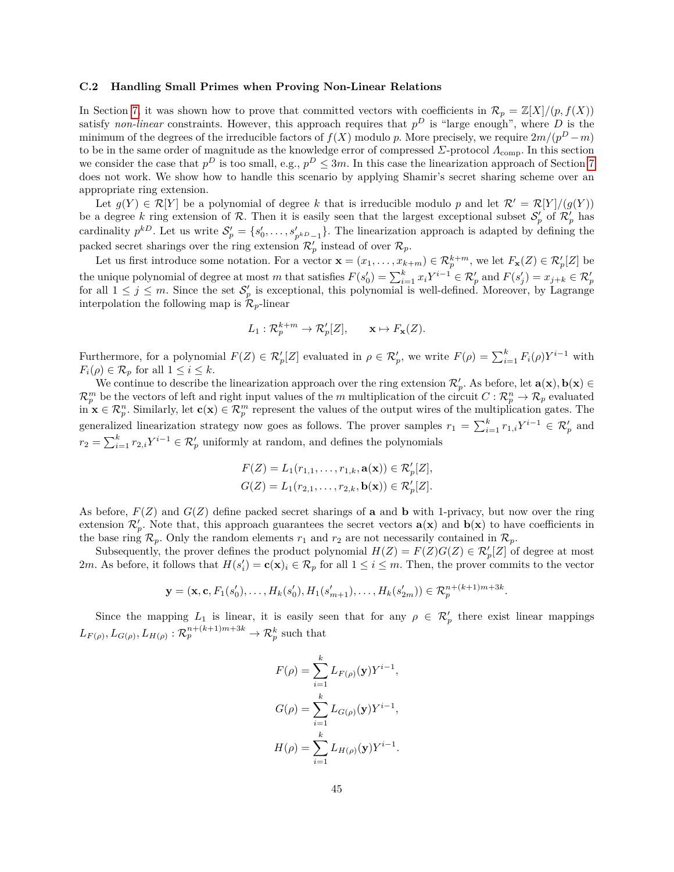#### <span id="page-44-0"></span>**C.2 Handling Small Primes when Proving Non-Linear Relations**

In Section [7,](#page-29-0) it was shown how to prove that committed vectors with coefficients in  $\mathcal{R}_p = \mathbb{Z}[X]/(p, f(X))$ satisfy *non-linear* constraints. However, this approach requires that  $p^D$  is "large enough", where *D* is the minimum of the degrees of the irreducible factors of  $f(X)$  modulo *p*. More precisely, we require  $2m/(p<sup>D</sup> – m)$ to be in the same order of magnitude as the knowledge error of compressed *Σ*-protocol *Λ*comp. In this section we consider the case that  $p^D$  is too small, e.g.,  $p^D \leq 3m$ . In this case the linearization approach of Section [7](#page-29-0) does not work. We show how to handle this scenario by applying Shamir's secret sharing scheme over an appropriate ring extension.

Let  $g(Y) \in \mathcal{R}[Y]$  be a polynomial of degree k that is irreducible modulo p and let  $\mathcal{R}' = \mathcal{R}[Y]/(g(Y))$ be a degree k ring extension of R. Then it is easily seen that the largest exceptional subset  $S'_p$  of  $\mathcal{R}'_p$  has cardinality  $p^{k}$ . Let us write  $\mathcal{S}'_p = \{s'_0, \ldots, s'_{p^{k}D-1}\}\$ . The linearization approach is adapted by defining the packed secret sharings over the ring extension  $\mathcal{R}'_p$  instead of over  $\mathcal{R}_p$ .

Let us first introduce some notation. For a vector  $\mathbf{x} = (x_1, \ldots, x_{k+m}) \in \mathcal{R}_p^{k+m}$ , we let  $F_{\mathbf{x}}(Z) \in \mathcal{R}_p'[Z]$  be the unique polynomial of degree at most m that satisfies  $F(s'_0) = \sum_{i=1}^k x_i Y^{i-1} \in \mathcal{R}'_p$  and  $F(s'_j) = x_{j+k} \in \mathcal{R}'_p$  for all  $1 \leq j \leq m$ . Since the set  $\mathcal{S}'_p$  is exceptional, this polynomial is well-defined. Moreo interpolation the following map is  $\mathcal{R}_p$ -linear

$$
L_1: \mathcal{R}_p^{k+m} \to \mathcal{R}_p'[Z], \qquad \mathbf{x} \mapsto F_{\mathbf{x}}(Z).
$$

Furthermore, for a polynomial  $F(Z) \in \mathcal{R}'_p[Z]$  evaluated in  $\rho \in \mathcal{R}'_p$ , we write  $F(\rho) = \sum_{i=1}^k F_i(\rho) Y^{i-1}$  with  $F_i(\rho) \in \mathcal{R}_p$  for all  $1 \leq i \leq k$ .

We continue to describe the linearization approach over the ring extension  $\mathcal{R}'_p$ . As before, let  $\mathbf{a}(\mathbf{x})$ ,  $\mathbf{b}(\mathbf{x}) \in$  $\mathcal{R}_p^m$  be the vectors of left and right input values of the *m* multiplication of the circuit  $C: \mathcal{R}_p^n \to \mathcal{R}_p$  evaluated  $\inf_{\mathbf{x}} \mathbf{x} \in \mathcal{R}_p^n$ . Similarly, let  $\mathbf{c}(\mathbf{x}) \in \mathcal{R}_p^m$  represent the values of the output wires of the multiplication gates. The generalized linearization strategy now goes as follows. The prover samples  $r_1 = \sum_{i=1}^{k} r_{1,i} Y^{i-1} \in \mathcal{R}'_p$  and  $r_2 = \sum_{i=1}^k r_{2,i} Y^{i-1} \in \mathcal{R}'_p$  uniformly at random, and defines the polynomials

$$
F(Z) = L_1(r_{1,1},\ldots,r_{1,k},\mathbf{a}(\mathbf{x})) \in \mathcal{R}'_p[Z],
$$
  

$$
G(Z) = L_1(r_{2,1},\ldots,r_{2,k},\mathbf{b}(\mathbf{x})) \in \mathcal{R}'_p[Z].
$$

As before, *F*(*Z*) and *G*(*Z*) define packed secret sharings of **a** and **b** with 1-privacy, but now over the ring extension  $\mathcal{R}'_p$ . Note that, this approach guarantees the secret vectors  $\mathbf{a}(\mathbf{x})$  and  $\mathbf{b}(\mathbf{x})$  to have coefficients in the base ring  $\mathcal{R}_p$ . Only the random elements  $r_1$  and  $r_2$  are not necessarily contained in  $\mathcal{R}_p$ .

Subsequently, the prover defines the product polynomial  $H(Z) = F(Z)G(Z) \in \mathcal{R}'_p[Z]$  of degree at most 2*m*. As before, it follows that  $H(s_i') = \mathbf{c}(\mathbf{x})_i \in \mathcal{R}_p$  for all  $1 \le i \le m$ . Then, the prover commits to the vector

$$
\mathbf{y} = (\mathbf{x}, \mathbf{c}, F_1(s'_0), \dots, H_k(s'_0), H_1(s'_{m+1}), \dots, H_k(s'_{2m})) \in \mathcal{R}_p^{n + (k+1)m + 3k}.
$$

Since the mapping  $L_1$  is linear, it is easily seen that for any  $\rho \in \mathcal{R}'_p$  there exist linear mappings  $L_{F(\rho)}, L_{G(\rho)}, L_{H(\rho)}: \mathcal{R}_p^{n+(k+1)m+3k} \to \mathcal{R}_p^k$  such that

$$
F(\rho) = \sum_{i=1}^{k} L_{F(\rho)}(\mathbf{y}) Y^{i-1},
$$
  
\n
$$
G(\rho) = \sum_{i=1}^{k} L_{G(\rho)}(\mathbf{y}) Y^{i-1},
$$
  
\n
$$
H(\rho) = \sum_{i=1}^{k} L_{H(\rho)}(\mathbf{y}) Y^{i-1}.
$$